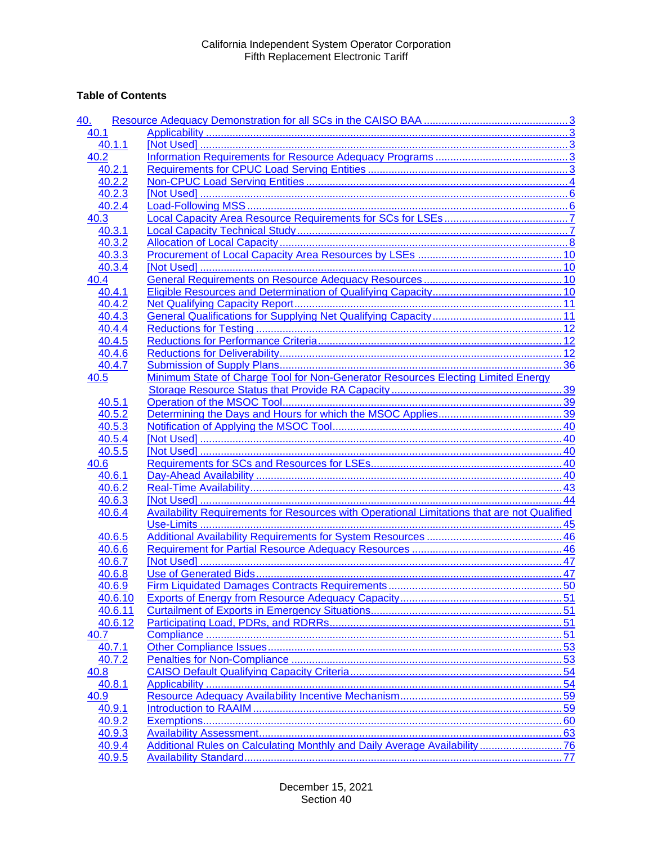## **Table of Contents**

| 40.1<br>40.1.1<br>40.2<br>40.2.1<br>40.2.2<br>40.2.3<br>40.2.4<br>40.3<br>40.3.1<br>40.3.2<br>40.3.3<br>40.3.4<br>40.4<br>40.4.1<br>40.4.2<br>40.4.3<br>40.4.4<br>40.4.5<br>40.4.6<br>40.4.7<br>Minimum State of Charge Tool for Non-Generator Resources Electing Limited Energy<br>40.5<br>40.5.1<br>40.5.2<br>40.5.3<br>40.5.4<br>40.5.5<br>40.6<br>40.6.1<br>40.6.2<br>40.6.3<br>Availability Requirements for Resources with Operational Limitations that are not Qualified<br>40.6.4<br>40.6.5<br>40.6.6<br>40.6.7<br>40.6.8<br>40.6.9<br>40.6.10<br>40.6.11<br>40.6.12<br>40.7<br>40.7.1<br>40.7.2<br>40.8<br>40.8.1<br>40.9<br>40.9.1<br>40.9.2<br>40.9.3<br>Additional Rules on Calculating Monthly and Daily Average Availability76<br>40.9.4<br>40.9.5 | 40. |  |
|------------------------------------------------------------------------------------------------------------------------------------------------------------------------------------------------------------------------------------------------------------------------------------------------------------------------------------------------------------------------------------------------------------------------------------------------------------------------------------------------------------------------------------------------------------------------------------------------------------------------------------------------------------------------------------------------------------------------------------------------------------------|-----|--|
|                                                                                                                                                                                                                                                                                                                                                                                                                                                                                                                                                                                                                                                                                                                                                                  |     |  |
|                                                                                                                                                                                                                                                                                                                                                                                                                                                                                                                                                                                                                                                                                                                                                                  |     |  |
|                                                                                                                                                                                                                                                                                                                                                                                                                                                                                                                                                                                                                                                                                                                                                                  |     |  |
|                                                                                                                                                                                                                                                                                                                                                                                                                                                                                                                                                                                                                                                                                                                                                                  |     |  |
|                                                                                                                                                                                                                                                                                                                                                                                                                                                                                                                                                                                                                                                                                                                                                                  |     |  |
|                                                                                                                                                                                                                                                                                                                                                                                                                                                                                                                                                                                                                                                                                                                                                                  |     |  |
|                                                                                                                                                                                                                                                                                                                                                                                                                                                                                                                                                                                                                                                                                                                                                                  |     |  |
|                                                                                                                                                                                                                                                                                                                                                                                                                                                                                                                                                                                                                                                                                                                                                                  |     |  |
|                                                                                                                                                                                                                                                                                                                                                                                                                                                                                                                                                                                                                                                                                                                                                                  |     |  |
|                                                                                                                                                                                                                                                                                                                                                                                                                                                                                                                                                                                                                                                                                                                                                                  |     |  |
|                                                                                                                                                                                                                                                                                                                                                                                                                                                                                                                                                                                                                                                                                                                                                                  |     |  |
|                                                                                                                                                                                                                                                                                                                                                                                                                                                                                                                                                                                                                                                                                                                                                                  |     |  |
|                                                                                                                                                                                                                                                                                                                                                                                                                                                                                                                                                                                                                                                                                                                                                                  |     |  |
|                                                                                                                                                                                                                                                                                                                                                                                                                                                                                                                                                                                                                                                                                                                                                                  |     |  |
|                                                                                                                                                                                                                                                                                                                                                                                                                                                                                                                                                                                                                                                                                                                                                                  |     |  |
|                                                                                                                                                                                                                                                                                                                                                                                                                                                                                                                                                                                                                                                                                                                                                                  |     |  |
|                                                                                                                                                                                                                                                                                                                                                                                                                                                                                                                                                                                                                                                                                                                                                                  |     |  |
|                                                                                                                                                                                                                                                                                                                                                                                                                                                                                                                                                                                                                                                                                                                                                                  |     |  |
|                                                                                                                                                                                                                                                                                                                                                                                                                                                                                                                                                                                                                                                                                                                                                                  |     |  |
|                                                                                                                                                                                                                                                                                                                                                                                                                                                                                                                                                                                                                                                                                                                                                                  |     |  |
|                                                                                                                                                                                                                                                                                                                                                                                                                                                                                                                                                                                                                                                                                                                                                                  |     |  |
|                                                                                                                                                                                                                                                                                                                                                                                                                                                                                                                                                                                                                                                                                                                                                                  |     |  |
|                                                                                                                                                                                                                                                                                                                                                                                                                                                                                                                                                                                                                                                                                                                                                                  |     |  |
|                                                                                                                                                                                                                                                                                                                                                                                                                                                                                                                                                                                                                                                                                                                                                                  |     |  |
|                                                                                                                                                                                                                                                                                                                                                                                                                                                                                                                                                                                                                                                                                                                                                                  |     |  |
|                                                                                                                                                                                                                                                                                                                                                                                                                                                                                                                                                                                                                                                                                                                                                                  |     |  |
|                                                                                                                                                                                                                                                                                                                                                                                                                                                                                                                                                                                                                                                                                                                                                                  |     |  |
|                                                                                                                                                                                                                                                                                                                                                                                                                                                                                                                                                                                                                                                                                                                                                                  |     |  |
|                                                                                                                                                                                                                                                                                                                                                                                                                                                                                                                                                                                                                                                                                                                                                                  |     |  |
|                                                                                                                                                                                                                                                                                                                                                                                                                                                                                                                                                                                                                                                                                                                                                                  |     |  |
|                                                                                                                                                                                                                                                                                                                                                                                                                                                                                                                                                                                                                                                                                                                                                                  |     |  |
|                                                                                                                                                                                                                                                                                                                                                                                                                                                                                                                                                                                                                                                                                                                                                                  |     |  |
|                                                                                                                                                                                                                                                                                                                                                                                                                                                                                                                                                                                                                                                                                                                                                                  |     |  |
|                                                                                                                                                                                                                                                                                                                                                                                                                                                                                                                                                                                                                                                                                                                                                                  |     |  |
|                                                                                                                                                                                                                                                                                                                                                                                                                                                                                                                                                                                                                                                                                                                                                                  |     |  |
|                                                                                                                                                                                                                                                                                                                                                                                                                                                                                                                                                                                                                                                                                                                                                                  |     |  |
|                                                                                                                                                                                                                                                                                                                                                                                                                                                                                                                                                                                                                                                                                                                                                                  |     |  |
|                                                                                                                                                                                                                                                                                                                                                                                                                                                                                                                                                                                                                                                                                                                                                                  |     |  |
|                                                                                                                                                                                                                                                                                                                                                                                                                                                                                                                                                                                                                                                                                                                                                                  |     |  |
|                                                                                                                                                                                                                                                                                                                                                                                                                                                                                                                                                                                                                                                                                                                                                                  |     |  |
|                                                                                                                                                                                                                                                                                                                                                                                                                                                                                                                                                                                                                                                                                                                                                                  |     |  |
|                                                                                                                                                                                                                                                                                                                                                                                                                                                                                                                                                                                                                                                                                                                                                                  |     |  |
|                                                                                                                                                                                                                                                                                                                                                                                                                                                                                                                                                                                                                                                                                                                                                                  |     |  |
|                                                                                                                                                                                                                                                                                                                                                                                                                                                                                                                                                                                                                                                                                                                                                                  |     |  |
|                                                                                                                                                                                                                                                                                                                                                                                                                                                                                                                                                                                                                                                                                                                                                                  |     |  |
|                                                                                                                                                                                                                                                                                                                                                                                                                                                                                                                                                                                                                                                                                                                                                                  |     |  |
|                                                                                                                                                                                                                                                                                                                                                                                                                                                                                                                                                                                                                                                                                                                                                                  |     |  |
|                                                                                                                                                                                                                                                                                                                                                                                                                                                                                                                                                                                                                                                                                                                                                                  |     |  |
|                                                                                                                                                                                                                                                                                                                                                                                                                                                                                                                                                                                                                                                                                                                                                                  |     |  |
|                                                                                                                                                                                                                                                                                                                                                                                                                                                                                                                                                                                                                                                                                                                                                                  |     |  |
|                                                                                                                                                                                                                                                                                                                                                                                                                                                                                                                                                                                                                                                                                                                                                                  |     |  |
|                                                                                                                                                                                                                                                                                                                                                                                                                                                                                                                                                                                                                                                                                                                                                                  |     |  |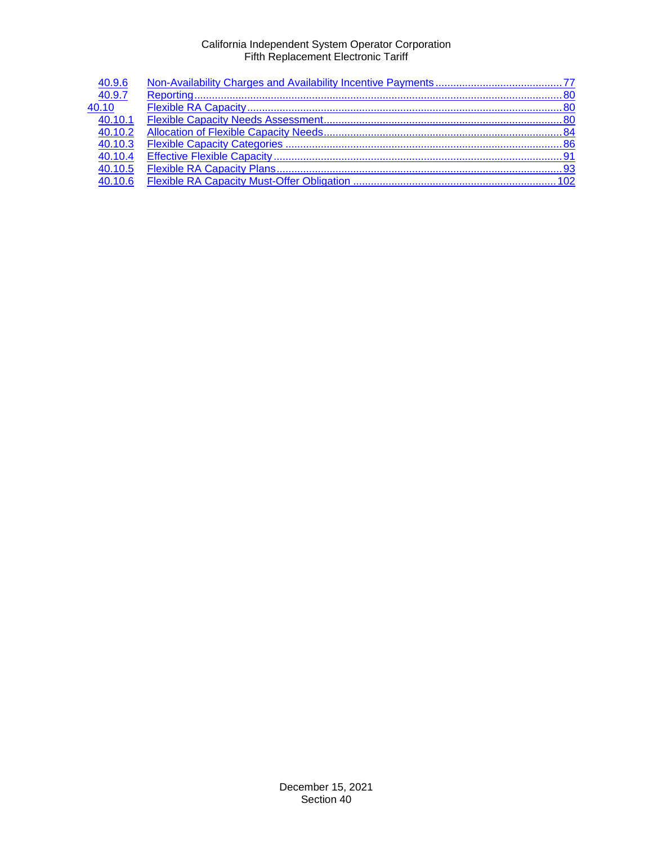| 40.9.6  |  |
|---------|--|
| 40.9.7  |  |
| 40.10   |  |
| 40.10.1 |  |
| 40.10.2 |  |
| 40.10.3 |  |
| 40.10.4 |  |
| 40.10.5 |  |
| 40.10.6 |  |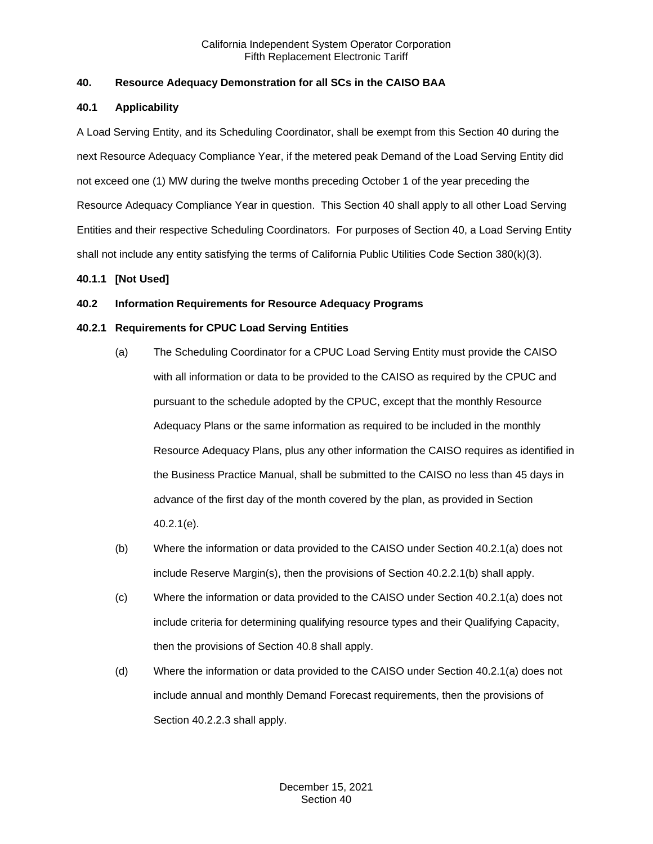## <span id="page-2-0"></span>**40. Resource Adequacy Demonstration for all SCs in the CAISO BAA**

## <span id="page-2-1"></span>**40.1 Applicability**

A Load Serving Entity, and its Scheduling Coordinator, shall be exempt from this Section 40 during the next Resource Adequacy Compliance Year, if the metered peak Demand of the Load Serving Entity did not exceed one (1) MW during the twelve months preceding October 1 of the year preceding the Resource Adequacy Compliance Year in question. This Section 40 shall apply to all other Load Serving Entities and their respective Scheduling Coordinators. For purposes of Section 40, a Load Serving Entity shall not include any entity satisfying the terms of California Public Utilities Code Section 380(k)(3).

## <span id="page-2-2"></span>**40.1.1 [Not Used]**

## <span id="page-2-3"></span>**40.2 Information Requirements for Resource Adequacy Programs**

## <span id="page-2-4"></span>**40.2.1 Requirements for CPUC Load Serving Entities**

- (a) The Scheduling Coordinator for a CPUC Load Serving Entity must provide the CAISO with all information or data to be provided to the CAISO as required by the CPUC and pursuant to the schedule adopted by the CPUC, except that the monthly Resource Adequacy Plans or the same information as required to be included in the monthly Resource Adequacy Plans, plus any other information the CAISO requires as identified in the Business Practice Manual, shall be submitted to the CAISO no less than 45 days in advance of the first day of the month covered by the plan, as provided in Section 40.2.1(e).
- (b) Where the information or data provided to the CAISO under Section 40.2.1(a) does not include Reserve Margin(s), then the provisions of Section 40.2.2.1(b) shall apply.
- (c) Where the information or data provided to the CAISO under Section 40.2.1(a) does not include criteria for determining qualifying resource types and their Qualifying Capacity, then the provisions of Section 40.8 shall apply.
- (d) Where the information or data provided to the CAISO under Section 40.2.1(a) does not include annual and monthly Demand Forecast requirements, then the provisions of Section 40.2.2.3 shall apply.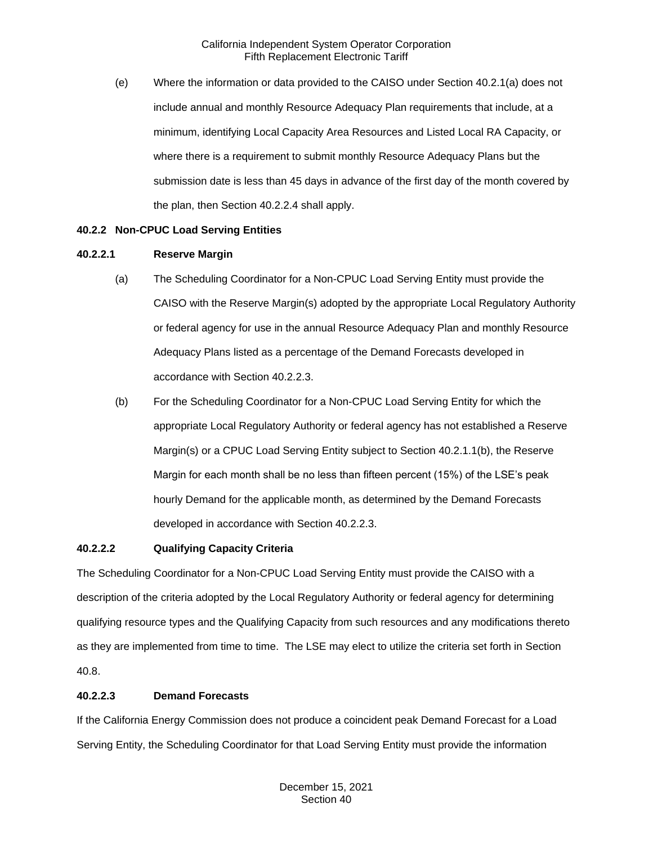(e) Where the information or data provided to the CAISO under Section 40.2.1(a) does not include annual and monthly Resource Adequacy Plan requirements that include, at a minimum, identifying Local Capacity Area Resources and Listed Local RA Capacity, or where there is a requirement to submit monthly Resource Adequacy Plans but the submission date is less than 45 days in advance of the first day of the month covered by the plan, then Section 40.2.2.4 shall apply.

## <span id="page-3-0"></span>**40.2.2 Non-CPUC Load Serving Entities**

## **40.2.2.1 Reserve Margin**

- (a) The Scheduling Coordinator for a Non-CPUC Load Serving Entity must provide the CAISO with the Reserve Margin(s) adopted by the appropriate Local Regulatory Authority or federal agency for use in the annual Resource Adequacy Plan and monthly Resource Adequacy Plans listed as a percentage of the Demand Forecasts developed in accordance with Section 40.2.2.3.
- (b) For the Scheduling Coordinator for a Non-CPUC Load Serving Entity for which the appropriate Local Regulatory Authority or federal agency has not established a Reserve Margin(s) or a CPUC Load Serving Entity subject to Section 40.2.1.1(b), the Reserve Margin for each month shall be no less than fifteen percent (15%) of the LSE's peak hourly Demand for the applicable month, as determined by the Demand Forecasts developed in accordance with Section 40.2.2.3.

#### **40.2.2.2 Qualifying Capacity Criteria**

The Scheduling Coordinator for a Non-CPUC Load Serving Entity must provide the CAISO with a description of the criteria adopted by the Local Regulatory Authority or federal agency for determining qualifying resource types and the Qualifying Capacity from such resources and any modifications thereto as they are implemented from time to time. The LSE may elect to utilize the criteria set forth in Section 40.8.

## **40.2.2.3 Demand Forecasts**

If the California Energy Commission does not produce a coincident peak Demand Forecast for a Load Serving Entity, the Scheduling Coordinator for that Load Serving Entity must provide the information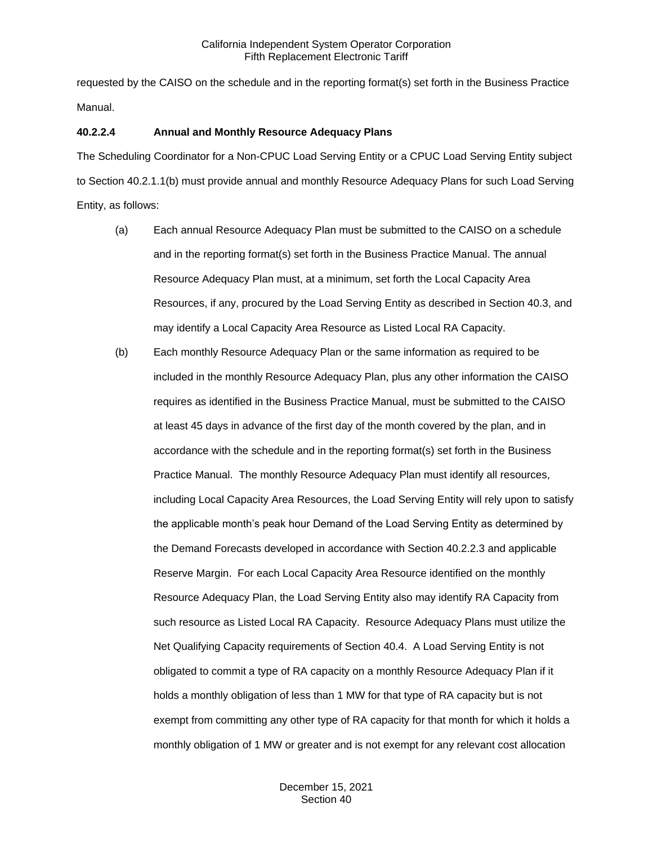requested by the CAISO on the schedule and in the reporting format(s) set forth in the Business Practice Manual.

## **40.2.2.4 Annual and Monthly Resource Adequacy Plans**

The Scheduling Coordinator for a Non-CPUC Load Serving Entity or a CPUC Load Serving Entity subject to Section 40.2.1.1(b) must provide annual and monthly Resource Adequacy Plans for such Load Serving Entity, as follows:

- (a) Each annual Resource Adequacy Plan must be submitted to the CAISO on a schedule and in the reporting format(s) set forth in the Business Practice Manual. The annual Resource Adequacy Plan must, at a minimum, set forth the Local Capacity Area Resources, if any, procured by the Load Serving Entity as described in Section 40.3, and may identify a Local Capacity Area Resource as Listed Local RA Capacity.
- (b) Each monthly Resource Adequacy Plan or the same information as required to be included in the monthly Resource Adequacy Plan, plus any other information the CAISO requires as identified in the Business Practice Manual, must be submitted to the CAISO at least 45 days in advance of the first day of the month covered by the plan, and in accordance with the schedule and in the reporting format(s) set forth in the Business Practice Manual. The monthly Resource Adequacy Plan must identify all resources, including Local Capacity Area Resources, the Load Serving Entity will rely upon to satisfy the applicable month's peak hour Demand of the Load Serving Entity as determined by the Demand Forecasts developed in accordance with Section 40.2.2.3 and applicable Reserve Margin. For each Local Capacity Area Resource identified on the monthly Resource Adequacy Plan, the Load Serving Entity also may identify RA Capacity from such resource as Listed Local RA Capacity. Resource Adequacy Plans must utilize the Net Qualifying Capacity requirements of Section 40.4. A Load Serving Entity is not obligated to commit a type of RA capacity on a monthly Resource Adequacy Plan if it holds a monthly obligation of less than 1 MW for that type of RA capacity but is not exempt from committing any other type of RA capacity for that month for which it holds a monthly obligation of 1 MW or greater and is not exempt for any relevant cost allocation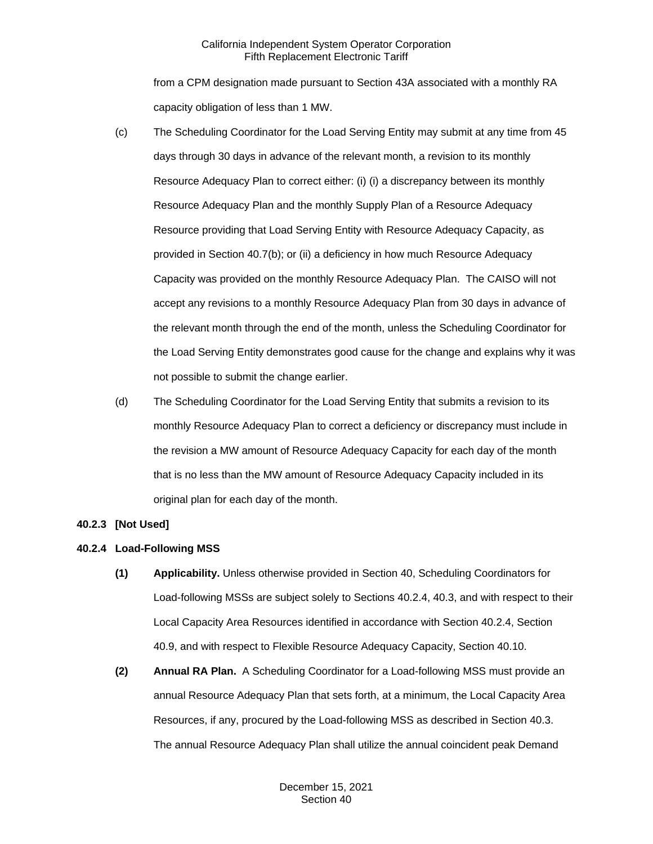from a CPM designation made pursuant to Section 43A associated with a monthly RA capacity obligation of less than 1 MW.

- (c) The Scheduling Coordinator for the Load Serving Entity may submit at any time from 45 days through 30 days in advance of the relevant month, a revision to its monthly Resource Adequacy Plan to correct either: (i) (i) a discrepancy between its monthly Resource Adequacy Plan and the monthly Supply Plan of a Resource Adequacy Resource providing that Load Serving Entity with Resource Adequacy Capacity, as provided in Section 40.7(b); or (ii) a deficiency in how much Resource Adequacy Capacity was provided on the monthly Resource Adequacy Plan. The CAISO will not accept any revisions to a monthly Resource Adequacy Plan from 30 days in advance of the relevant month through the end of the month, unless the Scheduling Coordinator for the Load Serving Entity demonstrates good cause for the change and explains why it was not possible to submit the change earlier.
- (d) The Scheduling Coordinator for the Load Serving Entity that submits a revision to its monthly Resource Adequacy Plan to correct a deficiency or discrepancy must include in the revision a MW amount of Resource Adequacy Capacity for each day of the month that is no less than the MW amount of Resource Adequacy Capacity included in its original plan for each day of the month.

## <span id="page-5-0"></span>**40.2.3 [Not Used]**

## <span id="page-5-1"></span>**40.2.4 Load-Following MSS**

- **(1) Applicability.** Unless otherwise provided in Section 40, Scheduling Coordinators for Load-following MSSs are subject solely to Sections 40.2.4, 40.3, and with respect to their Local Capacity Area Resources identified in accordance with Section 40.2.4, Section 40.9, and with respect to Flexible Resource Adequacy Capacity, Section 40.10.
- **(2) Annual RA Plan.** A Scheduling Coordinator for a Load-following MSS must provide an annual Resource Adequacy Plan that sets forth, at a minimum, the Local Capacity Area Resources, if any, procured by the Load-following MSS as described in Section 40.3. The annual Resource Adequacy Plan shall utilize the annual coincident peak Demand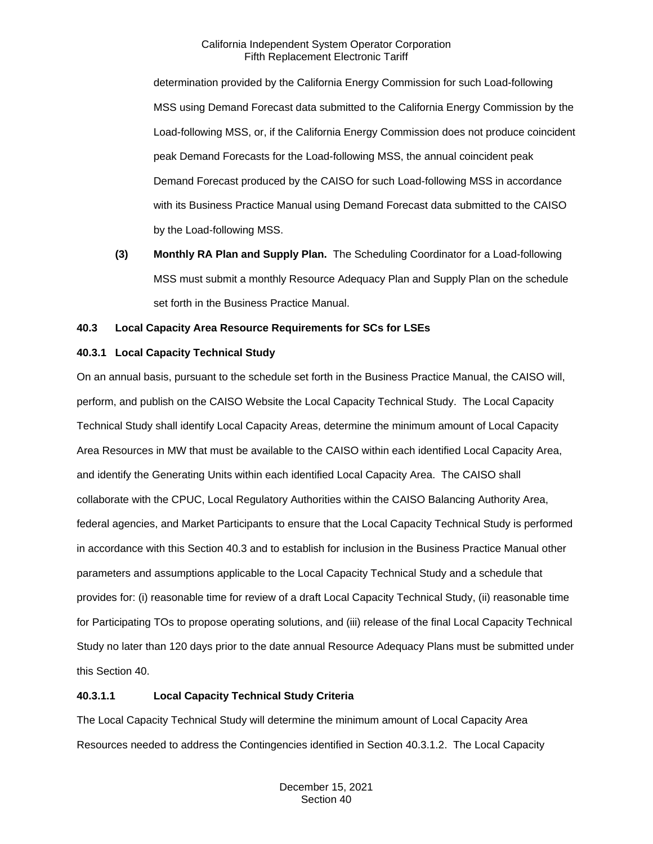determination provided by the California Energy Commission for such Load-following MSS using Demand Forecast data submitted to the California Energy Commission by the Load-following MSS, or, if the California Energy Commission does not produce coincident peak Demand Forecasts for the Load-following MSS, the annual coincident peak Demand Forecast produced by the CAISO for such Load-following MSS in accordance with its Business Practice Manual using Demand Forecast data submitted to the CAISO by the Load-following MSS.

**(3) Monthly RA Plan and Supply Plan.** The Scheduling Coordinator for a Load-following MSS must submit a monthly Resource Adequacy Plan and Supply Plan on the schedule set forth in the Business Practice Manual.

## <span id="page-6-0"></span>**40.3 Local Capacity Area Resource Requirements for SCs for LSEs**

## <span id="page-6-1"></span>**40.3.1 Local Capacity Technical Study**

On an annual basis, pursuant to the schedule set forth in the Business Practice Manual, the CAISO will, perform, and publish on the CAISO Website the Local Capacity Technical Study. The Local Capacity Technical Study shall identify Local Capacity Areas, determine the minimum amount of Local Capacity Area Resources in MW that must be available to the CAISO within each identified Local Capacity Area, and identify the Generating Units within each identified Local Capacity Area. The CAISO shall collaborate with the CPUC, Local Regulatory Authorities within the CAISO Balancing Authority Area, federal agencies, and Market Participants to ensure that the Local Capacity Technical Study is performed in accordance with this Section 40.3 and to establish for inclusion in the Business Practice Manual other parameters and assumptions applicable to the Local Capacity Technical Study and a schedule that provides for: (i) reasonable time for review of a draft Local Capacity Technical Study, (ii) reasonable time for Participating TOs to propose operating solutions, and (iii) release of the final Local Capacity Technical Study no later than 120 days prior to the date annual Resource Adequacy Plans must be submitted under this Section 40.

## **40.3.1.1 Local Capacity Technical Study Criteria**

The Local Capacity Technical Study will determine the minimum amount of Local Capacity Area Resources needed to address the Contingencies identified in Section 40.3.1.2. The Local Capacity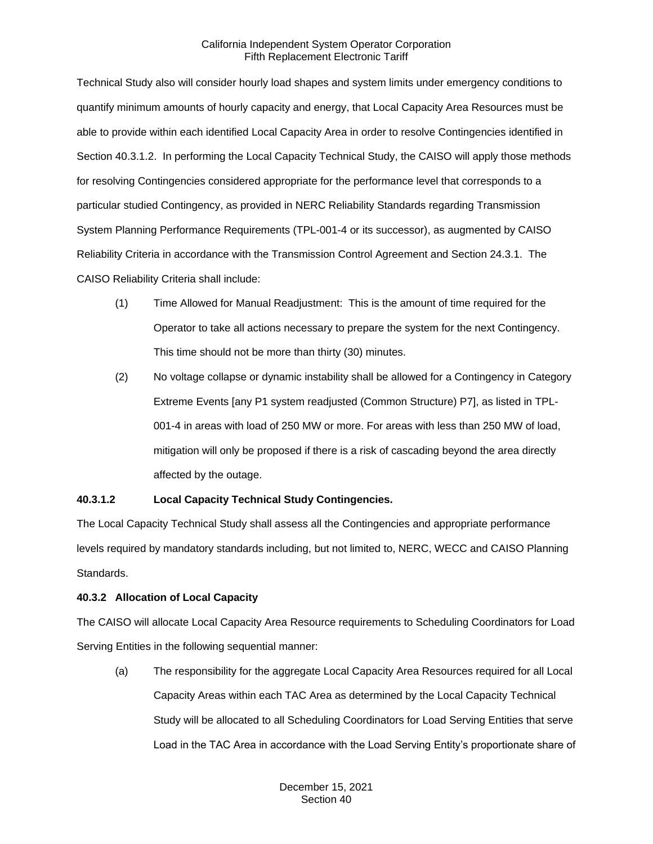Technical Study also will consider hourly load shapes and system limits under emergency conditions to quantify minimum amounts of hourly capacity and energy, that Local Capacity Area Resources must be able to provide within each identified Local Capacity Area in order to resolve Contingencies identified in Section 40.3.1.2. In performing the Local Capacity Technical Study, the CAISO will apply those methods for resolving Contingencies considered appropriate for the performance level that corresponds to a particular studied Contingency, as provided in NERC Reliability Standards regarding Transmission System Planning Performance Requirements (TPL-001-4 or its successor), as augmented by CAISO Reliability Criteria in accordance with the Transmission Control Agreement and Section 24.3.1. The CAISO Reliability Criteria shall include:

- (1) Time Allowed for Manual Readjustment: This is the amount of time required for the Operator to take all actions necessary to prepare the system for the next Contingency. This time should not be more than thirty (30) minutes.
- (2) No voltage collapse or dynamic instability shall be allowed for a Contingency in Category Extreme Events [any P1 system readjusted (Common Structure) P7], as listed in TPL-001-4 in areas with load of 250 MW or more. For areas with less than 250 MW of load, mitigation will only be proposed if there is a risk of cascading beyond the area directly affected by the outage.

## **40.3.1.2 Local Capacity Technical Study Contingencies.**

The Local Capacity Technical Study shall assess all the Contingencies and appropriate performance levels required by mandatory standards including, but not limited to, NERC, WECC and CAISO Planning Standards.

## <span id="page-7-0"></span>**40.3.2 Allocation of Local Capacity**

The CAISO will allocate Local Capacity Area Resource requirements to Scheduling Coordinators for Load Serving Entities in the following sequential manner:

(a) The responsibility for the aggregate Local Capacity Area Resources required for all Local Capacity Areas within each TAC Area as determined by the Local Capacity Technical Study will be allocated to all Scheduling Coordinators for Load Serving Entities that serve Load in the TAC Area in accordance with the Load Serving Entity's proportionate share of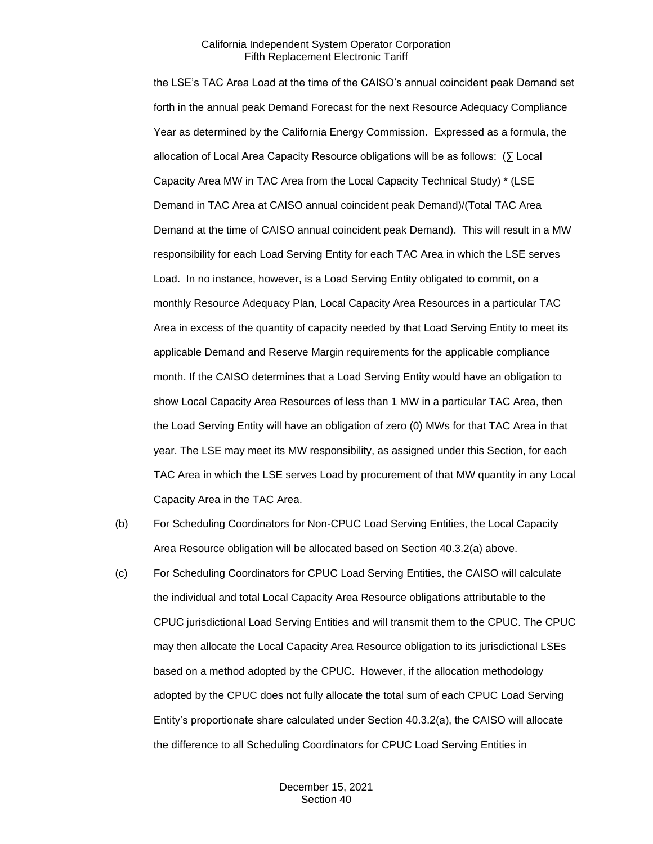the LSE's TAC Area Load at the time of the CAISO's annual coincident peak Demand set forth in the annual peak Demand Forecast for the next Resource Adequacy Compliance Year as determined by the California Energy Commission. Expressed as a formula, the allocation of Local Area Capacity Resource obligations will be as follows: (∑ Local Capacity Area MW in TAC Area from the Local Capacity Technical Study) \* (LSE Demand in TAC Area at CAISO annual coincident peak Demand)/(Total TAC Area Demand at the time of CAISO annual coincident peak Demand). This will result in a MW responsibility for each Load Serving Entity for each TAC Area in which the LSE serves Load. In no instance, however, is a Load Serving Entity obligated to commit, on a monthly Resource Adequacy Plan, Local Capacity Area Resources in a particular TAC Area in excess of the quantity of capacity needed by that Load Serving Entity to meet its applicable Demand and Reserve Margin requirements for the applicable compliance month. If the CAISO determines that a Load Serving Entity would have an obligation to show Local Capacity Area Resources of less than 1 MW in a particular TAC Area, then the Load Serving Entity will have an obligation of zero (0) MWs for that TAC Area in that year. The LSE may meet its MW responsibility, as assigned under this Section, for each TAC Area in which the LSE serves Load by procurement of that MW quantity in any Local Capacity Area in the TAC Area.

- (b) For Scheduling Coordinators for Non-CPUC Load Serving Entities, the Local Capacity Area Resource obligation will be allocated based on Section 40.3.2(a) above.
- (c) For Scheduling Coordinators for CPUC Load Serving Entities, the CAISO will calculate the individual and total Local Capacity Area Resource obligations attributable to the CPUC jurisdictional Load Serving Entities and will transmit them to the CPUC. The CPUC may then allocate the Local Capacity Area Resource obligation to its jurisdictional LSEs based on a method adopted by the CPUC. However, if the allocation methodology adopted by the CPUC does not fully allocate the total sum of each CPUC Load Serving Entity's proportionate share calculated under Section 40.3.2(a), the CAISO will allocate the difference to all Scheduling Coordinators for CPUC Load Serving Entities in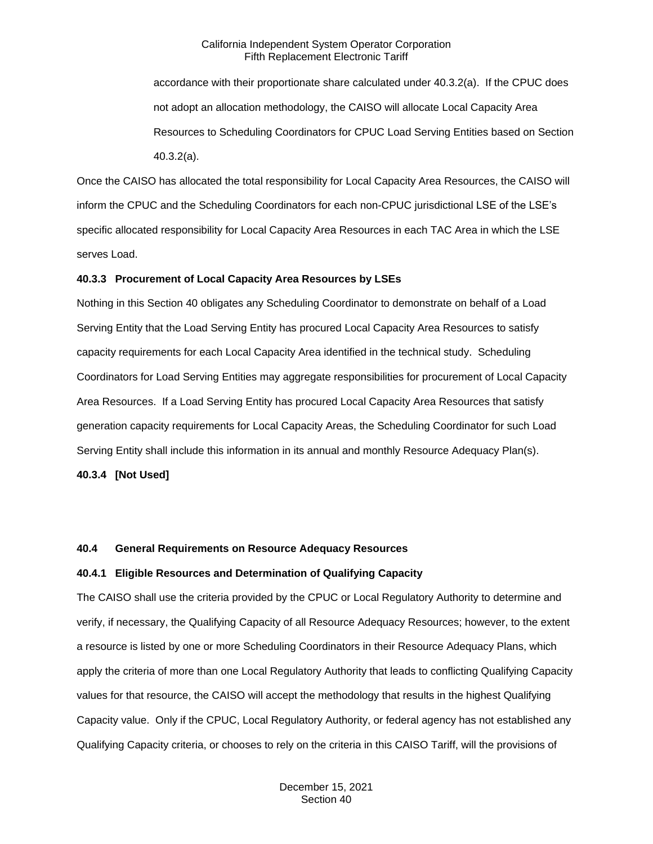accordance with their proportionate share calculated under 40.3.2(a). If the CPUC does not adopt an allocation methodology, the CAISO will allocate Local Capacity Area Resources to Scheduling Coordinators for CPUC Load Serving Entities based on Section 40.3.2(a).

Once the CAISO has allocated the total responsibility for Local Capacity Area Resources, the CAISO will inform the CPUC and the Scheduling Coordinators for each non-CPUC jurisdictional LSE of the LSE's specific allocated responsibility for Local Capacity Area Resources in each TAC Area in which the LSE serves Load.

#### <span id="page-9-0"></span>**40.3.3 Procurement of Local Capacity Area Resources by LSEs**

Nothing in this Section 40 obligates any Scheduling Coordinator to demonstrate on behalf of a Load Serving Entity that the Load Serving Entity has procured Local Capacity Area Resources to satisfy capacity requirements for each Local Capacity Area identified in the technical study. Scheduling Coordinators for Load Serving Entities may aggregate responsibilities for procurement of Local Capacity Area Resources. If a Load Serving Entity has procured Local Capacity Area Resources that satisfy generation capacity requirements for Local Capacity Areas, the Scheduling Coordinator for such Load Serving Entity shall include this information in its annual and monthly Resource Adequacy Plan(s).

<span id="page-9-1"></span>**40.3.4 [Not Used]**

## <span id="page-9-2"></span>**40.4 General Requirements on Resource Adequacy Resources**

#### <span id="page-9-3"></span>**40.4.1 Eligible Resources and Determination of Qualifying Capacity**

The CAISO shall use the criteria provided by the CPUC or Local Regulatory Authority to determine and verify, if necessary, the Qualifying Capacity of all Resource Adequacy Resources; however, to the extent a resource is listed by one or more Scheduling Coordinators in their Resource Adequacy Plans, which apply the criteria of more than one Local Regulatory Authority that leads to conflicting Qualifying Capacity values for that resource, the CAISO will accept the methodology that results in the highest Qualifying Capacity value. Only if the CPUC, Local Regulatory Authority, or federal agency has not established any Qualifying Capacity criteria, or chooses to rely on the criteria in this CAISO Tariff, will the provisions of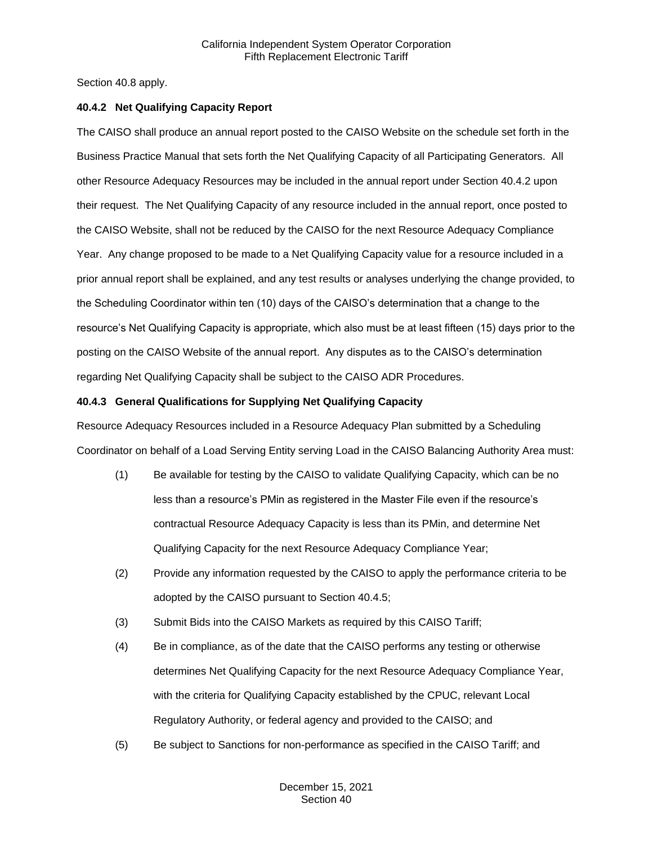Section 40.8 apply.

## <span id="page-10-0"></span>**40.4.2 Net Qualifying Capacity Report**

The CAISO shall produce an annual report posted to the CAISO Website on the schedule set forth in the Business Practice Manual that sets forth the Net Qualifying Capacity of all Participating Generators. All other Resource Adequacy Resources may be included in the annual report under Section 40.4.2 upon their request. The Net Qualifying Capacity of any resource included in the annual report, once posted to the CAISO Website, shall not be reduced by the CAISO for the next Resource Adequacy Compliance Year. Any change proposed to be made to a Net Qualifying Capacity value for a resource included in a prior annual report shall be explained, and any test results or analyses underlying the change provided, to the Scheduling Coordinator within ten (10) days of the CAISO's determination that a change to the resource's Net Qualifying Capacity is appropriate, which also must be at least fifteen (15) days prior to the posting on the CAISO Website of the annual report. Any disputes as to the CAISO's determination regarding Net Qualifying Capacity shall be subject to the CAISO ADR Procedures.

## <span id="page-10-1"></span>**40.4.3 General Qualifications for Supplying Net Qualifying Capacity**

Resource Adequacy Resources included in a Resource Adequacy Plan submitted by a Scheduling Coordinator on behalf of a Load Serving Entity serving Load in the CAISO Balancing Authority Area must:

- (1) Be available for testing by the CAISO to validate Qualifying Capacity, which can be no less than a resource's PMin as registered in the Master File even if the resource's contractual Resource Adequacy Capacity is less than its PMin, and determine Net Qualifying Capacity for the next Resource Adequacy Compliance Year;
- (2) Provide any information requested by the CAISO to apply the performance criteria to be adopted by the CAISO pursuant to Section 40.4.5;
- (3) Submit Bids into the CAISO Markets as required by this CAISO Tariff;
- (4) Be in compliance, as of the date that the CAISO performs any testing or otherwise determines Net Qualifying Capacity for the next Resource Adequacy Compliance Year, with the criteria for Qualifying Capacity established by the CPUC, relevant Local Regulatory Authority, or federal agency and provided to the CAISO; and
- (5) Be subject to Sanctions for non-performance as specified in the CAISO Tariff; and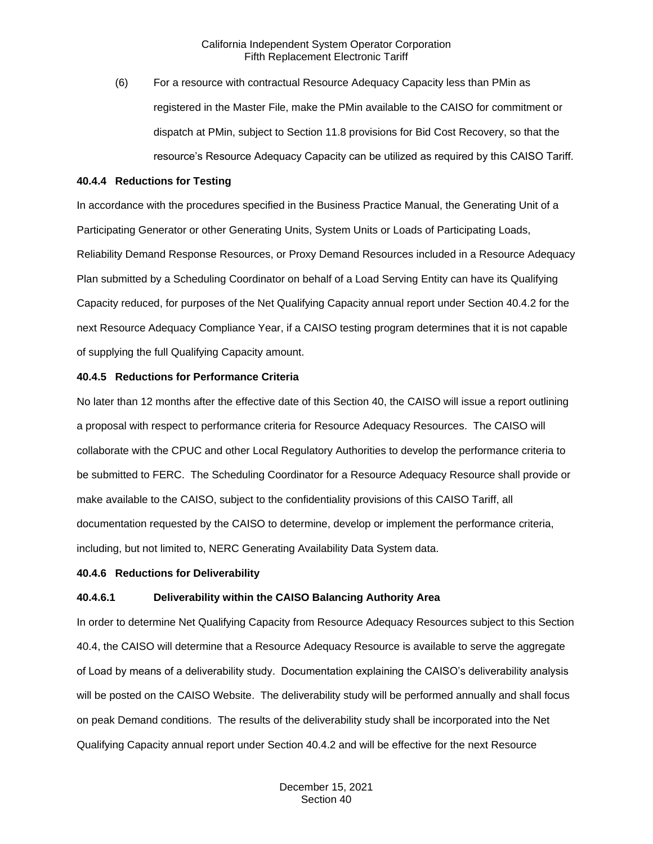(6) For a resource with contractual Resource Adequacy Capacity less than PMin as registered in the Master File, make the PMin available to the CAISO for commitment or dispatch at PMin, subject to Section 11.8 provisions for Bid Cost Recovery, so that the resource's Resource Adequacy Capacity can be utilized as required by this CAISO Tariff.

#### <span id="page-11-0"></span>**40.4.4 Reductions for Testing**

In accordance with the procedures specified in the Business Practice Manual, the Generating Unit of a Participating Generator or other Generating Units, System Units or Loads of Participating Loads, Reliability Demand Response Resources, or Proxy Demand Resources included in a Resource Adequacy Plan submitted by a Scheduling Coordinator on behalf of a Load Serving Entity can have its Qualifying Capacity reduced, for purposes of the Net Qualifying Capacity annual report under Section 40.4.2 for the next Resource Adequacy Compliance Year, if a CAISO testing program determines that it is not capable of supplying the full Qualifying Capacity amount.

#### <span id="page-11-1"></span>**40.4.5 Reductions for Performance Criteria**

No later than 12 months after the effective date of this Section 40, the CAISO will issue a report outlining a proposal with respect to performance criteria for Resource Adequacy Resources. The CAISO will collaborate with the CPUC and other Local Regulatory Authorities to develop the performance criteria to be submitted to FERC. The Scheduling Coordinator for a Resource Adequacy Resource shall provide or make available to the CAISO, subject to the confidentiality provisions of this CAISO Tariff, all documentation requested by the CAISO to determine, develop or implement the performance criteria, including, but not limited to, NERC Generating Availability Data System data.

#### <span id="page-11-2"></span>**40.4.6 Reductions for Deliverability**

## **40.4.6.1 Deliverability within the CAISO Balancing Authority Area**

In order to determine Net Qualifying Capacity from Resource Adequacy Resources subject to this Section 40.4, the CAISO will determine that a Resource Adequacy Resource is available to serve the aggregate of Load by means of a deliverability study. Documentation explaining the CAISO's deliverability analysis will be posted on the CAISO Website. The deliverability study will be performed annually and shall focus on peak Demand conditions. The results of the deliverability study shall be incorporated into the Net Qualifying Capacity annual report under Section 40.4.2 and will be effective for the next Resource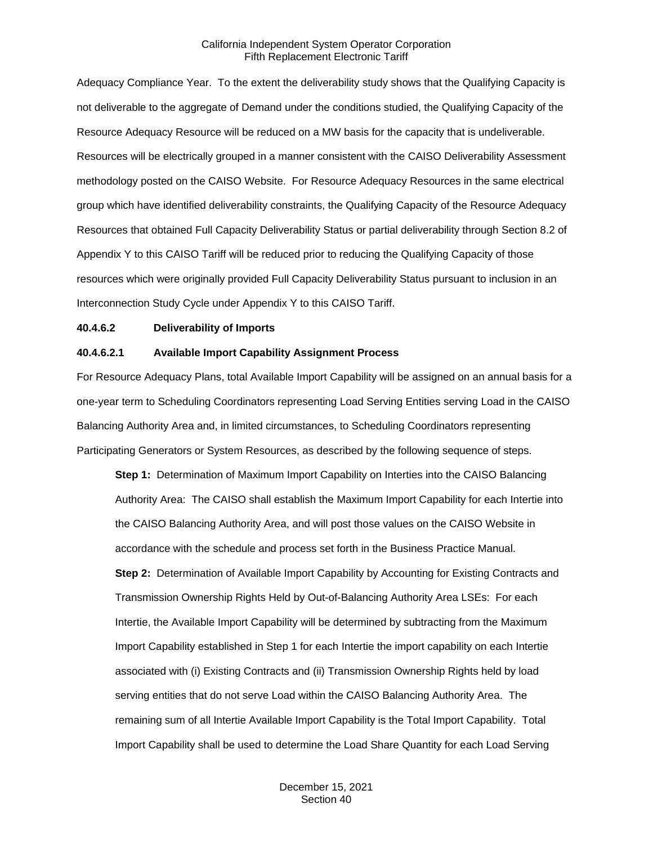Adequacy Compliance Year. To the extent the deliverability study shows that the Qualifying Capacity is not deliverable to the aggregate of Demand under the conditions studied, the Qualifying Capacity of the Resource Adequacy Resource will be reduced on a MW basis for the capacity that is undeliverable. Resources will be electrically grouped in a manner consistent with the CAISO Deliverability Assessment methodology posted on the CAISO Website. For Resource Adequacy Resources in the same electrical group which have identified deliverability constraints, the Qualifying Capacity of the Resource Adequacy Resources that obtained Full Capacity Deliverability Status or partial deliverability through Section 8.2 of Appendix Y to this CAISO Tariff will be reduced prior to reducing the Qualifying Capacity of those resources which were originally provided Full Capacity Deliverability Status pursuant to inclusion in an Interconnection Study Cycle under Appendix Y to this CAISO Tariff.

## **40.4.6.2 Deliverability of Imports**

#### **40.4.6.2.1 Available Import Capability Assignment Process**

For Resource Adequacy Plans, total Available Import Capability will be assigned on an annual basis for a one-year term to Scheduling Coordinators representing Load Serving Entities serving Load in the CAISO Balancing Authority Area and, in limited circumstances, to Scheduling Coordinators representing Participating Generators or System Resources, as described by the following sequence of steps.

**Step 1:** Determination of Maximum Import Capability on Interties into the CAISO Balancing Authority Area: The CAISO shall establish the Maximum Import Capability for each Intertie into the CAISO Balancing Authority Area, and will post those values on the CAISO Website in accordance with the schedule and process set forth in the Business Practice Manual. **Step 2:** Determination of Available Import Capability by Accounting for Existing Contracts and Transmission Ownership Rights Held by Out-of-Balancing Authority Area LSEs: For each Intertie, the Available Import Capability will be determined by subtracting from the Maximum Import Capability established in Step 1 for each Intertie the import capability on each Intertie associated with (i) Existing Contracts and (ii) Transmission Ownership Rights held by load serving entities that do not serve Load within the CAISO Balancing Authority Area. The remaining sum of all Intertie Available Import Capability is the Total Import Capability. Total Import Capability shall be used to determine the Load Share Quantity for each Load Serving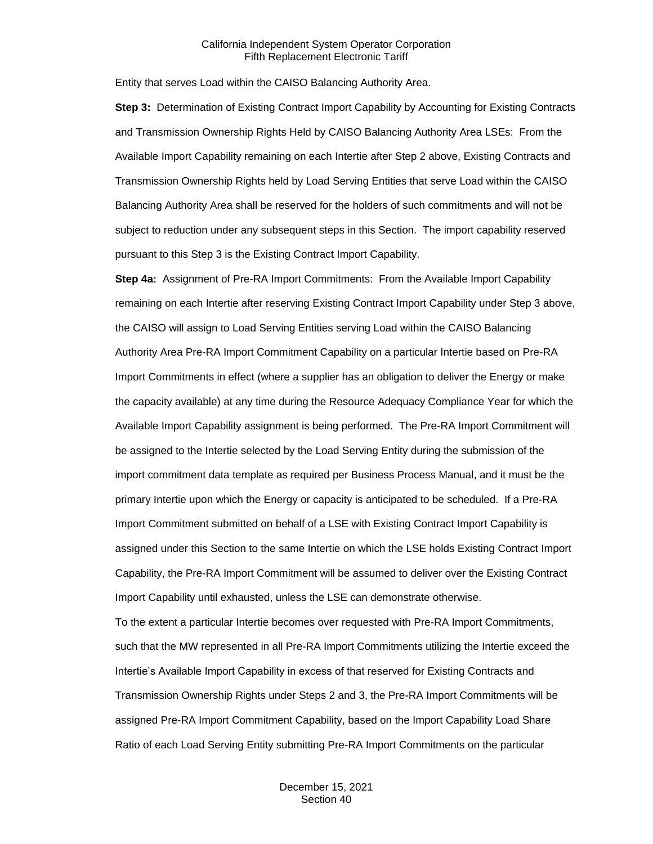Entity that serves Load within the CAISO Balancing Authority Area.

**Step 3:** Determination of Existing Contract Import Capability by Accounting for Existing Contracts and Transmission Ownership Rights Held by CAISO Balancing Authority Area LSEs: From the Available Import Capability remaining on each Intertie after Step 2 above, Existing Contracts and Transmission Ownership Rights held by Load Serving Entities that serve Load within the CAISO Balancing Authority Area shall be reserved for the holders of such commitments and will not be subject to reduction under any subsequent steps in this Section. The import capability reserved pursuant to this Step 3 is the Existing Contract Import Capability.

**Step 4a:** Assignment of Pre-RA Import Commitments: From the Available Import Capability remaining on each Intertie after reserving Existing Contract Import Capability under Step 3 above, the CAISO will assign to Load Serving Entities serving Load within the CAISO Balancing Authority Area Pre-RA Import Commitment Capability on a particular Intertie based on Pre-RA Import Commitments in effect (where a supplier has an obligation to deliver the Energy or make the capacity available) at any time during the Resource Adequacy Compliance Year for which the Available Import Capability assignment is being performed. The Pre-RA Import Commitment will be assigned to the Intertie selected by the Load Serving Entity during the submission of the import commitment data template as required per Business Process Manual, and it must be the primary Intertie upon which the Energy or capacity is anticipated to be scheduled. If a Pre-RA Import Commitment submitted on behalf of a LSE with Existing Contract Import Capability is assigned under this Section to the same Intertie on which the LSE holds Existing Contract Import Capability, the Pre-RA Import Commitment will be assumed to deliver over the Existing Contract Import Capability until exhausted, unless the LSE can demonstrate otherwise.

To the extent a particular Intertie becomes over requested with Pre-RA Import Commitments, such that the MW represented in all Pre-RA Import Commitments utilizing the Intertie exceed the Intertie's Available Import Capability in excess of that reserved for Existing Contracts and Transmission Ownership Rights under Steps 2 and 3, the Pre-RA Import Commitments will be assigned Pre-RA Import Commitment Capability, based on the Import Capability Load Share Ratio of each Load Serving Entity submitting Pre-RA Import Commitments on the particular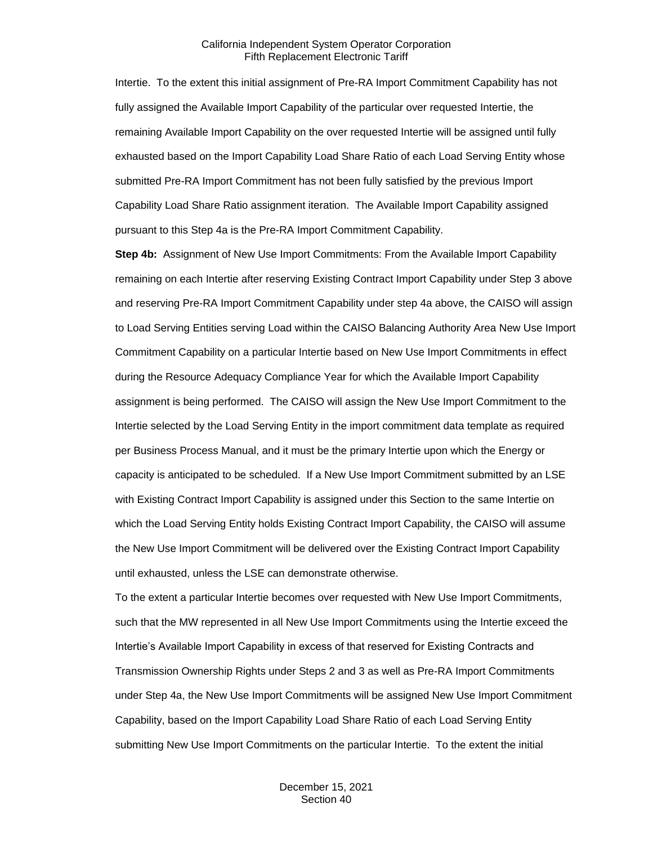Intertie. To the extent this initial assignment of Pre-RA Import Commitment Capability has not fully assigned the Available Import Capability of the particular over requested Intertie, the remaining Available Import Capability on the over requested Intertie will be assigned until fully exhausted based on the Import Capability Load Share Ratio of each Load Serving Entity whose submitted Pre-RA Import Commitment has not been fully satisfied by the previous Import Capability Load Share Ratio assignment iteration. The Available Import Capability assigned pursuant to this Step 4a is the Pre-RA Import Commitment Capability.

**Step 4b:** Assignment of New Use Import Commitments: From the Available Import Capability remaining on each Intertie after reserving Existing Contract Import Capability under Step 3 above and reserving Pre-RA Import Commitment Capability under step 4a above, the CAISO will assign to Load Serving Entities serving Load within the CAISO Balancing Authority Area New Use Import Commitment Capability on a particular Intertie based on New Use Import Commitments in effect during the Resource Adequacy Compliance Year for which the Available Import Capability assignment is being performed. The CAISO will assign the New Use Import Commitment to the Intertie selected by the Load Serving Entity in the import commitment data template as required per Business Process Manual, and it must be the primary Intertie upon which the Energy or capacity is anticipated to be scheduled. If a New Use Import Commitment submitted by an LSE with Existing Contract Import Capability is assigned under this Section to the same Intertie on which the Load Serving Entity holds Existing Contract Import Capability, the CAISO will assume the New Use Import Commitment will be delivered over the Existing Contract Import Capability until exhausted, unless the LSE can demonstrate otherwise.

To the extent a particular Intertie becomes over requested with New Use Import Commitments, such that the MW represented in all New Use Import Commitments using the Intertie exceed the Intertie's Available Import Capability in excess of that reserved for Existing Contracts and Transmission Ownership Rights under Steps 2 and 3 as well as Pre-RA Import Commitments under Step 4a, the New Use Import Commitments will be assigned New Use Import Commitment Capability, based on the Import Capability Load Share Ratio of each Load Serving Entity submitting New Use Import Commitments on the particular Intertie. To the extent the initial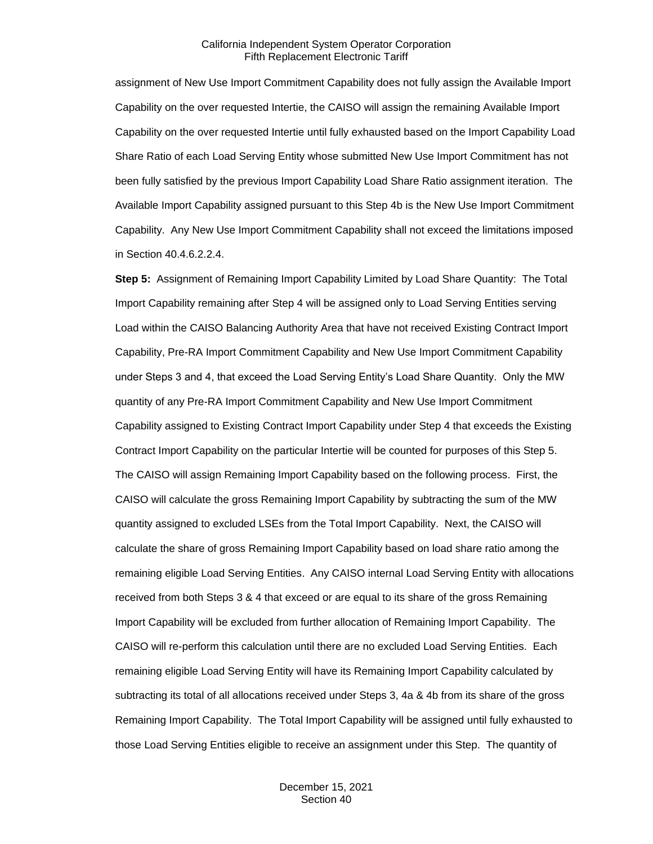assignment of New Use Import Commitment Capability does not fully assign the Available Import Capability on the over requested Intertie, the CAISO will assign the remaining Available Import Capability on the over requested Intertie until fully exhausted based on the Import Capability Load Share Ratio of each Load Serving Entity whose submitted New Use Import Commitment has not been fully satisfied by the previous Import Capability Load Share Ratio assignment iteration. The Available Import Capability assigned pursuant to this Step 4b is the New Use Import Commitment Capability. Any New Use Import Commitment Capability shall not exceed the limitations imposed in Section 40.4.6.2.2.4.

**Step 5:** Assignment of Remaining Import Capability Limited by Load Share Quantity: The Total Import Capability remaining after Step 4 will be assigned only to Load Serving Entities serving Load within the CAISO Balancing Authority Area that have not received Existing Contract Import Capability, Pre-RA Import Commitment Capability and New Use Import Commitment Capability under Steps 3 and 4, that exceed the Load Serving Entity's Load Share Quantity. Only the MW quantity of any Pre-RA Import Commitment Capability and New Use Import Commitment Capability assigned to Existing Contract Import Capability under Step 4 that exceeds the Existing Contract Import Capability on the particular Intertie will be counted for purposes of this Step 5. The CAISO will assign Remaining Import Capability based on the following process. First, the CAISO will calculate the gross Remaining Import Capability by subtracting the sum of the MW quantity assigned to excluded LSEs from the Total Import Capability. Next, the CAISO will calculate the share of gross Remaining Import Capability based on load share ratio among the remaining eligible Load Serving Entities. Any CAISO internal Load Serving Entity with allocations received from both Steps 3 & 4 that exceed or are equal to its share of the gross Remaining Import Capability will be excluded from further allocation of Remaining Import Capability. The CAISO will re-perform this calculation until there are no excluded Load Serving Entities. Each remaining eligible Load Serving Entity will have its Remaining Import Capability calculated by subtracting its total of all allocations received under Steps 3, 4a & 4b from its share of the gross Remaining Import Capability. The Total Import Capability will be assigned until fully exhausted to those Load Serving Entities eligible to receive an assignment under this Step. The quantity of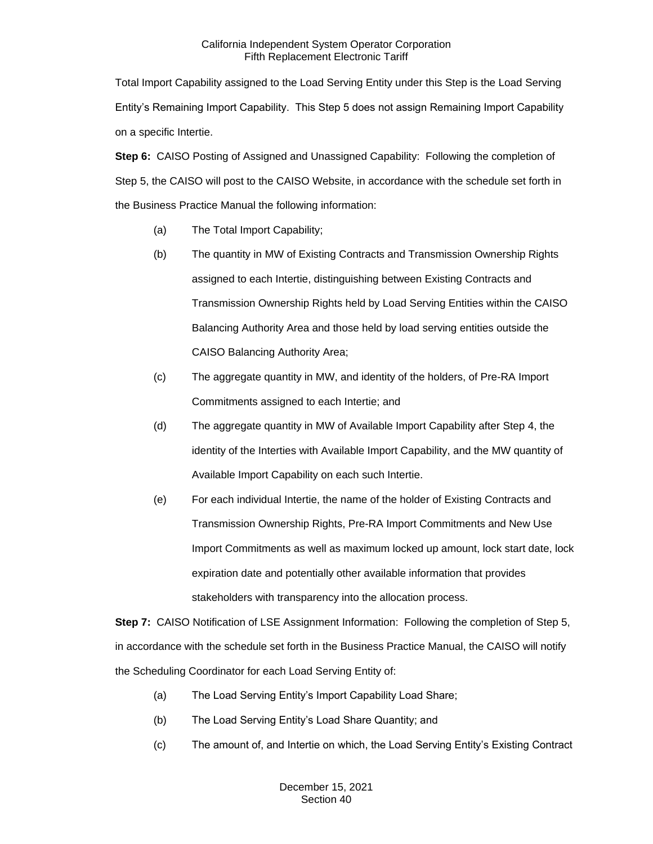Total Import Capability assigned to the Load Serving Entity under this Step is the Load Serving Entity's Remaining Import Capability. This Step 5 does not assign Remaining Import Capability on a specific Intertie.

**Step 6:** CAISO Posting of Assigned and Unassigned Capability: Following the completion of Step 5, the CAISO will post to the CAISO Website, in accordance with the schedule set forth in the Business Practice Manual the following information:

- (a) The Total Import Capability;
- (b) The quantity in MW of Existing Contracts and Transmission Ownership Rights assigned to each Intertie, distinguishing between Existing Contracts and Transmission Ownership Rights held by Load Serving Entities within the CAISO Balancing Authority Area and those held by load serving entities outside the CAISO Balancing Authority Area;
- (c) The aggregate quantity in MW, and identity of the holders, of Pre-RA Import Commitments assigned to each Intertie; and
- (d) The aggregate quantity in MW of Available Import Capability after Step 4, the identity of the Interties with Available Import Capability, and the MW quantity of Available Import Capability on each such Intertie.
- (e) For each individual Intertie, the name of the holder of Existing Contracts and Transmission Ownership Rights, Pre-RA Import Commitments and New Use Import Commitments as well as maximum locked up amount, lock start date, lock expiration date and potentially other available information that provides stakeholders with transparency into the allocation process.

**Step 7:** CAISO Notification of LSE Assignment Information: Following the completion of Step 5, in accordance with the schedule set forth in the Business Practice Manual, the CAISO will notify the Scheduling Coordinator for each Load Serving Entity of:

- (a) The Load Serving Entity's Import Capability Load Share;
- (b) The Load Serving Entity's Load Share Quantity; and
- (c) The amount of, and Intertie on which, the Load Serving Entity's Existing Contract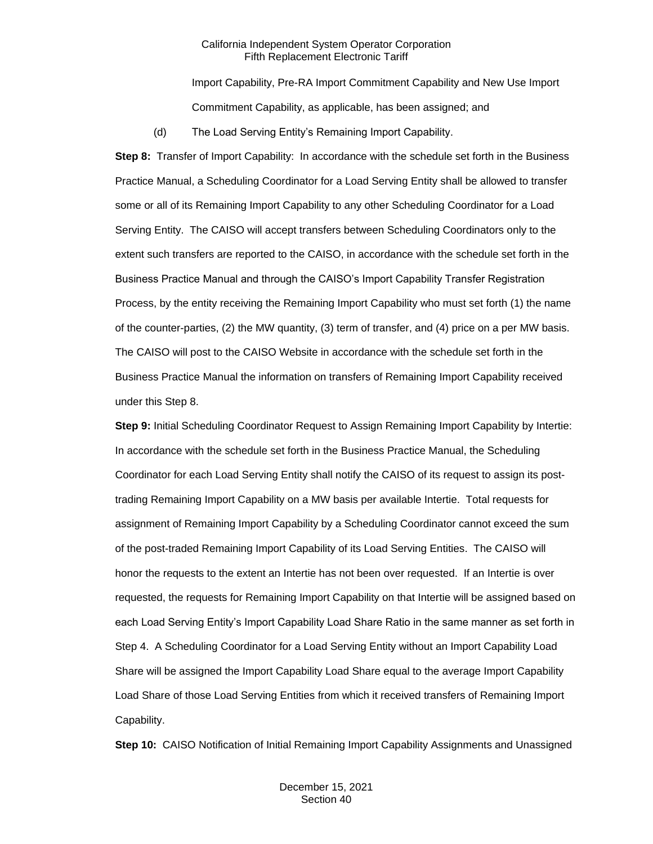Import Capability, Pre-RA Import Commitment Capability and New Use Import Commitment Capability, as applicable, has been assigned; and

(d) The Load Serving Entity's Remaining Import Capability.

**Step 8:** Transfer of Import Capability: In accordance with the schedule set forth in the Business Practice Manual, a Scheduling Coordinator for a Load Serving Entity shall be allowed to transfer some or all of its Remaining Import Capability to any other Scheduling Coordinator for a Load Serving Entity. The CAISO will accept transfers between Scheduling Coordinators only to the extent such transfers are reported to the CAISO, in accordance with the schedule set forth in the Business Practice Manual and through the CAISO's Import Capability Transfer Registration Process, by the entity receiving the Remaining Import Capability who must set forth (1) the name of the counter-parties, (2) the MW quantity, (3) term of transfer, and (4) price on a per MW basis. The CAISO will post to the CAISO Website in accordance with the schedule set forth in the Business Practice Manual the information on transfers of Remaining Import Capability received under this Step 8.

**Step 9:** Initial Scheduling Coordinator Request to Assign Remaining Import Capability by Intertie: In accordance with the schedule set forth in the Business Practice Manual, the Scheduling Coordinator for each Load Serving Entity shall notify the CAISO of its request to assign its posttrading Remaining Import Capability on a MW basis per available Intertie. Total requests for assignment of Remaining Import Capability by a Scheduling Coordinator cannot exceed the sum of the post-traded Remaining Import Capability of its Load Serving Entities. The CAISO will honor the requests to the extent an Intertie has not been over requested. If an Intertie is over requested, the requests for Remaining Import Capability on that Intertie will be assigned based on each Load Serving Entity's Import Capability Load Share Ratio in the same manner as set forth in Step 4. A Scheduling Coordinator for a Load Serving Entity without an Import Capability Load Share will be assigned the Import Capability Load Share equal to the average Import Capability Load Share of those Load Serving Entities from which it received transfers of Remaining Import Capability.

**Step 10:** CAISO Notification of Initial Remaining Import Capability Assignments and Unassigned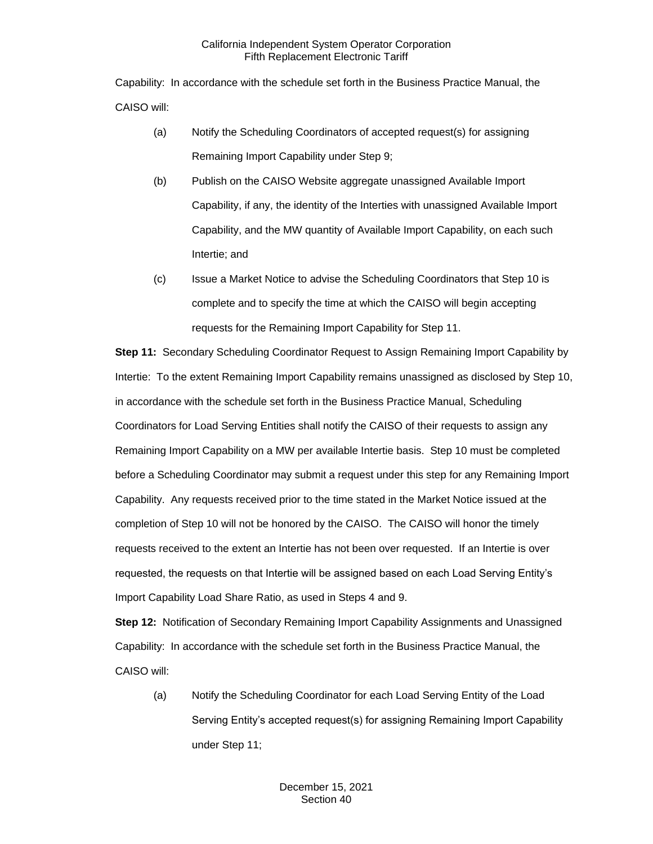Capability: In accordance with the schedule set forth in the Business Practice Manual, the CAISO will:

- (a) Notify the Scheduling Coordinators of accepted request(s) for assigning Remaining Import Capability under Step 9;
- (b) Publish on the CAISO Website aggregate unassigned Available Import Capability, if any, the identity of the Interties with unassigned Available Import Capability, and the MW quantity of Available Import Capability, on each such Intertie; and
- (c) Issue a Market Notice to advise the Scheduling Coordinators that Step 10 is complete and to specify the time at which the CAISO will begin accepting requests for the Remaining Import Capability for Step 11.

**Step 11:** Secondary Scheduling Coordinator Request to Assign Remaining Import Capability by Intertie: To the extent Remaining Import Capability remains unassigned as disclosed by Step 10, in accordance with the schedule set forth in the Business Practice Manual, Scheduling Coordinators for Load Serving Entities shall notify the CAISO of their requests to assign any Remaining Import Capability on a MW per available Intertie basis. Step 10 must be completed before a Scheduling Coordinator may submit a request under this step for any Remaining Import Capability. Any requests received prior to the time stated in the Market Notice issued at the completion of Step 10 will not be honored by the CAISO. The CAISO will honor the timely requests received to the extent an Intertie has not been over requested. If an Intertie is over requested, the requests on that Intertie will be assigned based on each Load Serving Entity's Import Capability Load Share Ratio, as used in Steps 4 and 9.

**Step 12:** Notification of Secondary Remaining Import Capability Assignments and Unassigned Capability: In accordance with the schedule set forth in the Business Practice Manual, the CAISO will:

(a) Notify the Scheduling Coordinator for each Load Serving Entity of the Load Serving Entity's accepted request(s) for assigning Remaining Import Capability under Step 11;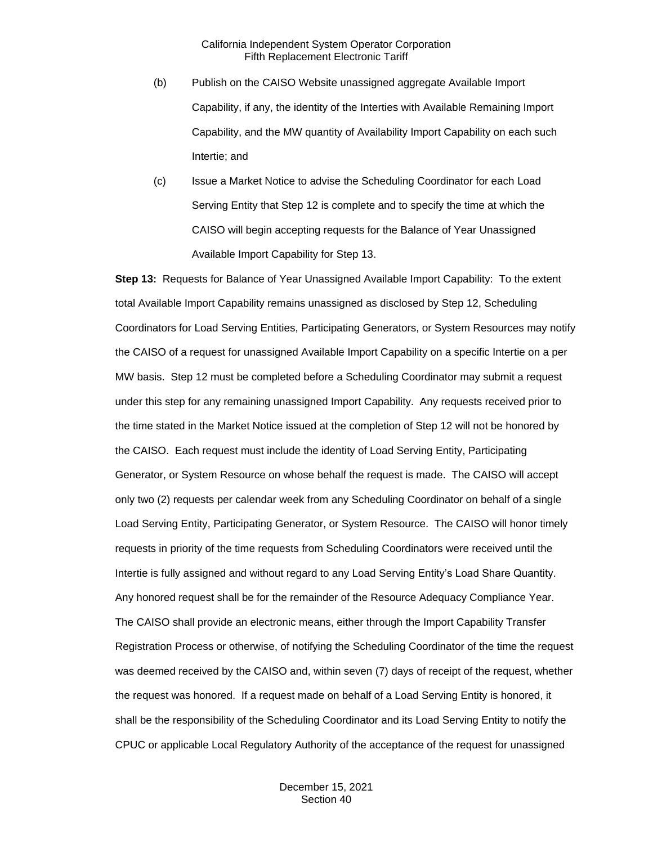- (b) Publish on the CAISO Website unassigned aggregate Available Import Capability, if any, the identity of the Interties with Available Remaining Import Capability, and the MW quantity of Availability Import Capability on each such Intertie; and
- (c) Issue a Market Notice to advise the Scheduling Coordinator for each Load Serving Entity that Step 12 is complete and to specify the time at which the CAISO will begin accepting requests for the Balance of Year Unassigned Available Import Capability for Step 13.

**Step 13:** Requests for Balance of Year Unassigned Available Import Capability: To the extent total Available Import Capability remains unassigned as disclosed by Step 12, Scheduling Coordinators for Load Serving Entities, Participating Generators, or System Resources may notify the CAISO of a request for unassigned Available Import Capability on a specific Intertie on a per MW basis. Step 12 must be completed before a Scheduling Coordinator may submit a request under this step for any remaining unassigned Import Capability. Any requests received prior to the time stated in the Market Notice issued at the completion of Step 12 will not be honored by the CAISO. Each request must include the identity of Load Serving Entity, Participating Generator, or System Resource on whose behalf the request is made. The CAISO will accept only two (2) requests per calendar week from any Scheduling Coordinator on behalf of a single Load Serving Entity, Participating Generator, or System Resource. The CAISO will honor timely requests in priority of the time requests from Scheduling Coordinators were received until the Intertie is fully assigned and without regard to any Load Serving Entity's Load Share Quantity. Any honored request shall be for the remainder of the Resource Adequacy Compliance Year. The CAISO shall provide an electronic means, either through the Import Capability Transfer Registration Process or otherwise, of notifying the Scheduling Coordinator of the time the request was deemed received by the CAISO and, within seven (7) days of receipt of the request, whether the request was honored. If a request made on behalf of a Load Serving Entity is honored, it shall be the responsibility of the Scheduling Coordinator and its Load Serving Entity to notify the CPUC or applicable Local Regulatory Authority of the acceptance of the request for unassigned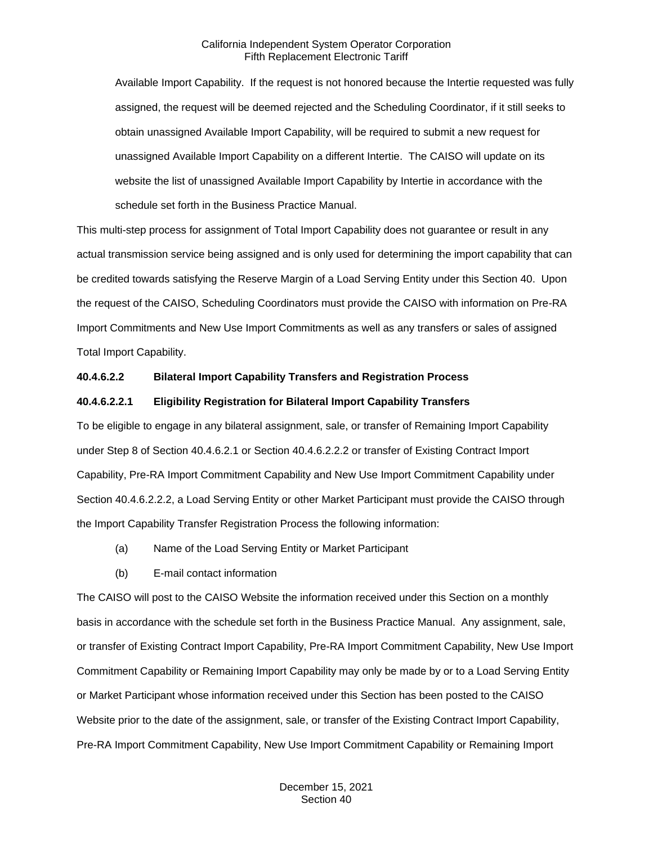Available Import Capability. If the request is not honored because the Intertie requested was fully assigned, the request will be deemed rejected and the Scheduling Coordinator, if it still seeks to obtain unassigned Available Import Capability, will be required to submit a new request for unassigned Available Import Capability on a different Intertie. The CAISO will update on its website the list of unassigned Available Import Capability by Intertie in accordance with the schedule set forth in the Business Practice Manual.

This multi-step process for assignment of Total Import Capability does not guarantee or result in any actual transmission service being assigned and is only used for determining the import capability that can be credited towards satisfying the Reserve Margin of a Load Serving Entity under this Section 40. Upon the request of the CAISO, Scheduling Coordinators must provide the CAISO with information on Pre-RA Import Commitments and New Use Import Commitments as well as any transfers or sales of assigned Total Import Capability.

#### **40.4.6.2.2 Bilateral Import Capability Transfers and Registration Process**

#### **40.4.6.2.2.1 Eligibility Registration for Bilateral Import Capability Transfers**

To be eligible to engage in any bilateral assignment, sale, or transfer of Remaining Import Capability under Step 8 of Section 40.4.6.2.1 or Section 40.4.6.2.2.2 or transfer of Existing Contract Import Capability, Pre-RA Import Commitment Capability and New Use Import Commitment Capability under Section 40.4.6.2.2.2, a Load Serving Entity or other Market Participant must provide the CAISO through the Import Capability Transfer Registration Process the following information:

- (a) Name of the Load Serving Entity or Market Participant
- (b) E-mail contact information

The CAISO will post to the CAISO Website the information received under this Section on a monthly basis in accordance with the schedule set forth in the Business Practice Manual. Any assignment, sale, or transfer of Existing Contract Import Capability, Pre-RA Import Commitment Capability, New Use Import Commitment Capability or Remaining Import Capability may only be made by or to a Load Serving Entity or Market Participant whose information received under this Section has been posted to the CAISO Website prior to the date of the assignment, sale, or transfer of the Existing Contract Import Capability, Pre-RA Import Commitment Capability, New Use Import Commitment Capability or Remaining Import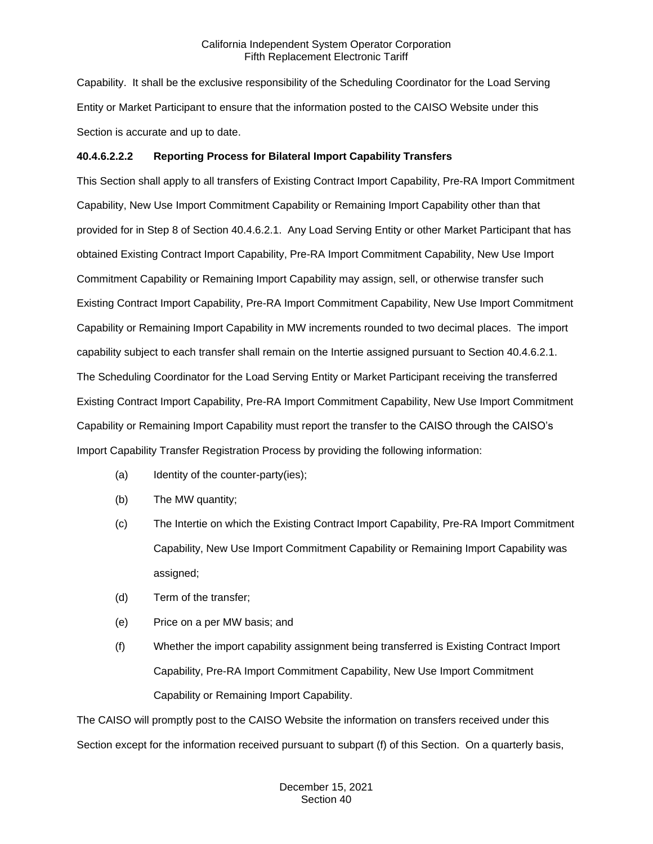Capability. It shall be the exclusive responsibility of the Scheduling Coordinator for the Load Serving Entity or Market Participant to ensure that the information posted to the CAISO Website under this Section is accurate and up to date.

## **40.4.6.2.2.2 Reporting Process for Bilateral Import Capability Transfers**

This Section shall apply to all transfers of Existing Contract Import Capability, Pre-RA Import Commitment Capability, New Use Import Commitment Capability or Remaining Import Capability other than that provided for in Step 8 of Section 40.4.6.2.1. Any Load Serving Entity or other Market Participant that has obtained Existing Contract Import Capability, Pre-RA Import Commitment Capability, New Use Import Commitment Capability or Remaining Import Capability may assign, sell, or otherwise transfer such Existing Contract Import Capability, Pre-RA Import Commitment Capability, New Use Import Commitment Capability or Remaining Import Capability in MW increments rounded to two decimal places. The import capability subject to each transfer shall remain on the Intertie assigned pursuant to Section 40.4.6.2.1. The Scheduling Coordinator for the Load Serving Entity or Market Participant receiving the transferred Existing Contract Import Capability, Pre-RA Import Commitment Capability, New Use Import Commitment Capability or Remaining Import Capability must report the transfer to the CAISO through the CAISO's Import Capability Transfer Registration Process by providing the following information:

- (a) Identity of the counter-party(ies);
- (b) The MW quantity;
- (c) The Intertie on which the Existing Contract Import Capability, Pre-RA Import Commitment Capability, New Use Import Commitment Capability or Remaining Import Capability was assigned;
- (d) Term of the transfer;
- (e) Price on a per MW basis; and
- (f) Whether the import capability assignment being transferred is Existing Contract Import Capability, Pre-RA Import Commitment Capability, New Use Import Commitment Capability or Remaining Import Capability.

The CAISO will promptly post to the CAISO Website the information on transfers received under this Section except for the information received pursuant to subpart (f) of this Section. On a quarterly basis,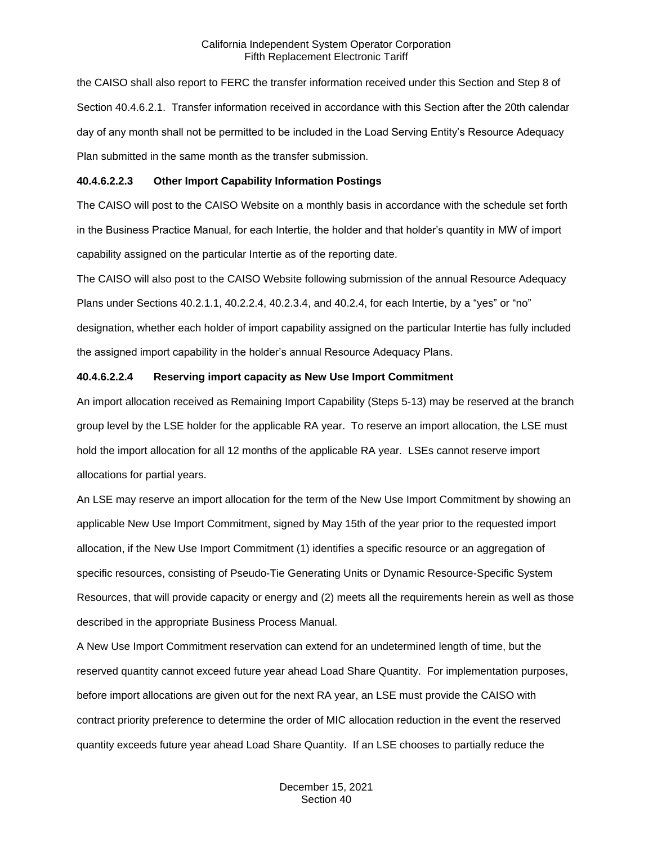the CAISO shall also report to FERC the transfer information received under this Section and Step 8 of Section 40.4.6.2.1. Transfer information received in accordance with this Section after the 20th calendar day of any month shall not be permitted to be included in the Load Serving Entity's Resource Adequacy Plan submitted in the same month as the transfer submission.

## **40.4.6.2.2.3 Other Import Capability Information Postings**

The CAISO will post to the CAISO Website on a monthly basis in accordance with the schedule set forth in the Business Practice Manual, for each Intertie, the holder and that holder's quantity in MW of import capability assigned on the particular Intertie as of the reporting date.

The CAISO will also post to the CAISO Website following submission of the annual Resource Adequacy Plans under Sections 40.2.1.1, 40.2.2.4, 40.2.3.4, and 40.2.4, for each Intertie, by a "yes" or "no" designation, whether each holder of import capability assigned on the particular Intertie has fully included the assigned import capability in the holder's annual Resource Adequacy Plans.

## **40.4.6.2.2.4 Reserving import capacity as New Use Import Commitment**

An import allocation received as Remaining Import Capability (Steps 5-13) may be reserved at the branch group level by the LSE holder for the applicable RA year. To reserve an import allocation, the LSE must hold the import allocation for all 12 months of the applicable RA year. LSEs cannot reserve import allocations for partial years.

An LSE may reserve an import allocation for the term of the New Use Import Commitment by showing an applicable New Use Import Commitment, signed by May 15th of the year prior to the requested import allocation, if the New Use Import Commitment (1) identifies a specific resource or an aggregation of specific resources, consisting of Pseudo-Tie Generating Units or Dynamic Resource-Specific System Resources, that will provide capacity or energy and (2) meets all the requirements herein as well as those described in the appropriate Business Process Manual.

A New Use Import Commitment reservation can extend for an undetermined length of time, but the reserved quantity cannot exceed future year ahead Load Share Quantity. For implementation purposes, before import allocations are given out for the next RA year, an LSE must provide the CAISO with contract priority preference to determine the order of MIC allocation reduction in the event the reserved quantity exceeds future year ahead Load Share Quantity. If an LSE chooses to partially reduce the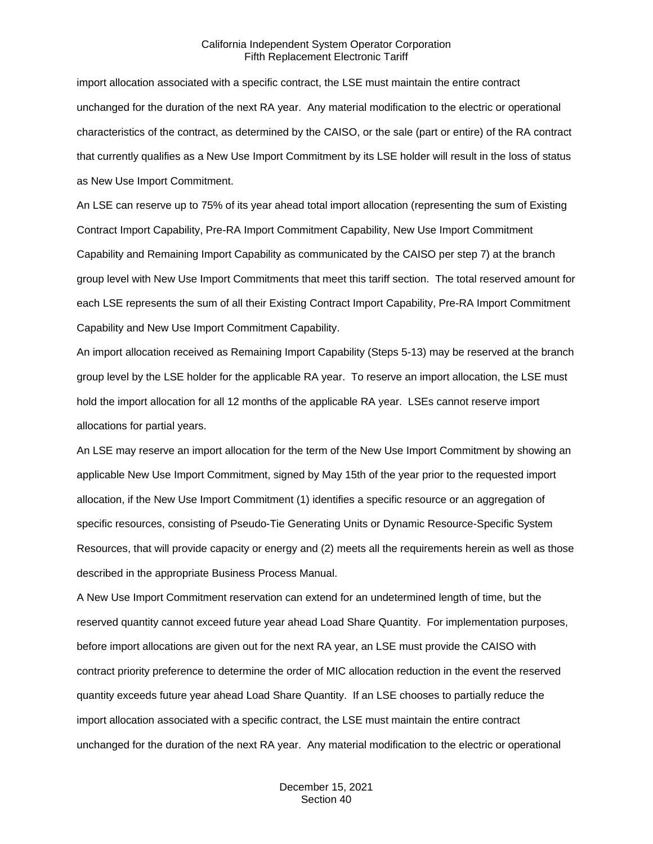import allocation associated with a specific contract, the LSE must maintain the entire contract unchanged for the duration of the next RA year. Any material modification to the electric or operational characteristics of the contract, as determined by the CAISO, or the sale (part or entire) of the RA contract that currently qualifies as a New Use Import Commitment by its LSE holder will result in the loss of status as New Use Import Commitment.

An LSE can reserve up to 75% of its year ahead total import allocation (representing the sum of Existing Contract Import Capability, Pre-RA Import Commitment Capability, New Use Import Commitment Capability and Remaining Import Capability as communicated by the CAISO per step 7) at the branch group level with New Use Import Commitments that meet this tariff section. The total reserved amount for each LSE represents the sum of all their Existing Contract Import Capability, Pre-RA Import Commitment Capability and New Use Import Commitment Capability.

An import allocation received as Remaining Import Capability (Steps 5-13) may be reserved at the branch group level by the LSE holder for the applicable RA year. To reserve an import allocation, the LSE must hold the import allocation for all 12 months of the applicable RA year. LSEs cannot reserve import allocations for partial years.

An LSE may reserve an import allocation for the term of the New Use Import Commitment by showing an applicable New Use Import Commitment, signed by May 15th of the year prior to the requested import allocation, if the New Use Import Commitment (1) identifies a specific resource or an aggregation of specific resources, consisting of Pseudo-Tie Generating Units or Dynamic Resource-Specific System Resources, that will provide capacity or energy and (2) meets all the requirements herein as well as those described in the appropriate Business Process Manual.

A New Use Import Commitment reservation can extend for an undetermined length of time, but the reserved quantity cannot exceed future year ahead Load Share Quantity. For implementation purposes, before import allocations are given out for the next RA year, an LSE must provide the CAISO with contract priority preference to determine the order of MIC allocation reduction in the event the reserved quantity exceeds future year ahead Load Share Quantity. If an LSE chooses to partially reduce the import allocation associated with a specific contract, the LSE must maintain the entire contract unchanged for the duration of the next RA year. Any material modification to the electric or operational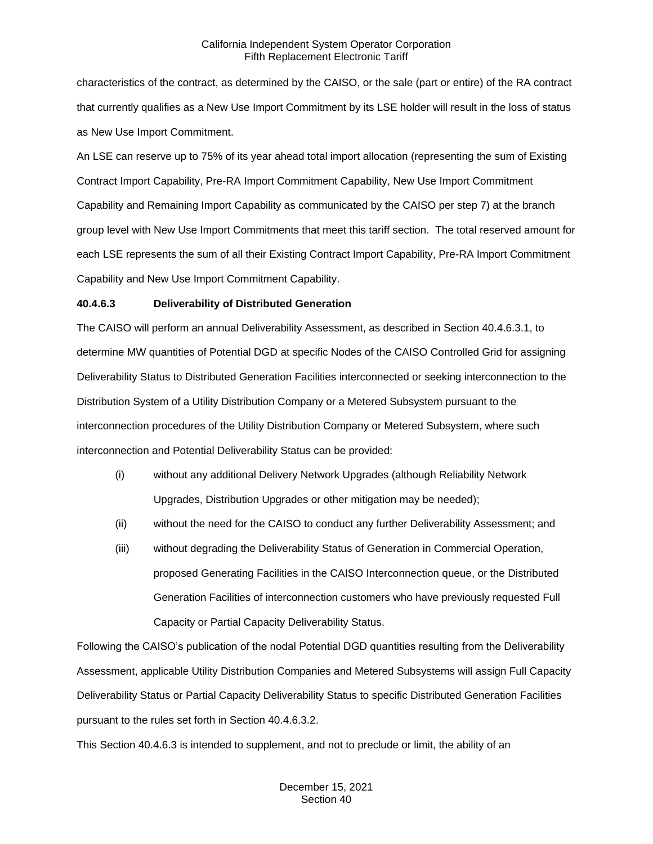characteristics of the contract, as determined by the CAISO, or the sale (part or entire) of the RA contract that currently qualifies as a New Use Import Commitment by its LSE holder will result in the loss of status as New Use Import Commitment.

An LSE can reserve up to 75% of its year ahead total import allocation (representing the sum of Existing Contract Import Capability, Pre-RA Import Commitment Capability, New Use Import Commitment Capability and Remaining Import Capability as communicated by the CAISO per step 7) at the branch group level with New Use Import Commitments that meet this tariff section. The total reserved amount for each LSE represents the sum of all their Existing Contract Import Capability, Pre-RA Import Commitment Capability and New Use Import Commitment Capability.

## **40.4.6.3 Deliverability of Distributed Generation**

The CAISO will perform an annual Deliverability Assessment, as described in Section 40.4.6.3.1, to determine MW quantities of Potential DGD at specific Nodes of the CAISO Controlled Grid for assigning Deliverability Status to Distributed Generation Facilities interconnected or seeking interconnection to the Distribution System of a Utility Distribution Company or a Metered Subsystem pursuant to the interconnection procedures of the Utility Distribution Company or Metered Subsystem, where such interconnection and Potential Deliverability Status can be provided:

- (i) without any additional Delivery Network Upgrades (although Reliability Network Upgrades, Distribution Upgrades or other mitigation may be needed);
- (ii) without the need for the CAISO to conduct any further Deliverability Assessment; and
- (iii) without degrading the Deliverability Status of Generation in Commercial Operation, proposed Generating Facilities in the CAISO Interconnection queue, or the Distributed Generation Facilities of interconnection customers who have previously requested Full Capacity or Partial Capacity Deliverability Status.

Following the CAISO's publication of the nodal Potential DGD quantities resulting from the Deliverability Assessment, applicable Utility Distribution Companies and Metered Subsystems will assign Full Capacity Deliverability Status or Partial Capacity Deliverability Status to specific Distributed Generation Facilities pursuant to the rules set forth in Section 40.4.6.3.2.

This Section 40.4.6.3 is intended to supplement, and not to preclude or limit, the ability of an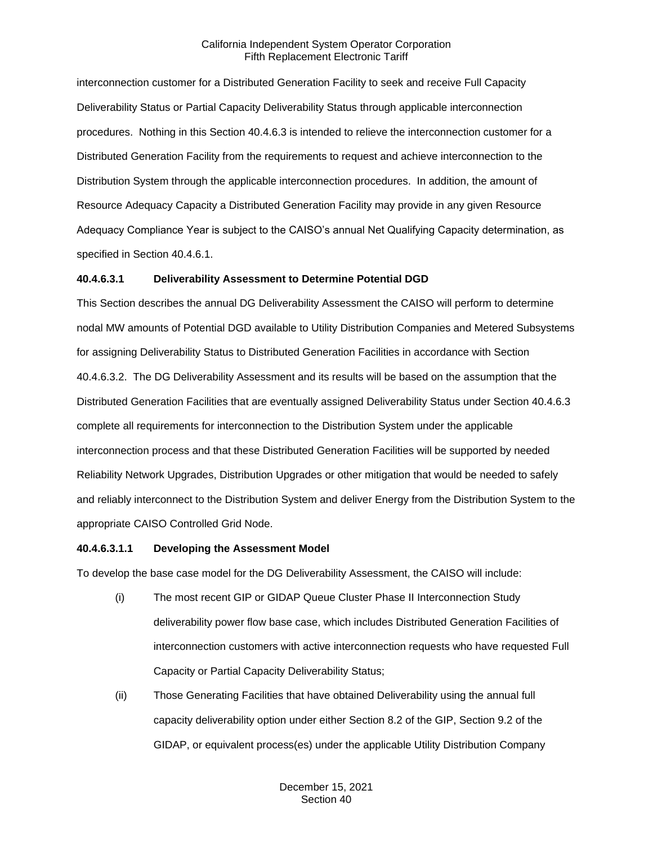interconnection customer for a Distributed Generation Facility to seek and receive Full Capacity Deliverability Status or Partial Capacity Deliverability Status through applicable interconnection procedures. Nothing in this Section 40.4.6.3 is intended to relieve the interconnection customer for a Distributed Generation Facility from the requirements to request and achieve interconnection to the Distribution System through the applicable interconnection procedures. In addition, the amount of Resource Adequacy Capacity a Distributed Generation Facility may provide in any given Resource Adequacy Compliance Year is subject to the CAISO's annual Net Qualifying Capacity determination, as specified in Section 40.4.6.1.

## **40.4.6.3.1 Deliverability Assessment to Determine Potential DGD**

This Section describes the annual DG Deliverability Assessment the CAISO will perform to determine nodal MW amounts of Potential DGD available to Utility Distribution Companies and Metered Subsystems for assigning Deliverability Status to Distributed Generation Facilities in accordance with Section 40.4.6.3.2. The DG Deliverability Assessment and its results will be based on the assumption that the Distributed Generation Facilities that are eventually assigned Deliverability Status under Section 40.4.6.3 complete all requirements for interconnection to the Distribution System under the applicable interconnection process and that these Distributed Generation Facilities will be supported by needed Reliability Network Upgrades, Distribution Upgrades or other mitigation that would be needed to safely and reliably interconnect to the Distribution System and deliver Energy from the Distribution System to the appropriate CAISO Controlled Grid Node.

#### **40.4.6.3.1.1 Developing the Assessment Model**

To develop the base case model for the DG Deliverability Assessment, the CAISO will include:

- (i) The most recent GIP or GIDAP Queue Cluster Phase II Interconnection Study deliverability power flow base case, which includes Distributed Generation Facilities of interconnection customers with active interconnection requests who have requested Full Capacity or Partial Capacity Deliverability Status;
- (ii) Those Generating Facilities that have obtained Deliverability using the annual full capacity deliverability option under either Section 8.2 of the GIP, Section 9.2 of the GIDAP, or equivalent process(es) under the applicable Utility Distribution Company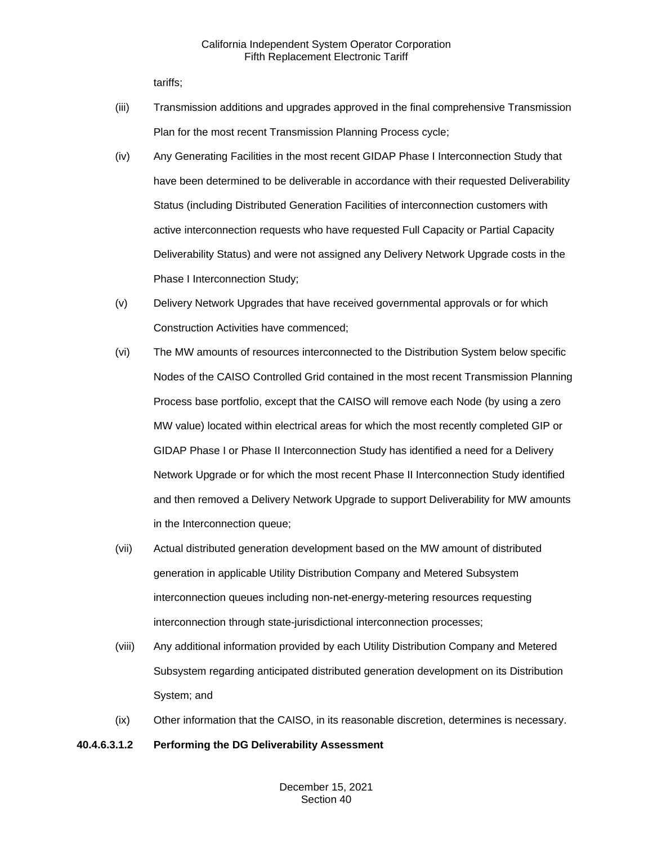tariffs;

- (iii) Transmission additions and upgrades approved in the final comprehensive Transmission Plan for the most recent Transmission Planning Process cycle;
- (iv) Any Generating Facilities in the most recent GIDAP Phase I Interconnection Study that have been determined to be deliverable in accordance with their requested Deliverability Status (including Distributed Generation Facilities of interconnection customers with active interconnection requests who have requested Full Capacity or Partial Capacity Deliverability Status) and were not assigned any Delivery Network Upgrade costs in the Phase I Interconnection Study;
- (v) Delivery Network Upgrades that have received governmental approvals or for which Construction Activities have commenced;
- (vi) The MW amounts of resources interconnected to the Distribution System below specific Nodes of the CAISO Controlled Grid contained in the most recent Transmission Planning Process base portfolio, except that the CAISO will remove each Node (by using a zero MW value) located within electrical areas for which the most recently completed GIP or GIDAP Phase I or Phase II Interconnection Study has identified a need for a Delivery Network Upgrade or for which the most recent Phase II Interconnection Study identified and then removed a Delivery Network Upgrade to support Deliverability for MW amounts in the Interconnection queue;
- (vii) Actual distributed generation development based on the MW amount of distributed generation in applicable Utility Distribution Company and Metered Subsystem interconnection queues including non-net-energy-metering resources requesting interconnection through state-jurisdictional interconnection processes;
- (viii) Any additional information provided by each Utility Distribution Company and Metered Subsystem regarding anticipated distributed generation development on its Distribution System; and
- (ix) Other information that the CAISO, in its reasonable discretion, determines is necessary.

## **40.4.6.3.1.2 Performing the DG Deliverability Assessment**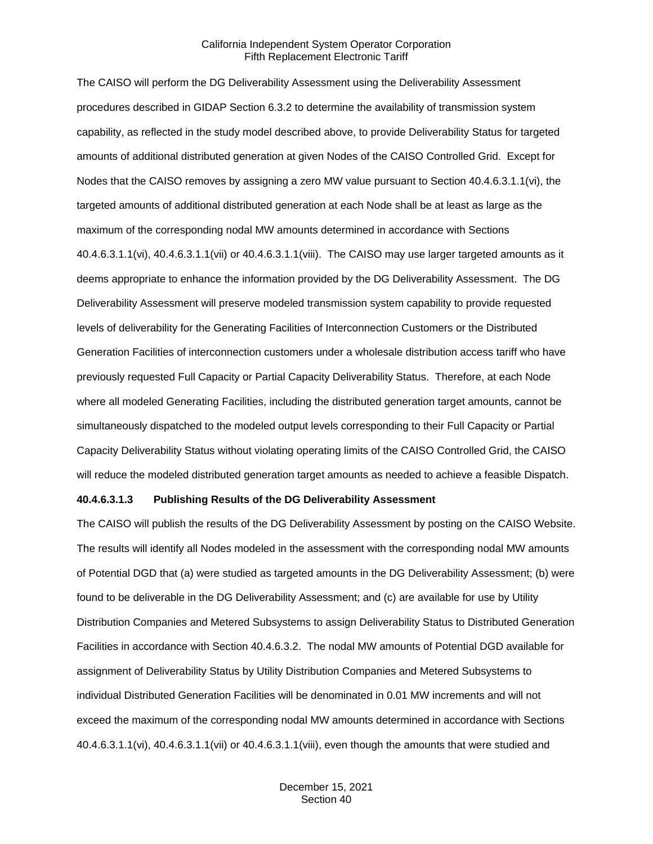The CAISO will perform the DG Deliverability Assessment using the Deliverability Assessment procedures described in GIDAP Section 6.3.2 to determine the availability of transmission system capability, as reflected in the study model described above, to provide Deliverability Status for targeted amounts of additional distributed generation at given Nodes of the CAISO Controlled Grid. Except for Nodes that the CAISO removes by assigning a zero MW value pursuant to Section 40.4.6.3.1.1(vi), the targeted amounts of additional distributed generation at each Node shall be at least as large as the maximum of the corresponding nodal MW amounts determined in accordance with Sections 40.4.6.3.1.1(vi), 40.4.6.3.1.1(vii) or 40.4.6.3.1.1(viii). The CAISO may use larger targeted amounts as it deems appropriate to enhance the information provided by the DG Deliverability Assessment. The DG Deliverability Assessment will preserve modeled transmission system capability to provide requested levels of deliverability for the Generating Facilities of Interconnection Customers or the Distributed Generation Facilities of interconnection customers under a wholesale distribution access tariff who have previously requested Full Capacity or Partial Capacity Deliverability Status. Therefore, at each Node where all modeled Generating Facilities, including the distributed generation target amounts, cannot be simultaneously dispatched to the modeled output levels corresponding to their Full Capacity or Partial Capacity Deliverability Status without violating operating limits of the CAISO Controlled Grid, the CAISO will reduce the modeled distributed generation target amounts as needed to achieve a feasible Dispatch.

#### **40.4.6.3.1.3 Publishing Results of the DG Deliverability Assessment**

The CAISO will publish the results of the DG Deliverability Assessment by posting on the CAISO Website. The results will identify all Nodes modeled in the assessment with the corresponding nodal MW amounts of Potential DGD that (a) were studied as targeted amounts in the DG Deliverability Assessment; (b) were found to be deliverable in the DG Deliverability Assessment; and (c) are available for use by Utility Distribution Companies and Metered Subsystems to assign Deliverability Status to Distributed Generation Facilities in accordance with Section 40.4.6.3.2. The nodal MW amounts of Potential DGD available for assignment of Deliverability Status by Utility Distribution Companies and Metered Subsystems to individual Distributed Generation Facilities will be denominated in 0.01 MW increments and will not exceed the maximum of the corresponding nodal MW amounts determined in accordance with Sections 40.4.6.3.1.1(vi), 40.4.6.3.1.1(vii) or 40.4.6.3.1.1(viii), even though the amounts that were studied and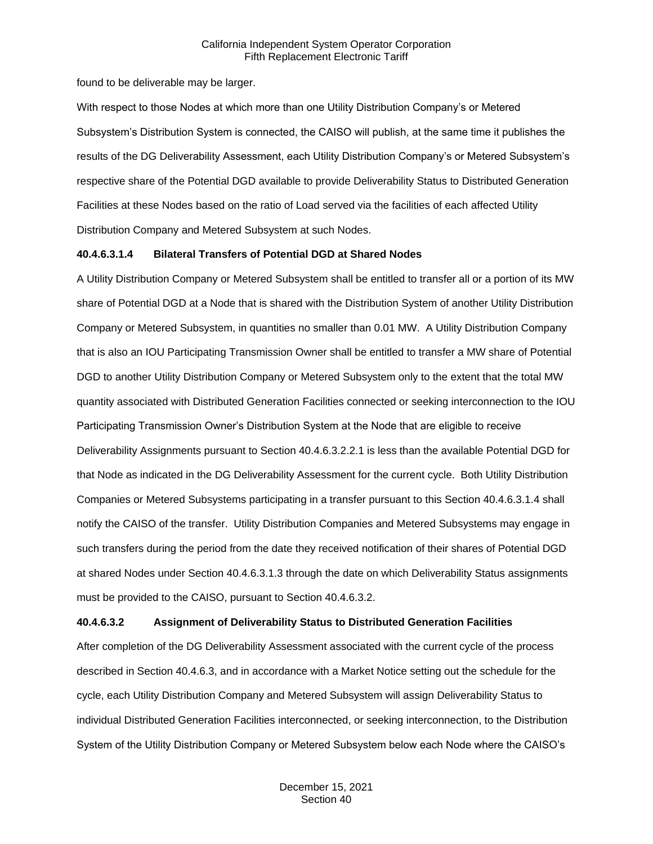found to be deliverable may be larger.

With respect to those Nodes at which more than one Utility Distribution Company's or Metered Subsystem's Distribution System is connected, the CAISO will publish, at the same time it publishes the results of the DG Deliverability Assessment, each Utility Distribution Company's or Metered Subsystem's respective share of the Potential DGD available to provide Deliverability Status to Distributed Generation Facilities at these Nodes based on the ratio of Load served via the facilities of each affected Utility Distribution Company and Metered Subsystem at such Nodes.

#### **40.4.6.3.1.4 Bilateral Transfers of Potential DGD at Shared Nodes**

A Utility Distribution Company or Metered Subsystem shall be entitled to transfer all or a portion of its MW share of Potential DGD at a Node that is shared with the Distribution System of another Utility Distribution Company or Metered Subsystem, in quantities no smaller than 0.01 MW. A Utility Distribution Company that is also an IOU Participating Transmission Owner shall be entitled to transfer a MW share of Potential DGD to another Utility Distribution Company or Metered Subsystem only to the extent that the total MW quantity associated with Distributed Generation Facilities connected or seeking interconnection to the IOU Participating Transmission Owner's Distribution System at the Node that are eligible to receive Deliverability Assignments pursuant to Section 40.4.6.3.2.2.1 is less than the available Potential DGD for that Node as indicated in the DG Deliverability Assessment for the current cycle. Both Utility Distribution Companies or Metered Subsystems participating in a transfer pursuant to this Section 40.4.6.3.1.4 shall notify the CAISO of the transfer. Utility Distribution Companies and Metered Subsystems may engage in such transfers during the period from the date they received notification of their shares of Potential DGD at shared Nodes under Section 40.4.6.3.1.3 through the date on which Deliverability Status assignments must be provided to the CAISO, pursuant to Section 40.4.6.3.2.

#### **40.4.6.3.2 Assignment of Deliverability Status to Distributed Generation Facilities**

After completion of the DG Deliverability Assessment associated with the current cycle of the process described in Section 40.4.6.3, and in accordance with a Market Notice setting out the schedule for the cycle, each Utility Distribution Company and Metered Subsystem will assign Deliverability Status to individual Distributed Generation Facilities interconnected, or seeking interconnection, to the Distribution System of the Utility Distribution Company or Metered Subsystem below each Node where the CAISO's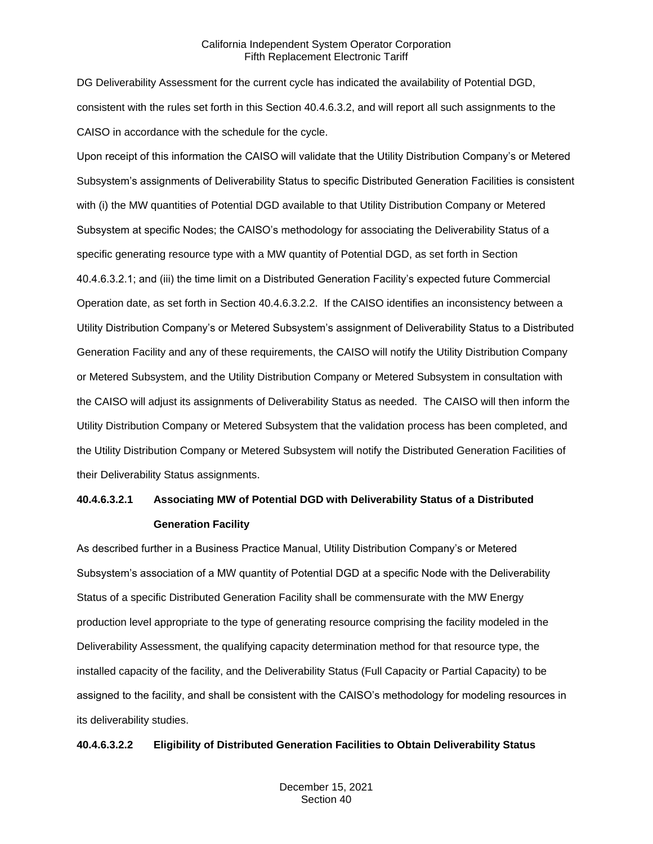DG Deliverability Assessment for the current cycle has indicated the availability of Potential DGD, consistent with the rules set forth in this Section 40.4.6.3.2, and will report all such assignments to the CAISO in accordance with the schedule for the cycle.

Upon receipt of this information the CAISO will validate that the Utility Distribution Company's or Metered Subsystem's assignments of Deliverability Status to specific Distributed Generation Facilities is consistent with (i) the MW quantities of Potential DGD available to that Utility Distribution Company or Metered Subsystem at specific Nodes; the CAISO's methodology for associating the Deliverability Status of a specific generating resource type with a MW quantity of Potential DGD, as set forth in Section 40.4.6.3.2.1; and (iii) the time limit on a Distributed Generation Facility's expected future Commercial Operation date, as set forth in Section 40.4.6.3.2.2. If the CAISO identifies an inconsistency between a Utility Distribution Company's or Metered Subsystem's assignment of Deliverability Status to a Distributed Generation Facility and any of these requirements, the CAISO will notify the Utility Distribution Company or Metered Subsystem, and the Utility Distribution Company or Metered Subsystem in consultation with the CAISO will adjust its assignments of Deliverability Status as needed. The CAISO will then inform the Utility Distribution Company or Metered Subsystem that the validation process has been completed, and the Utility Distribution Company or Metered Subsystem will notify the Distributed Generation Facilities of their Deliverability Status assignments.

## **40.4.6.3.2.1 Associating MW of Potential DGD with Deliverability Status of a Distributed Generation Facility**

As described further in a Business Practice Manual, Utility Distribution Company's or Metered Subsystem's association of a MW quantity of Potential DGD at a specific Node with the Deliverability Status of a specific Distributed Generation Facility shall be commensurate with the MW Energy production level appropriate to the type of generating resource comprising the facility modeled in the Deliverability Assessment, the qualifying capacity determination method for that resource type, the installed capacity of the facility, and the Deliverability Status (Full Capacity or Partial Capacity) to be assigned to the facility, and shall be consistent with the CAISO's methodology for modeling resources in its deliverability studies.

#### **40.4.6.3.2.2 Eligibility of Distributed Generation Facilities to Obtain Deliverability Status**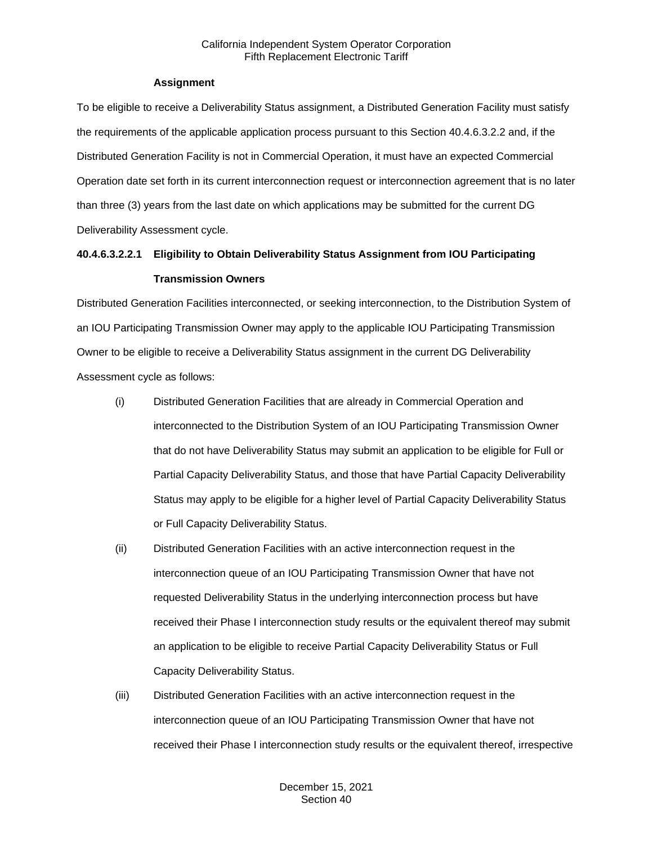## **Assignment**

To be eligible to receive a Deliverability Status assignment, a Distributed Generation Facility must satisfy the requirements of the applicable application process pursuant to this Section 40.4.6.3.2.2 and, if the Distributed Generation Facility is not in Commercial Operation, it must have an expected Commercial Operation date set forth in its current interconnection request or interconnection agreement that is no later than three (3) years from the last date on which applications may be submitted for the current DG Deliverability Assessment cycle.

## **40.4.6.3.2.2.1 Eligibility to Obtain Deliverability Status Assignment from IOU Participating Transmission Owners**

Distributed Generation Facilities interconnected, or seeking interconnection, to the Distribution System of an IOU Participating Transmission Owner may apply to the applicable IOU Participating Transmission Owner to be eligible to receive a Deliverability Status assignment in the current DG Deliverability Assessment cycle as follows:

- (i) Distributed Generation Facilities that are already in Commercial Operation and interconnected to the Distribution System of an IOU Participating Transmission Owner that do not have Deliverability Status may submit an application to be eligible for Full or Partial Capacity Deliverability Status, and those that have Partial Capacity Deliverability Status may apply to be eligible for a higher level of Partial Capacity Deliverability Status or Full Capacity Deliverability Status.
- (ii) Distributed Generation Facilities with an active interconnection request in the interconnection queue of an IOU Participating Transmission Owner that have not requested Deliverability Status in the underlying interconnection process but have received their Phase I interconnection study results or the equivalent thereof may submit an application to be eligible to receive Partial Capacity Deliverability Status or Full Capacity Deliverability Status.
- (iii) Distributed Generation Facilities with an active interconnection request in the interconnection queue of an IOU Participating Transmission Owner that have not received their Phase I interconnection study results or the equivalent thereof, irrespective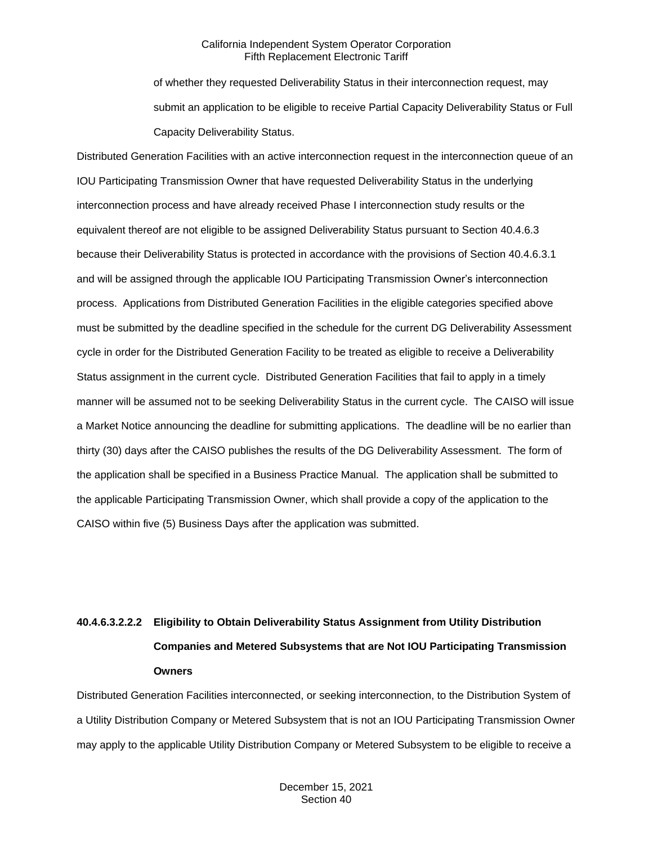of whether they requested Deliverability Status in their interconnection request, may submit an application to be eligible to receive Partial Capacity Deliverability Status or Full Capacity Deliverability Status.

Distributed Generation Facilities with an active interconnection request in the interconnection queue of an IOU Participating Transmission Owner that have requested Deliverability Status in the underlying interconnection process and have already received Phase I interconnection study results or the equivalent thereof are not eligible to be assigned Deliverability Status pursuant to Section 40.4.6.3 because their Deliverability Status is protected in accordance with the provisions of Section 40.4.6.3.1 and will be assigned through the applicable IOU Participating Transmission Owner's interconnection process. Applications from Distributed Generation Facilities in the eligible categories specified above must be submitted by the deadline specified in the schedule for the current DG Deliverability Assessment cycle in order for the Distributed Generation Facility to be treated as eligible to receive a Deliverability Status assignment in the current cycle. Distributed Generation Facilities that fail to apply in a timely manner will be assumed not to be seeking Deliverability Status in the current cycle. The CAISO will issue a Market Notice announcing the deadline for submitting applications. The deadline will be no earlier than thirty (30) days after the CAISO publishes the results of the DG Deliverability Assessment. The form of the application shall be specified in a Business Practice Manual. The application shall be submitted to the applicable Participating Transmission Owner, which shall provide a copy of the application to the CAISO within five (5) Business Days after the application was submitted.

# **40.4.6.3.2.2.2 Eligibility to Obtain Deliverability Status Assignment from Utility Distribution Companies and Metered Subsystems that are Not IOU Participating Transmission Owners**

Distributed Generation Facilities interconnected, or seeking interconnection, to the Distribution System of a Utility Distribution Company or Metered Subsystem that is not an IOU Participating Transmission Owner may apply to the applicable Utility Distribution Company or Metered Subsystem to be eligible to receive a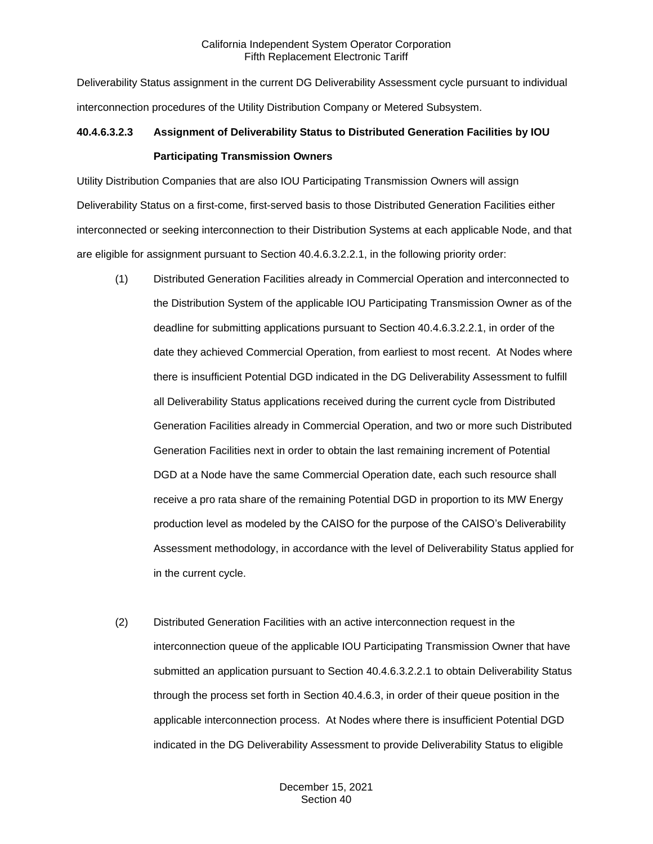Deliverability Status assignment in the current DG Deliverability Assessment cycle pursuant to individual interconnection procedures of the Utility Distribution Company or Metered Subsystem.

## **40.4.6.3.2.3 Assignment of Deliverability Status to Distributed Generation Facilities by IOU Participating Transmission Owners**

Utility Distribution Companies that are also IOU Participating Transmission Owners will assign Deliverability Status on a first-come, first-served basis to those Distributed Generation Facilities either interconnected or seeking interconnection to their Distribution Systems at each applicable Node, and that are eligible for assignment pursuant to Section 40.4.6.3.2.2.1, in the following priority order:

- (1) Distributed Generation Facilities already in Commercial Operation and interconnected to the Distribution System of the applicable IOU Participating Transmission Owner as of the deadline for submitting applications pursuant to Section 40.4.6.3.2.2.1, in order of the date they achieved Commercial Operation, from earliest to most recent. At Nodes where there is insufficient Potential DGD indicated in the DG Deliverability Assessment to fulfill all Deliverability Status applications received during the current cycle from Distributed Generation Facilities already in Commercial Operation, and two or more such Distributed Generation Facilities next in order to obtain the last remaining increment of Potential DGD at a Node have the same Commercial Operation date, each such resource shall receive a pro rata share of the remaining Potential DGD in proportion to its MW Energy production level as modeled by the CAISO for the purpose of the CAISO's Deliverability Assessment methodology, in accordance with the level of Deliverability Status applied for in the current cycle.
- (2) Distributed Generation Facilities with an active interconnection request in the interconnection queue of the applicable IOU Participating Transmission Owner that have submitted an application pursuant to Section 40.4.6.3.2.2.1 to obtain Deliverability Status through the process set forth in Section 40.4.6.3, in order of their queue position in the applicable interconnection process. At Nodes where there is insufficient Potential DGD indicated in the DG Deliverability Assessment to provide Deliverability Status to eligible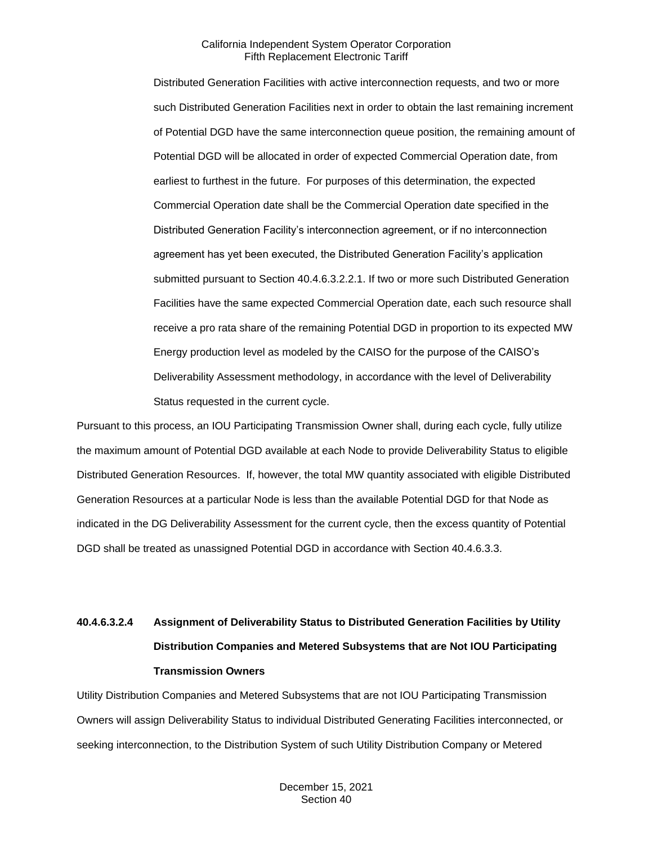Distributed Generation Facilities with active interconnection requests, and two or more such Distributed Generation Facilities next in order to obtain the last remaining increment of Potential DGD have the same interconnection queue position, the remaining amount of Potential DGD will be allocated in order of expected Commercial Operation date, from earliest to furthest in the future. For purposes of this determination, the expected Commercial Operation date shall be the Commercial Operation date specified in the Distributed Generation Facility's interconnection agreement, or if no interconnection agreement has yet been executed, the Distributed Generation Facility's application submitted pursuant to Section 40.4.6.3.2.2.1. If two or more such Distributed Generation Facilities have the same expected Commercial Operation date, each such resource shall receive a pro rata share of the remaining Potential DGD in proportion to its expected MW Energy production level as modeled by the CAISO for the purpose of the CAISO's Deliverability Assessment methodology, in accordance with the level of Deliverability Status requested in the current cycle.

Pursuant to this process, an IOU Participating Transmission Owner shall, during each cycle, fully utilize the maximum amount of Potential DGD available at each Node to provide Deliverability Status to eligible Distributed Generation Resources. If, however, the total MW quantity associated with eligible Distributed Generation Resources at a particular Node is less than the available Potential DGD for that Node as indicated in the DG Deliverability Assessment for the current cycle, then the excess quantity of Potential DGD shall be treated as unassigned Potential DGD in accordance with Section 40.4.6.3.3.

# **40.4.6.3.2.4 Assignment of Deliverability Status to Distributed Generation Facilities by Utility Distribution Companies and Metered Subsystems that are Not IOU Participating Transmission Owners**

Utility Distribution Companies and Metered Subsystems that are not IOU Participating Transmission Owners will assign Deliverability Status to individual Distributed Generating Facilities interconnected, or seeking interconnection, to the Distribution System of such Utility Distribution Company or Metered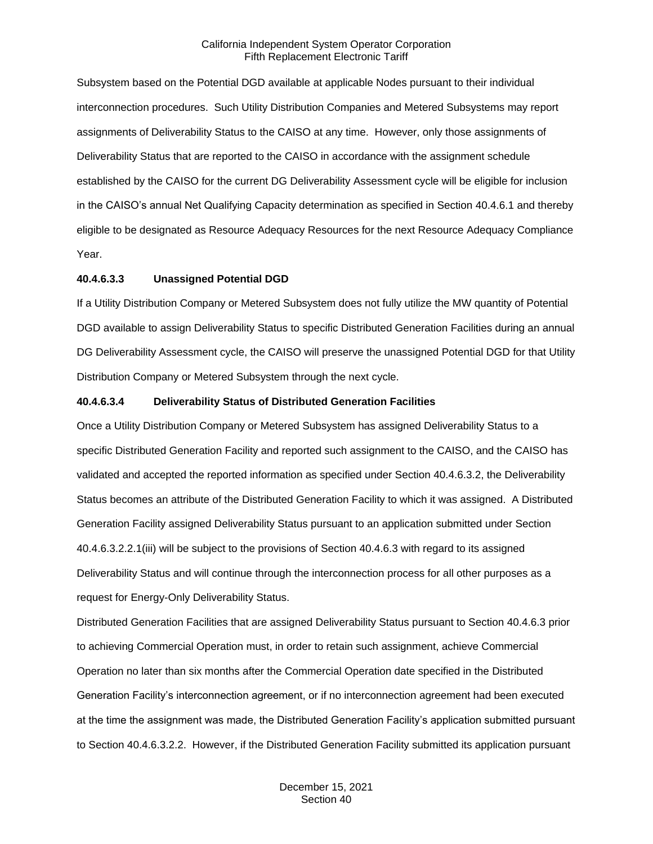Subsystem based on the Potential DGD available at applicable Nodes pursuant to their individual interconnection procedures. Such Utility Distribution Companies and Metered Subsystems may report assignments of Deliverability Status to the CAISO at any time. However, only those assignments of Deliverability Status that are reported to the CAISO in accordance with the assignment schedule established by the CAISO for the current DG Deliverability Assessment cycle will be eligible for inclusion in the CAISO's annual Net Qualifying Capacity determination as specified in Section 40.4.6.1 and thereby eligible to be designated as Resource Adequacy Resources for the next Resource Adequacy Compliance Year.

## **40.4.6.3.3 Unassigned Potential DGD**

If a Utility Distribution Company or Metered Subsystem does not fully utilize the MW quantity of Potential DGD available to assign Deliverability Status to specific Distributed Generation Facilities during an annual DG Deliverability Assessment cycle, the CAISO will preserve the unassigned Potential DGD for that Utility Distribution Company or Metered Subsystem through the next cycle.

## **40.4.6.3.4 Deliverability Status of Distributed Generation Facilities**

Once a Utility Distribution Company or Metered Subsystem has assigned Deliverability Status to a specific Distributed Generation Facility and reported such assignment to the CAISO, and the CAISO has validated and accepted the reported information as specified under Section 40.4.6.3.2, the Deliverability Status becomes an attribute of the Distributed Generation Facility to which it was assigned. A Distributed Generation Facility assigned Deliverability Status pursuant to an application submitted under Section 40.4.6.3.2.2.1(iii) will be subject to the provisions of Section 40.4.6.3 with regard to its assigned Deliverability Status and will continue through the interconnection process for all other purposes as a request for Energy-Only Deliverability Status.

Distributed Generation Facilities that are assigned Deliverability Status pursuant to Section 40.4.6.3 prior to achieving Commercial Operation must, in order to retain such assignment, achieve Commercial Operation no later than six months after the Commercial Operation date specified in the Distributed Generation Facility's interconnection agreement, or if no interconnection agreement had been executed at the time the assignment was made, the Distributed Generation Facility's application submitted pursuant to Section 40.4.6.3.2.2. However, if the Distributed Generation Facility submitted its application pursuant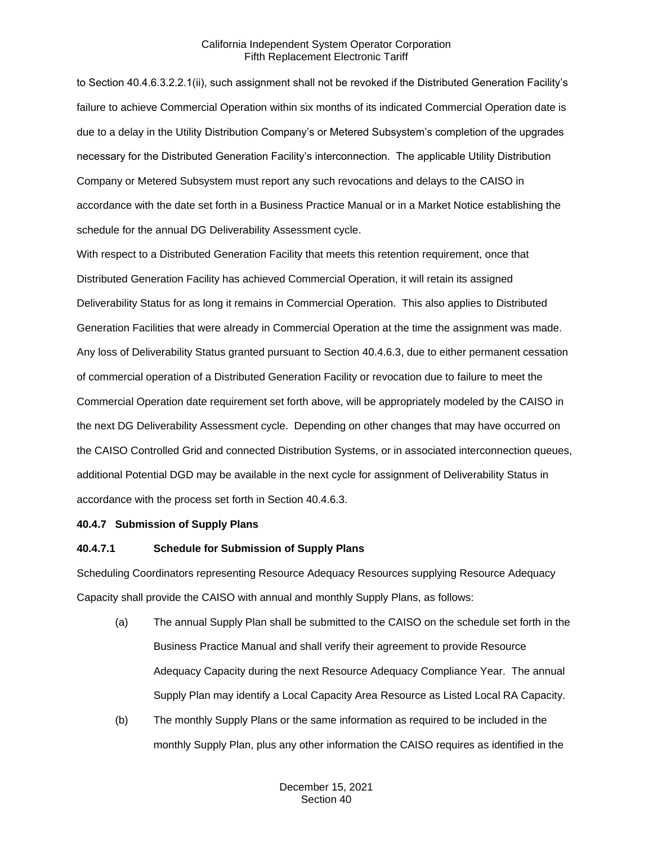to Section 40.4.6.3.2.2.1(ii), such assignment shall not be revoked if the Distributed Generation Facility's failure to achieve Commercial Operation within six months of its indicated Commercial Operation date is due to a delay in the Utility Distribution Company's or Metered Subsystem's completion of the upgrades necessary for the Distributed Generation Facility's interconnection. The applicable Utility Distribution Company or Metered Subsystem must report any such revocations and delays to the CAISO in accordance with the date set forth in a Business Practice Manual or in a Market Notice establishing the schedule for the annual DG Deliverability Assessment cycle.

With respect to a Distributed Generation Facility that meets this retention requirement, once that Distributed Generation Facility has achieved Commercial Operation, it will retain its assigned Deliverability Status for as long it remains in Commercial Operation. This also applies to Distributed Generation Facilities that were already in Commercial Operation at the time the assignment was made. Any loss of Deliverability Status granted pursuant to Section 40.4.6.3, due to either permanent cessation of commercial operation of a Distributed Generation Facility or revocation due to failure to meet the Commercial Operation date requirement set forth above, will be appropriately modeled by the CAISO in the next DG Deliverability Assessment cycle. Depending on other changes that may have occurred on the CAISO Controlled Grid and connected Distribution Systems, or in associated interconnection queues, additional Potential DGD may be available in the next cycle for assignment of Deliverability Status in accordance with the process set forth in Section 40.4.6.3.

#### <span id="page-35-0"></span>**40.4.7 Submission of Supply Plans**

#### **40.4.7.1 Schedule for Submission of Supply Plans**

Scheduling Coordinators representing Resource Adequacy Resources supplying Resource Adequacy Capacity shall provide the CAISO with annual and monthly Supply Plans, as follows:

- (a) The annual Supply Plan shall be submitted to the CAISO on the schedule set forth in the Business Practice Manual and shall verify their agreement to provide Resource Adequacy Capacity during the next Resource Adequacy Compliance Year. The annual Supply Plan may identify a Local Capacity Area Resource as Listed Local RA Capacity.
- (b) The monthly Supply Plans or the same information as required to be included in the monthly Supply Plan, plus any other information the CAISO requires as identified in the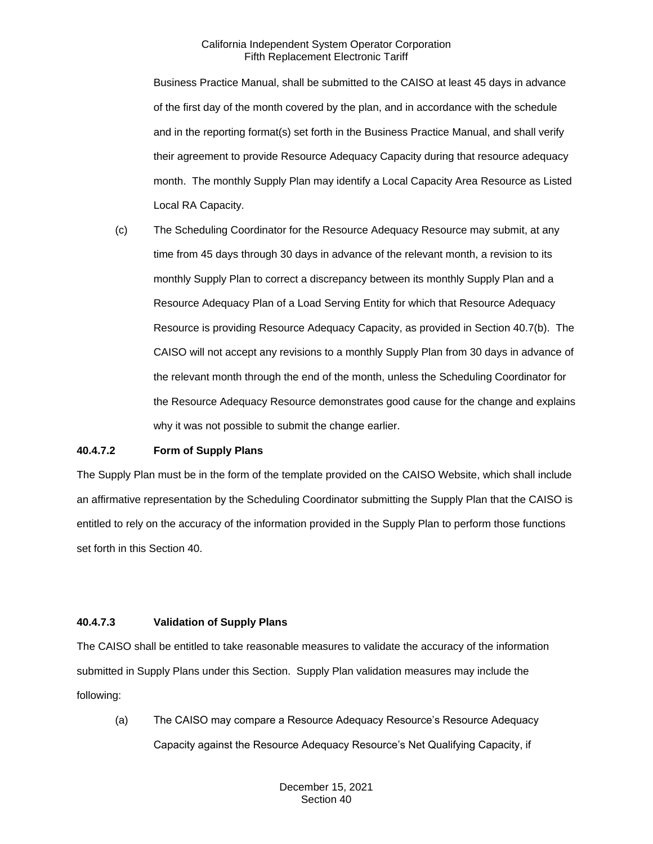Business Practice Manual, shall be submitted to the CAISO at least 45 days in advance of the first day of the month covered by the plan, and in accordance with the schedule and in the reporting format(s) set forth in the Business Practice Manual, and shall verify their agreement to provide Resource Adequacy Capacity during that resource adequacy month. The monthly Supply Plan may identify a Local Capacity Area Resource as Listed Local RA Capacity.

(c) The Scheduling Coordinator for the Resource Adequacy Resource may submit, at any time from 45 days through 30 days in advance of the relevant month, a revision to its monthly Supply Plan to correct a discrepancy between its monthly Supply Plan and a Resource Adequacy Plan of a Load Serving Entity for which that Resource Adequacy Resource is providing Resource Adequacy Capacity, as provided in Section 40.7(b). The CAISO will not accept any revisions to a monthly Supply Plan from 30 days in advance of the relevant month through the end of the month, unless the Scheduling Coordinator for the Resource Adequacy Resource demonstrates good cause for the change and explains why it was not possible to submit the change earlier.

# **40.4.7.2 Form of Supply Plans**

The Supply Plan must be in the form of the template provided on the CAISO Website, which shall include an affirmative representation by the Scheduling Coordinator submitting the Supply Plan that the CAISO is entitled to rely on the accuracy of the information provided in the Supply Plan to perform those functions set forth in this Section 40.

# **40.4.7.3 Validation of Supply Plans**

The CAISO shall be entitled to take reasonable measures to validate the accuracy of the information submitted in Supply Plans under this Section. Supply Plan validation measures may include the following:

(a) The CAISO may compare a Resource Adequacy Resource's Resource Adequacy Capacity against the Resource Adequacy Resource's Net Qualifying Capacity, if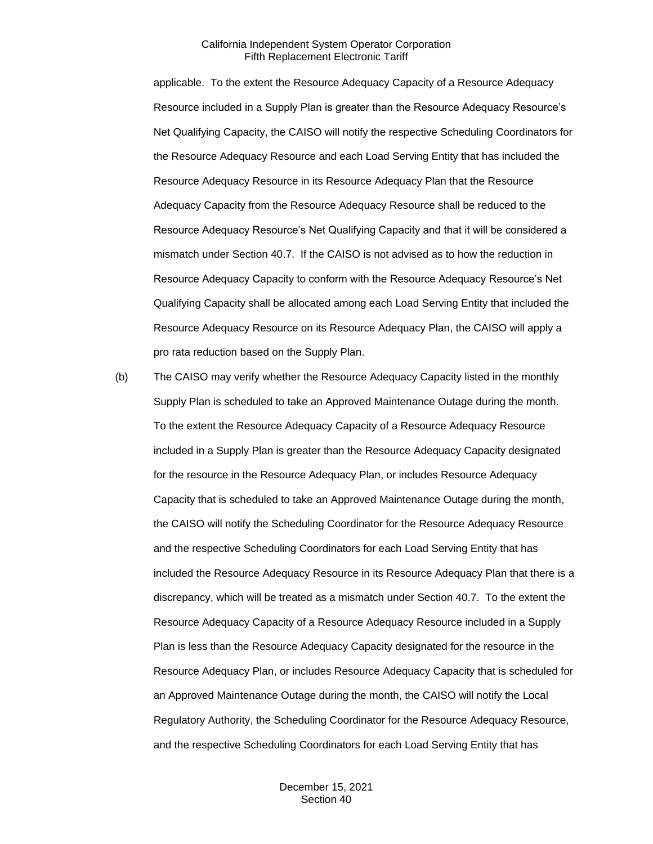applicable. To the extent the Resource Adequacy Capacity of a Resource Adequacy Resource included in a Supply Plan is greater than the Resource Adequacy Resource's Net Qualifying Capacity, the CAISO will notify the respective Scheduling Coordinators for the Resource Adequacy Resource and each Load Serving Entity that has included the Resource Adequacy Resource in its Resource Adequacy Plan that the Resource Adequacy Capacity from the Resource Adequacy Resource shall be reduced to the Resource Adequacy Resource's Net Qualifying Capacity and that it will be considered a mismatch under Section 40.7. If the CAISO is not advised as to how the reduction in Resource Adequacy Capacity to conform with the Resource Adequacy Resource's Net Qualifying Capacity shall be allocated among each Load Serving Entity that included the Resource Adequacy Resource on its Resource Adequacy Plan, the CAISO will apply a pro rata reduction based on the Supply Plan.

(b) The CAISO may verify whether the Resource Adequacy Capacity listed in the monthly Supply Plan is scheduled to take an Approved Maintenance Outage during the month. To the extent the Resource Adequacy Capacity of a Resource Adequacy Resource included in a Supply Plan is greater than the Resource Adequacy Capacity designated for the resource in the Resource Adequacy Plan, or includes Resource Adequacy Capacity that is scheduled to take an Approved Maintenance Outage during the month, the CAISO will notify the Scheduling Coordinator for the Resource Adequacy Resource and the respective Scheduling Coordinators for each Load Serving Entity that has included the Resource Adequacy Resource in its Resource Adequacy Plan that there is a discrepancy, which will be treated as a mismatch under Section 40.7. To the extent the Resource Adequacy Capacity of a Resource Adequacy Resource included in a Supply Plan is less than the Resource Adequacy Capacity designated for the resource in the Resource Adequacy Plan, or includes Resource Adequacy Capacity that is scheduled for an Approved Maintenance Outage during the month, the CAISO will notify the Local Regulatory Authority, the Scheduling Coordinator for the Resource Adequacy Resource, and the respective Scheduling Coordinators for each Load Serving Entity that has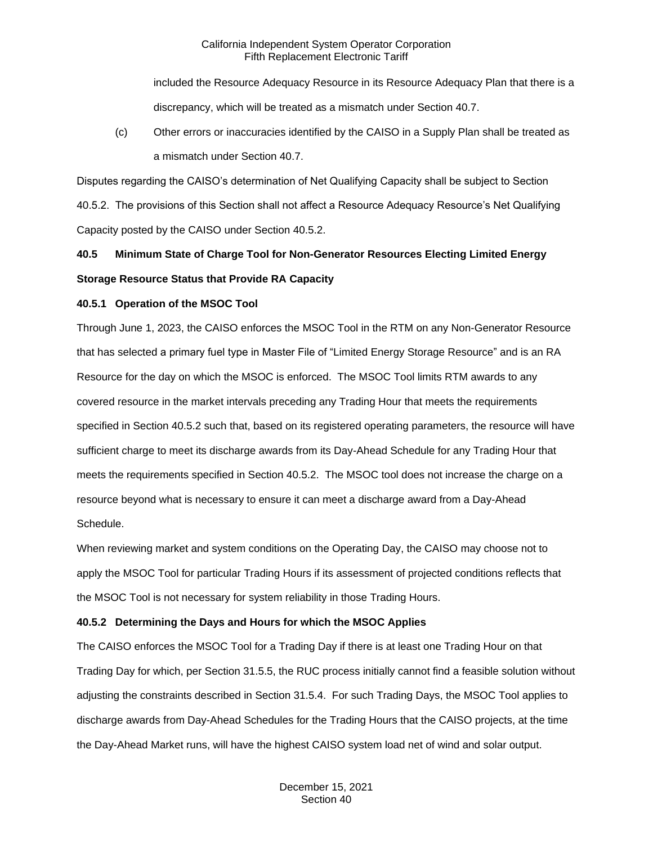included the Resource Adequacy Resource in its Resource Adequacy Plan that there is a discrepancy, which will be treated as a mismatch under Section 40.7.

(c) Other errors or inaccuracies identified by the CAISO in a Supply Plan shall be treated as a mismatch under Section 40.7.

Disputes regarding the CAISO's determination of Net Qualifying Capacity shall be subject to Section 40.5.2. The provisions of this Section shall not affect a Resource Adequacy Resource's Net Qualifying Capacity posted by the CAISO under Section 40.5.2.

# **40.5 Minimum State of Charge Tool for Non-Generator Resources Electing Limited Energy Storage Resource Status that Provide RA Capacity**

# **40.5.1 Operation of the MSOC Tool**

Through June 1, 2023, the CAISO enforces the MSOC Tool in the RTM on any Non-Generator Resource that has selected a primary fuel type in Master File of "Limited Energy Storage Resource" and is an RA Resource for the day on which the MSOC is enforced. The MSOC Tool limits RTM awards to any covered resource in the market intervals preceding any Trading Hour that meets the requirements specified in Section 40.5.2 such that, based on its registered operating parameters, the resource will have sufficient charge to meet its discharge awards from its Day-Ahead Schedule for any Trading Hour that meets the requirements specified in Section 40.5.2. The MSOC tool does not increase the charge on a resource beyond what is necessary to ensure it can meet a discharge award from a Day-Ahead Schedule.

When reviewing market and system conditions on the Operating Day, the CAISO may choose not to apply the MSOC Tool for particular Trading Hours if its assessment of projected conditions reflects that the MSOC Tool is not necessary for system reliability in those Trading Hours.

# **40.5.2 Determining the Days and Hours for which the MSOC Applies**

The CAISO enforces the MSOC Tool for a Trading Day if there is at least one Trading Hour on that Trading Day for which, per Section 31.5.5, the RUC process initially cannot find a feasible solution without adjusting the constraints described in Section 31.5.4. For such Trading Days, the MSOC Tool applies to discharge awards from Day-Ahead Schedules for the Trading Hours that the CAISO projects, at the time the Day-Ahead Market runs, will have the highest CAISO system load net of wind and solar output.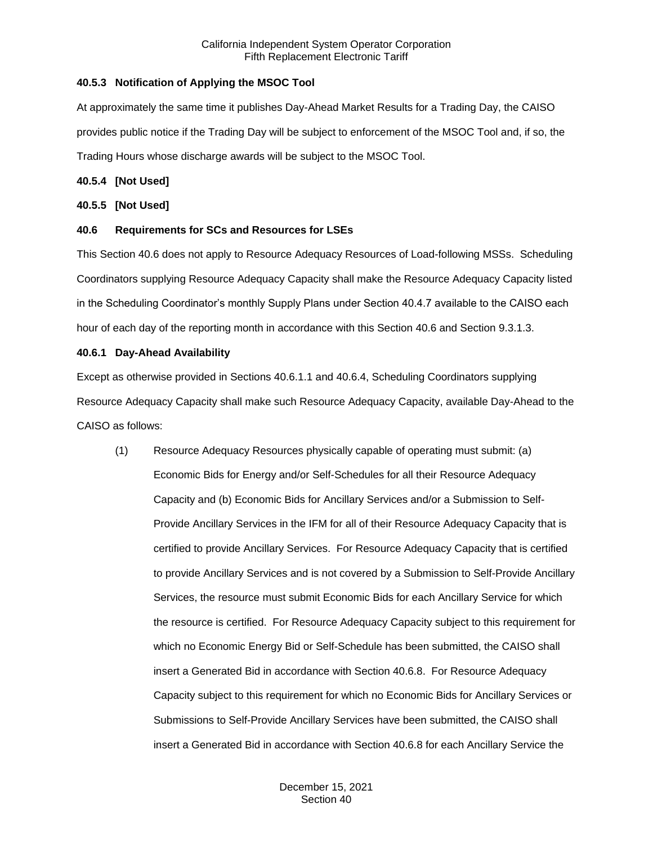# **40.5.3 Notification of Applying the MSOC Tool**

At approximately the same time it publishes Day-Ahead Market Results for a Trading Day, the CAISO provides public notice if the Trading Day will be subject to enforcement of the MSOC Tool and, if so, the Trading Hours whose discharge awards will be subject to the MSOC Tool.

# **40.5.4 [Not Used]**

# **40.5.5 [Not Used]**

# **40.6 Requirements for SCs and Resources for LSEs**

This Section 40.6 does not apply to Resource Adequacy Resources of Load-following MSSs. Scheduling Coordinators supplying Resource Adequacy Capacity shall make the Resource Adequacy Capacity listed in the Scheduling Coordinator's monthly Supply Plans under Section 40.4.7 available to the CAISO each hour of each day of the reporting month in accordance with this Section 40.6 and Section 9.3.1.3.

# **40.6.1 Day-Ahead Availability**

Except as otherwise provided in Sections 40.6.1.1 and 40.6.4, Scheduling Coordinators supplying Resource Adequacy Capacity shall make such Resource Adequacy Capacity, available Day-Ahead to the CAISO as follows:

(1) Resource Adequacy Resources physically capable of operating must submit: (a) Economic Bids for Energy and/or Self-Schedules for all their Resource Adequacy Capacity and (b) Economic Bids for Ancillary Services and/or a Submission to Self-Provide Ancillary Services in the IFM for all of their Resource Adequacy Capacity that is certified to provide Ancillary Services. For Resource Adequacy Capacity that is certified to provide Ancillary Services and is not covered by a Submission to Self-Provide Ancillary Services, the resource must submit Economic Bids for each Ancillary Service for which the resource is certified. For Resource Adequacy Capacity subject to this requirement for which no Economic Energy Bid or Self-Schedule has been submitted, the CAISO shall insert a Generated Bid in accordance with Section 40.6.8. For Resource Adequacy Capacity subject to this requirement for which no Economic Bids for Ancillary Services or Submissions to Self-Provide Ancillary Services have been submitted, the CAISO shall insert a Generated Bid in accordance with Section 40.6.8 for each Ancillary Service the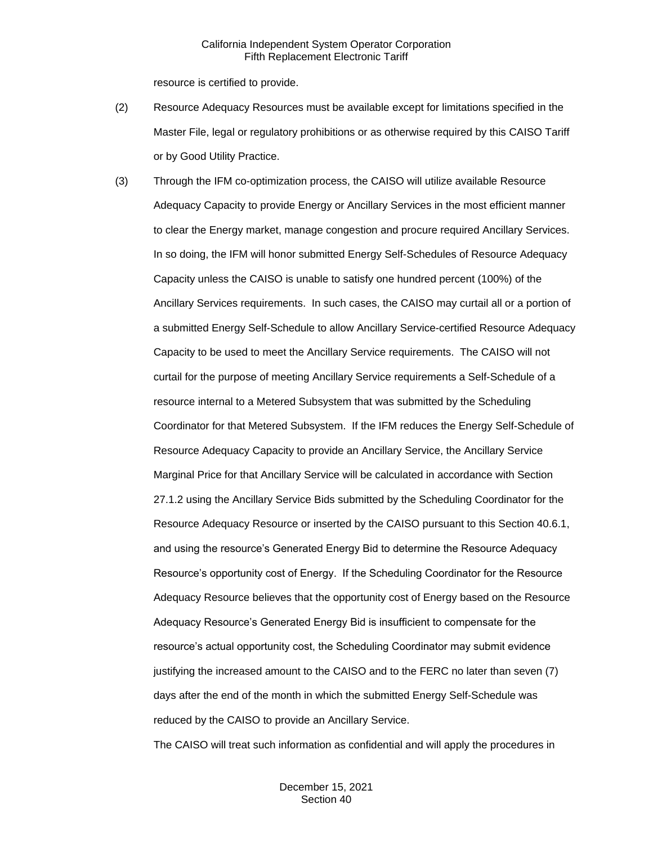resource is certified to provide.

- (2) Resource Adequacy Resources must be available except for limitations specified in the Master File, legal or regulatory prohibitions or as otherwise required by this CAISO Tariff or by Good Utility Practice.
- (3) Through the IFM co-optimization process, the CAISO will utilize available Resource Adequacy Capacity to provide Energy or Ancillary Services in the most efficient manner to clear the Energy market, manage congestion and procure required Ancillary Services. In so doing, the IFM will honor submitted Energy Self-Schedules of Resource Adequacy Capacity unless the CAISO is unable to satisfy one hundred percent (100%) of the Ancillary Services requirements. In such cases, the CAISO may curtail all or a portion of a submitted Energy Self-Schedule to allow Ancillary Service-certified Resource Adequacy Capacity to be used to meet the Ancillary Service requirements. The CAISO will not curtail for the purpose of meeting Ancillary Service requirements a Self-Schedule of a resource internal to a Metered Subsystem that was submitted by the Scheduling Coordinator for that Metered Subsystem. If the IFM reduces the Energy Self-Schedule of Resource Adequacy Capacity to provide an Ancillary Service, the Ancillary Service Marginal Price for that Ancillary Service will be calculated in accordance with Section 27.1.2 using the Ancillary Service Bids submitted by the Scheduling Coordinator for the Resource Adequacy Resource or inserted by the CAISO pursuant to this Section 40.6.1, and using the resource's Generated Energy Bid to determine the Resource Adequacy Resource's opportunity cost of Energy. If the Scheduling Coordinator for the Resource Adequacy Resource believes that the opportunity cost of Energy based on the Resource Adequacy Resource's Generated Energy Bid is insufficient to compensate for the resource's actual opportunity cost, the Scheduling Coordinator may submit evidence justifying the increased amount to the CAISO and to the FERC no later than seven (7) days after the end of the month in which the submitted Energy Self-Schedule was reduced by the CAISO to provide an Ancillary Service.

The CAISO will treat such information as confidential and will apply the procedures in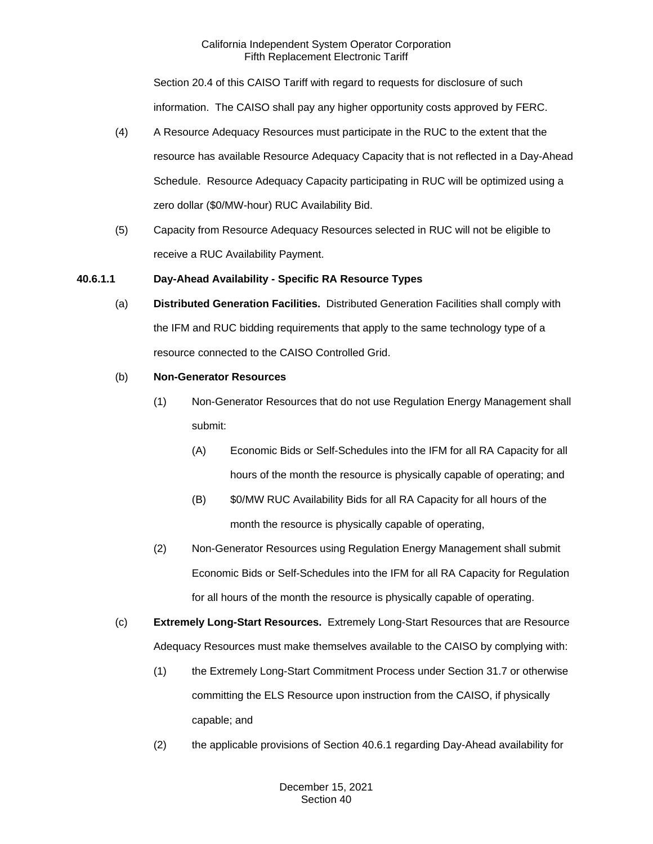Section 20.4 of this CAISO Tariff with regard to requests for disclosure of such information. The CAISO shall pay any higher opportunity costs approved by FERC.

- (4) A Resource Adequacy Resources must participate in the RUC to the extent that the resource has available Resource Adequacy Capacity that is not reflected in a Day-Ahead Schedule. Resource Adequacy Capacity participating in RUC will be optimized using a zero dollar (\$0/MW-hour) RUC Availability Bid.
- (5) Capacity from Resource Adequacy Resources selected in RUC will not be eligible to receive a RUC Availability Payment.

# **40.6.1.1 Day-Ahead Availability - Specific RA Resource Types**

(a) **Distributed Generation Facilities.** Distributed Generation Facilities shall comply with the IFM and RUC bidding requirements that apply to the same technology type of a resource connected to the CAISO Controlled Grid.

# (b) **Non-Generator Resources**

- (1) Non-Generator Resources that do not use Regulation Energy Management shall submit:
	- (A) Economic Bids or Self-Schedules into the IFM for all RA Capacity for all hours of the month the resource is physically capable of operating; and
	- (B) \$0/MW RUC Availability Bids for all RA Capacity for all hours of the month the resource is physically capable of operating,
- (2) Non-Generator Resources using Regulation Energy Management shall submit Economic Bids or Self-Schedules into the IFM for all RA Capacity for Regulation for all hours of the month the resource is physically capable of operating.
- (c) **Extremely Long-Start Resources.** Extremely Long-Start Resources that are Resource Adequacy Resources must make themselves available to the CAISO by complying with:
	- (1) the Extremely Long-Start Commitment Process under Section 31.7 or otherwise committing the ELS Resource upon instruction from the CAISO, if physically capable; and
	- (2) the applicable provisions of Section 40.6.1 regarding Day-Ahead availability for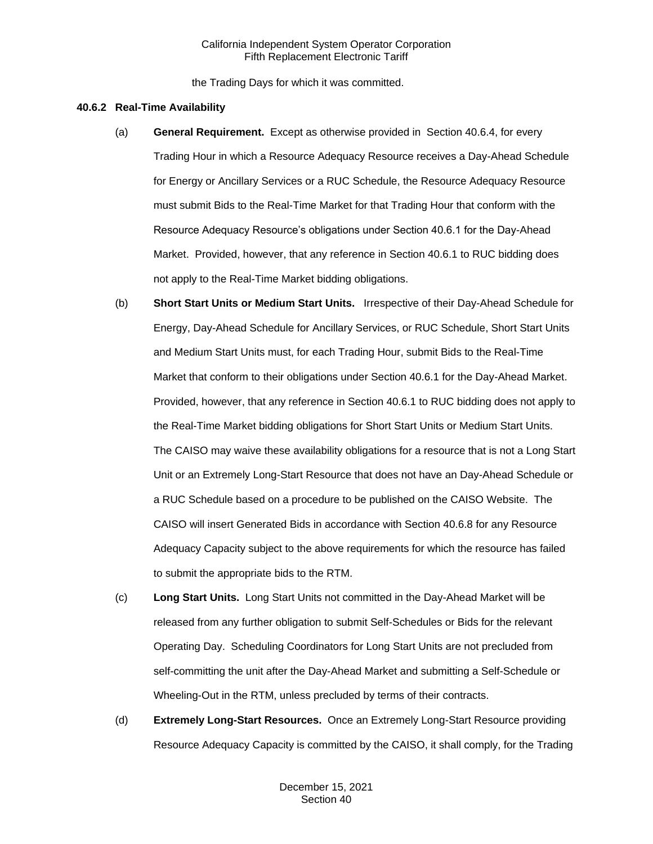the Trading Days for which it was committed.

## **40.6.2 Real-Time Availability**

- (a) **General Requirement.** Except as otherwise provided in Section 40.6.4, for every Trading Hour in which a Resource Adequacy Resource receives a Day-Ahead Schedule for Energy or Ancillary Services or a RUC Schedule, the Resource Adequacy Resource must submit Bids to the Real-Time Market for that Trading Hour that conform with the Resource Adequacy Resource's obligations under Section 40.6.1 for the Day-Ahead Market. Provided, however, that any reference in Section 40.6.1 to RUC bidding does not apply to the Real-Time Market bidding obligations.
- (b) **Short Start Units or Medium Start Units.** Irrespective of their Day-Ahead Schedule for Energy, Day-Ahead Schedule for Ancillary Services, or RUC Schedule, Short Start Units and Medium Start Units must, for each Trading Hour, submit Bids to the Real-Time Market that conform to their obligations under Section 40.6.1 for the Day-Ahead Market. Provided, however, that any reference in Section 40.6.1 to RUC bidding does not apply to the Real-Time Market bidding obligations for Short Start Units or Medium Start Units. The CAISO may waive these availability obligations for a resource that is not a Long Start Unit or an Extremely Long-Start Resource that does not have an Day-Ahead Schedule or a RUC Schedule based on a procedure to be published on the CAISO Website. The CAISO will insert Generated Bids in accordance with Section 40.6.8 for any Resource Adequacy Capacity subject to the above requirements for which the resource has failed to submit the appropriate bids to the RTM.
- (c) **Long Start Units.** Long Start Units not committed in the Day-Ahead Market will be released from any further obligation to submit Self-Schedules or Bids for the relevant Operating Day. Scheduling Coordinators for Long Start Units are not precluded from self-committing the unit after the Day-Ahead Market and submitting a Self-Schedule or Wheeling-Out in the RTM, unless precluded by terms of their contracts.
- (d) **Extremely Long-Start Resources.** Once an Extremely Long-Start Resource providing Resource Adequacy Capacity is committed by the CAISO, it shall comply, for the Trading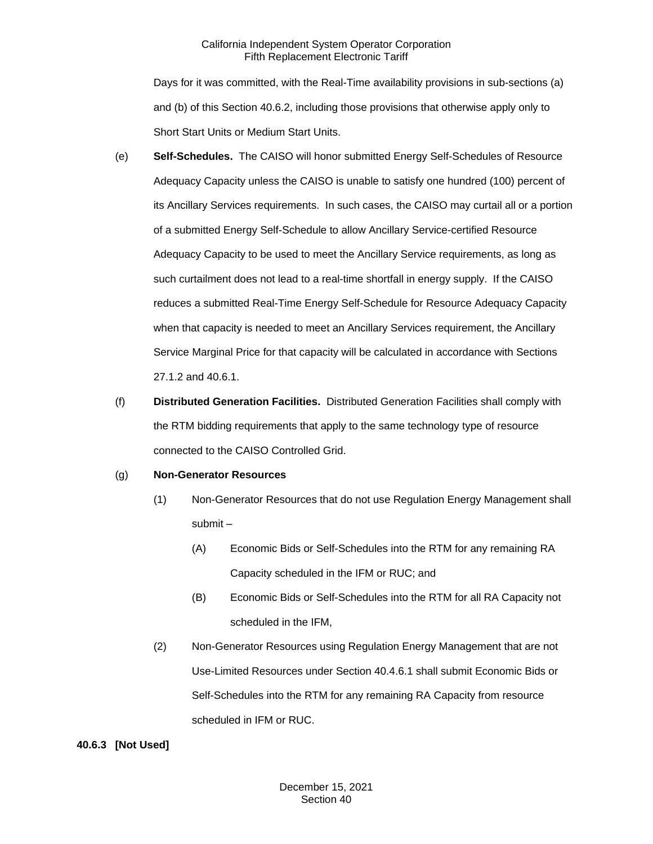Days for it was committed, with the Real-Time availability provisions in sub-sections (a) and (b) of this Section 40.6.2, including those provisions that otherwise apply only to Short Start Units or Medium Start Units.

- (e) **Self-Schedules.** The CAISO will honor submitted Energy Self-Schedules of Resource Adequacy Capacity unless the CAISO is unable to satisfy one hundred (100) percent of its Ancillary Services requirements. In such cases, the CAISO may curtail all or a portion of a submitted Energy Self-Schedule to allow Ancillary Service-certified Resource Adequacy Capacity to be used to meet the Ancillary Service requirements, as long as such curtailment does not lead to a real-time shortfall in energy supply. If the CAISO reduces a submitted Real-Time Energy Self-Schedule for Resource Adequacy Capacity when that capacity is needed to meet an Ancillary Services requirement, the Ancillary Service Marginal Price for that capacity will be calculated in accordance with Sections 27.1.2 and 40.6.1.
- (f) **Distributed Generation Facilities.** Distributed Generation Facilities shall comply with the RTM bidding requirements that apply to the same technology type of resource connected to the CAISO Controlled Grid.

# (g) **Non-Generator Resources**

- (1) Non-Generator Resources that do not use Regulation Energy Management shall submit –
	- (A) Economic Bids or Self-Schedules into the RTM for any remaining RA Capacity scheduled in the IFM or RUC; and
	- (B) Economic Bids or Self-Schedules into the RTM for all RA Capacity not scheduled in the IFM,
- (2) Non-Generator Resources using Regulation Energy Management that are not Use-Limited Resources under Section 40.4.6.1 shall submit Economic Bids or Self-Schedules into the RTM for any remaining RA Capacity from resource scheduled in IFM or RUC.

# **40.6.3 [Not Used]**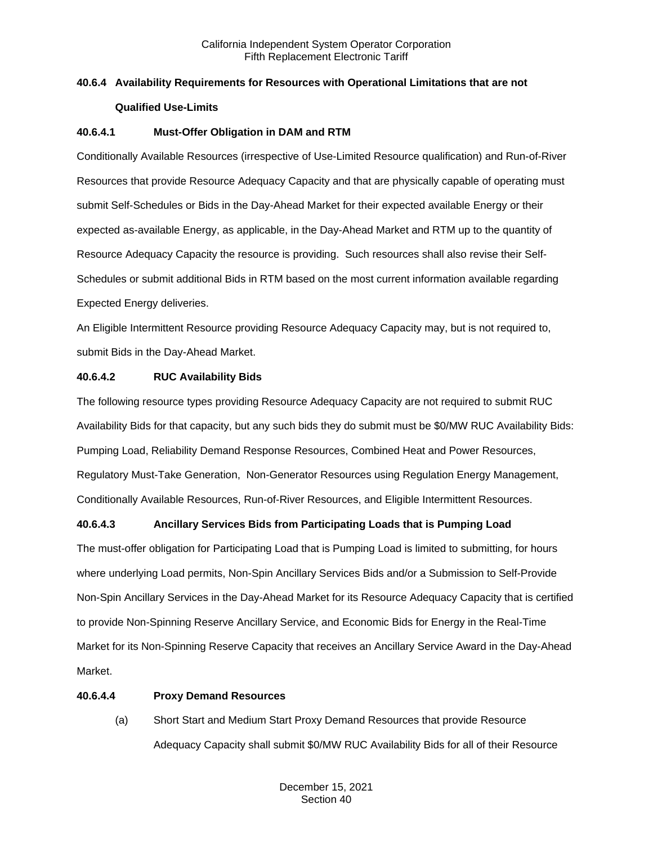# **40.6.4 Availability Requirements for Resources with Operational Limitations that are not Qualified Use-Limits**

# **40.6.4.1 Must-Offer Obligation in DAM and RTM**

Conditionally Available Resources (irrespective of Use-Limited Resource qualification) and Run-of-River Resources that provide Resource Adequacy Capacity and that are physically capable of operating must submit Self-Schedules or Bids in the Day-Ahead Market for their expected available Energy or their expected as-available Energy, as applicable, in the Day-Ahead Market and RTM up to the quantity of Resource Adequacy Capacity the resource is providing. Such resources shall also revise their Self-Schedules or submit additional Bids in RTM based on the most current information available regarding Expected Energy deliveries.

An Eligible Intermittent Resource providing Resource Adequacy Capacity may, but is not required to, submit Bids in the Day-Ahead Market.

# **40.6.4.2 RUC Availability Bids**

The following resource types providing Resource Adequacy Capacity are not required to submit RUC Availability Bids for that capacity, but any such bids they do submit must be \$0/MW RUC Availability Bids: Pumping Load, Reliability Demand Response Resources, Combined Heat and Power Resources, Regulatory Must-Take Generation, Non-Generator Resources using Regulation Energy Management, Conditionally Available Resources, Run-of-River Resources, and Eligible Intermittent Resources.

# **40.6.4.3 Ancillary Services Bids from Participating Loads that is Pumping Load**

The must-offer obligation for Participating Load that is Pumping Load is limited to submitting, for hours where underlying Load permits, Non-Spin Ancillary Services Bids and/or a Submission to Self-Provide Non-Spin Ancillary Services in the Day-Ahead Market for its Resource Adequacy Capacity that is certified to provide Non-Spinning Reserve Ancillary Service, and Economic Bids for Energy in the Real-Time Market for its Non-Spinning Reserve Capacity that receives an Ancillary Service Award in the Day-Ahead Market.

# **40.6.4.4 Proxy Demand Resources**

(a) Short Start and Medium Start Proxy Demand Resources that provide Resource Adequacy Capacity shall submit \$0/MW RUC Availability Bids for all of their Resource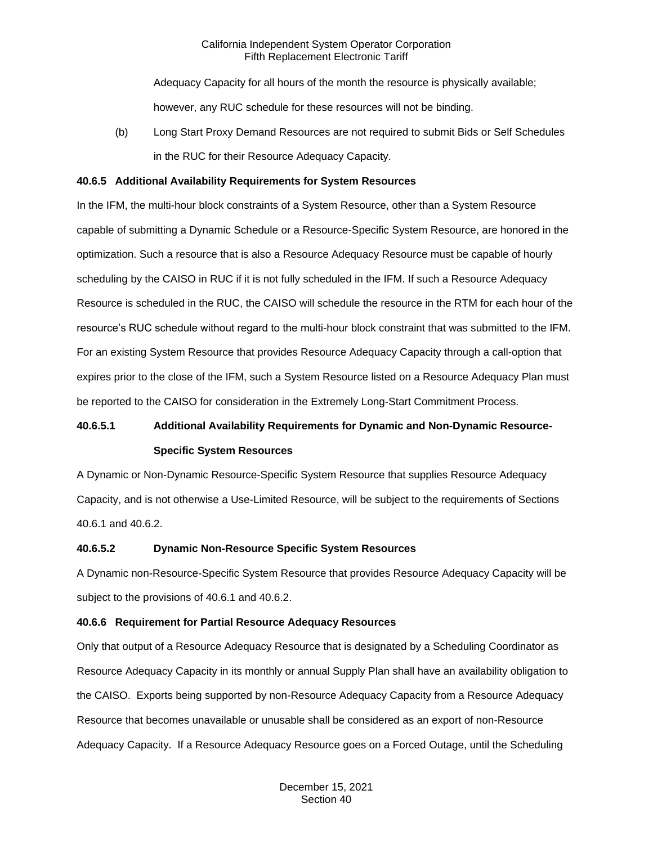Adequacy Capacity for all hours of the month the resource is physically available; however, any RUC schedule for these resources will not be binding.

(b) Long Start Proxy Demand Resources are not required to submit Bids or Self Schedules in the RUC for their Resource Adequacy Capacity.

## **40.6.5 Additional Availability Requirements for System Resources**

In the IFM, the multi-hour block constraints of a System Resource, other than a System Resource capable of submitting a Dynamic Schedule or a Resource-Specific System Resource, are honored in the optimization. Such a resource that is also a Resource Adequacy Resource must be capable of hourly scheduling by the CAISO in RUC if it is not fully scheduled in the IFM. If such a Resource Adequacy Resource is scheduled in the RUC, the CAISO will schedule the resource in the RTM for each hour of the resource's RUC schedule without regard to the multi-hour block constraint that was submitted to the IFM. For an existing System Resource that provides Resource Adequacy Capacity through a call-option that expires prior to the close of the IFM, such a System Resource listed on a Resource Adequacy Plan must be reported to the CAISO for consideration in the Extremely Long-Start Commitment Process.

# **40.6.5.1 Additional Availability Requirements for Dynamic and Non-Dynamic Resource-Specific System Resources**

A Dynamic or Non-Dynamic Resource-Specific System Resource that supplies Resource Adequacy Capacity, and is not otherwise a Use-Limited Resource, will be subject to the requirements of Sections 40.6.1 and 40.6.2.

# **40.6.5.2 Dynamic Non-Resource Specific System Resources**

A Dynamic non-Resource-Specific System Resource that provides Resource Adequacy Capacity will be subject to the provisions of 40.6.1 and 40.6.2.

# **40.6.6 Requirement for Partial Resource Adequacy Resources**

Only that output of a Resource Adequacy Resource that is designated by a Scheduling Coordinator as Resource Adequacy Capacity in its monthly or annual Supply Plan shall have an availability obligation to the CAISO. Exports being supported by non-Resource Adequacy Capacity from a Resource Adequacy Resource that becomes unavailable or unusable shall be considered as an export of non-Resource Adequacy Capacity. If a Resource Adequacy Resource goes on a Forced Outage, until the Scheduling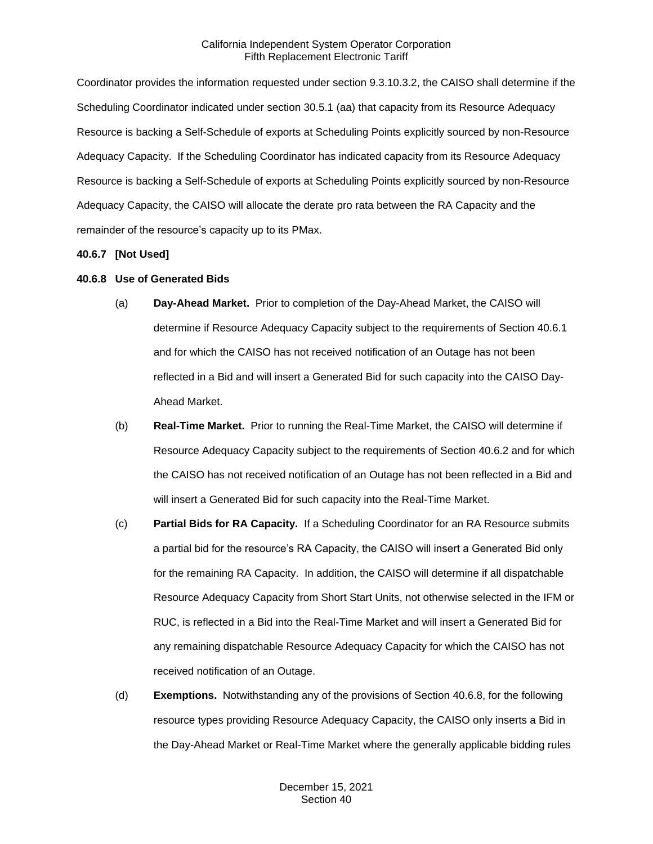Coordinator provides the information requested under section 9.3.10.3.2, the CAISO shall determine if the Scheduling Coordinator indicated under section 30.5.1 (aa) that capacity from its Resource Adequacy Resource is backing a Self-Schedule of exports at Scheduling Points explicitly sourced by non-Resource Adequacy Capacity. If the Scheduling Coordinator has indicated capacity from its Resource Adequacy Resource is backing a Self-Schedule of exports at Scheduling Points explicitly sourced by non-Resource Adequacy Capacity, the CAISO will allocate the derate pro rata between the RA Capacity and the remainder of the resource's capacity up to its PMax.

## **40.6.7 [Not Used]**

## **40.6.8 Use of Generated Bids**

- (a) **Day-Ahead Market.** Prior to completion of the Day-Ahead Market, the CAISO will determine if Resource Adequacy Capacity subject to the requirements of Section 40.6.1 and for which the CAISO has not received notification of an Outage has not been reflected in a Bid and will insert a Generated Bid for such capacity into the CAISO Day-Ahead Market.
- (b) **Real-Time Market.** Prior to running the Real-Time Market, the CAISO will determine if Resource Adequacy Capacity subject to the requirements of Section 40.6.2 and for which the CAISO has not received notification of an Outage has not been reflected in a Bid and will insert a Generated Bid for such capacity into the Real-Time Market.
- (c) **Partial Bids for RA Capacity.** If a Scheduling Coordinator for an RA Resource submits a partial bid for the resource's RA Capacity, the CAISO will insert a Generated Bid only for the remaining RA Capacity. In addition, the CAISO will determine if all dispatchable Resource Adequacy Capacity from Short Start Units, not otherwise selected in the IFM or RUC, is reflected in a Bid into the Real-Time Market and will insert a Generated Bid for any remaining dispatchable Resource Adequacy Capacity for which the CAISO has not received notification of an Outage.
- (d) **Exemptions.** Notwithstanding any of the provisions of Section 40.6.8, for the following resource types providing Resource Adequacy Capacity, the CAISO only inserts a Bid in the Day-Ahead Market or Real-Time Market where the generally applicable bidding rules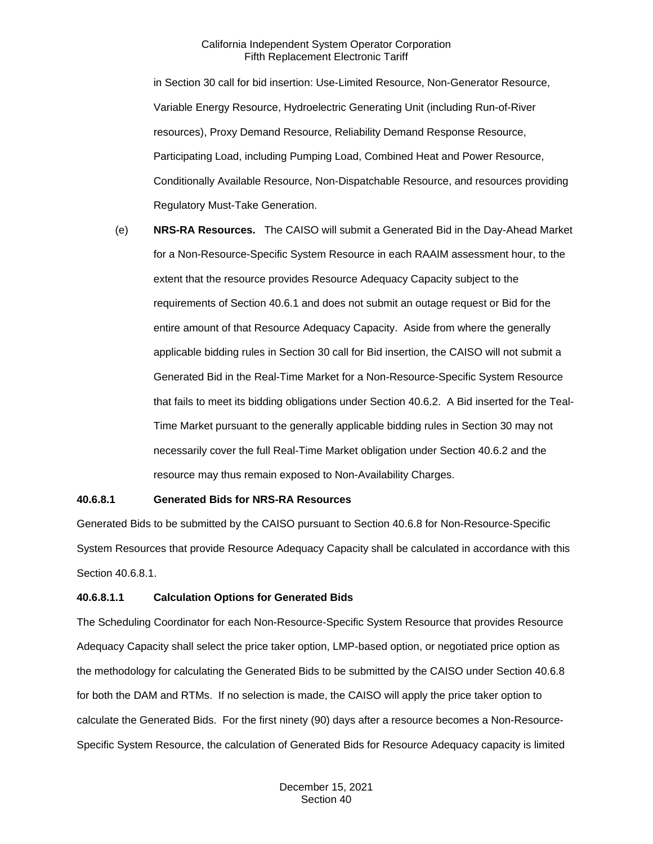in Section 30 call for bid insertion: Use-Limited Resource, Non-Generator Resource, Variable Energy Resource, Hydroelectric Generating Unit (including Run-of-River resources), Proxy Demand Resource, Reliability Demand Response Resource, Participating Load, including Pumping Load, Combined Heat and Power Resource, Conditionally Available Resource, Non-Dispatchable Resource, and resources providing Regulatory Must-Take Generation.

(e) **NRS-RA Resources.** The CAISO will submit a Generated Bid in the Day-Ahead Market for a Non-Resource-Specific System Resource in each RAAIM assessment hour, to the extent that the resource provides Resource Adequacy Capacity subject to the requirements of Section 40.6.1 and does not submit an outage request or Bid for the entire amount of that Resource Adequacy Capacity. Aside from where the generally applicable bidding rules in Section 30 call for Bid insertion, the CAISO will not submit a Generated Bid in the Real-Time Market for a Non-Resource-Specific System Resource that fails to meet its bidding obligations under Section 40.6.2. A Bid inserted for the Teal-Time Market pursuant to the generally applicable bidding rules in Section 30 may not necessarily cover the full Real-Time Market obligation under Section 40.6.2 and the resource may thus remain exposed to Non-Availability Charges.

## **40.6.8.1 Generated Bids for NRS-RA Resources**

Generated Bids to be submitted by the CAISO pursuant to Section 40.6.8 for Non-Resource-Specific System Resources that provide Resource Adequacy Capacity shall be calculated in accordance with this Section 40.6.8.1.

#### **40.6.8.1.1 Calculation Options for Generated Bids**

The Scheduling Coordinator for each Non-Resource-Specific System Resource that provides Resource Adequacy Capacity shall select the price taker option, LMP-based option, or negotiated price option as the methodology for calculating the Generated Bids to be submitted by the CAISO under Section 40.6.8 for both the DAM and RTMs. If no selection is made, the CAISO will apply the price taker option to calculate the Generated Bids. For the first ninety (90) days after a resource becomes a Non-Resource-Specific System Resource, the calculation of Generated Bids for Resource Adequacy capacity is limited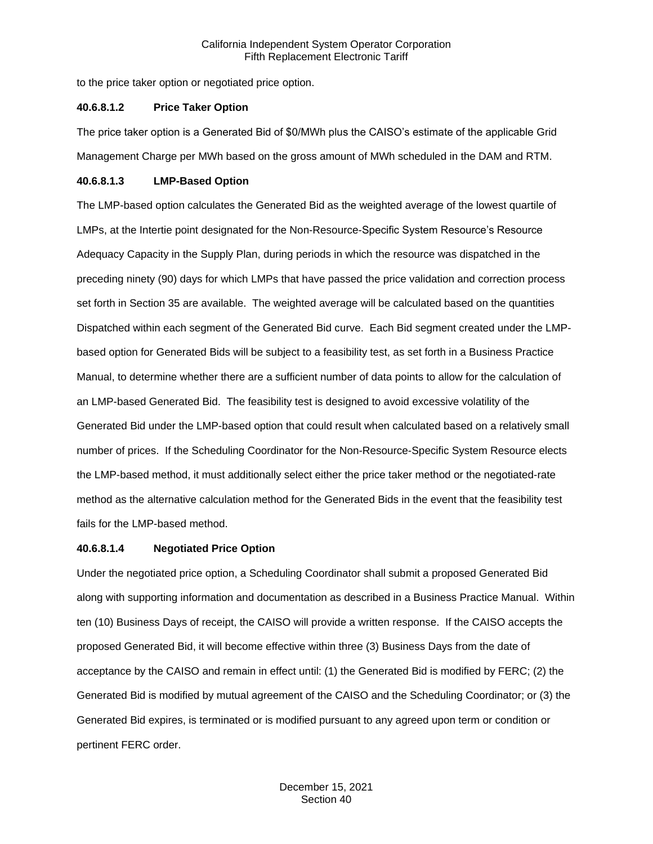to the price taker option or negotiated price option.

#### **40.6.8.1.2 Price Taker Option**

The price taker option is a Generated Bid of \$0/MWh plus the CAISO's estimate of the applicable Grid Management Charge per MWh based on the gross amount of MWh scheduled in the DAM and RTM.

## **40.6.8.1.3 LMP-Based Option**

The LMP-based option calculates the Generated Bid as the weighted average of the lowest quartile of LMPs, at the Intertie point designated for the Non-Resource-Specific System Resource's Resource Adequacy Capacity in the Supply Plan, during periods in which the resource was dispatched in the preceding ninety (90) days for which LMPs that have passed the price validation and correction process set forth in Section 35 are available. The weighted average will be calculated based on the quantities Dispatched within each segment of the Generated Bid curve. Each Bid segment created under the LMPbased option for Generated Bids will be subject to a feasibility test, as set forth in a Business Practice Manual, to determine whether there are a sufficient number of data points to allow for the calculation of an LMP-based Generated Bid. The feasibility test is designed to avoid excessive volatility of the Generated Bid under the LMP-based option that could result when calculated based on a relatively small number of prices. If the Scheduling Coordinator for the Non-Resource-Specific System Resource elects the LMP-based method, it must additionally select either the price taker method or the negotiated-rate method as the alternative calculation method for the Generated Bids in the event that the feasibility test fails for the LMP-based method.

# **40.6.8.1.4 Negotiated Price Option**

Under the negotiated price option, a Scheduling Coordinator shall submit a proposed Generated Bid along with supporting information and documentation as described in a Business Practice Manual. Within ten (10) Business Days of receipt, the CAISO will provide a written response. If the CAISO accepts the proposed Generated Bid, it will become effective within three (3) Business Days from the date of acceptance by the CAISO and remain in effect until: (1) the Generated Bid is modified by FERC; (2) the Generated Bid is modified by mutual agreement of the CAISO and the Scheduling Coordinator; or (3) the Generated Bid expires, is terminated or is modified pursuant to any agreed upon term or condition or pertinent FERC order.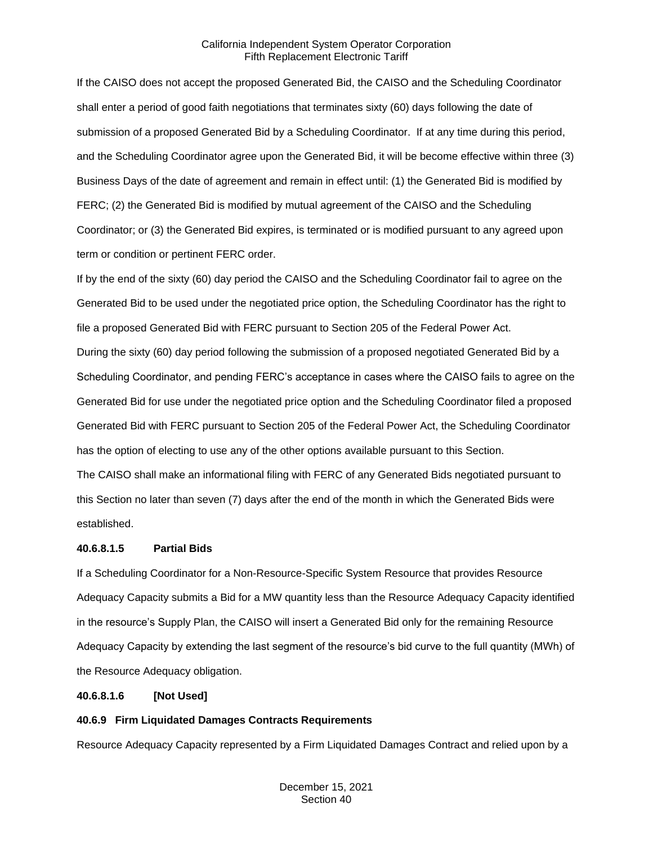If the CAISO does not accept the proposed Generated Bid, the CAISO and the Scheduling Coordinator shall enter a period of good faith negotiations that terminates sixty (60) days following the date of submission of a proposed Generated Bid by a Scheduling Coordinator. If at any time during this period, and the Scheduling Coordinator agree upon the Generated Bid, it will be become effective within three (3) Business Days of the date of agreement and remain in effect until: (1) the Generated Bid is modified by FERC; (2) the Generated Bid is modified by mutual agreement of the CAISO and the Scheduling Coordinator; or (3) the Generated Bid expires, is terminated or is modified pursuant to any agreed upon term or condition or pertinent FERC order.

If by the end of the sixty (60) day period the CAISO and the Scheduling Coordinator fail to agree on the Generated Bid to be used under the negotiated price option, the Scheduling Coordinator has the right to file a proposed Generated Bid with FERC pursuant to Section 205 of the Federal Power Act. During the sixty (60) day period following the submission of a proposed negotiated Generated Bid by a Scheduling Coordinator, and pending FERC's acceptance in cases where the CAISO fails to agree on the Generated Bid for use under the negotiated price option and the Scheduling Coordinator filed a proposed Generated Bid with FERC pursuant to Section 205 of the Federal Power Act, the Scheduling Coordinator has the option of electing to use any of the other options available pursuant to this Section.

The CAISO shall make an informational filing with FERC of any Generated Bids negotiated pursuant to this Section no later than seven (7) days after the end of the month in which the Generated Bids were established.

# **40.6.8.1.5 Partial Bids**

If a Scheduling Coordinator for a Non-Resource-Specific System Resource that provides Resource Adequacy Capacity submits a Bid for a MW quantity less than the Resource Adequacy Capacity identified in the resource's Supply Plan, the CAISO will insert a Generated Bid only for the remaining Resource Adequacy Capacity by extending the last segment of the resource's bid curve to the full quantity (MWh) of the Resource Adequacy obligation.

# **40.6.8.1.6 [Not Used]**

# **40.6.9 Firm Liquidated Damages Contracts Requirements**

Resource Adequacy Capacity represented by a Firm Liquidated Damages Contract and relied upon by a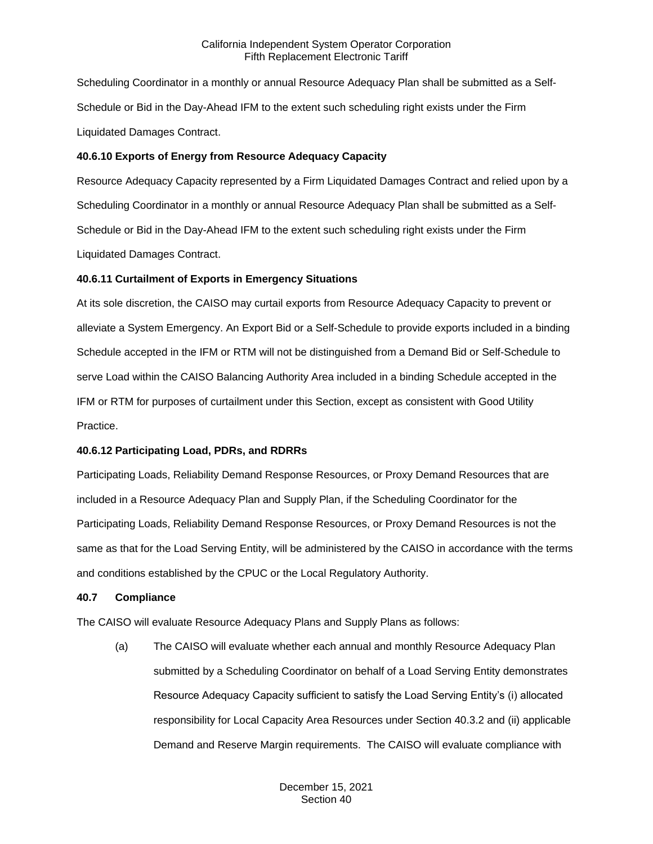Scheduling Coordinator in a monthly or annual Resource Adequacy Plan shall be submitted as a Self-Schedule or Bid in the Day-Ahead IFM to the extent such scheduling right exists under the Firm Liquidated Damages Contract.

# **40.6.10 Exports of Energy from Resource Adequacy Capacity**

Resource Adequacy Capacity represented by a Firm Liquidated Damages Contract and relied upon by a Scheduling Coordinator in a monthly or annual Resource Adequacy Plan shall be submitted as a Self-Schedule or Bid in the Day-Ahead IFM to the extent such scheduling right exists under the Firm Liquidated Damages Contract.

# **40.6.11 Curtailment of Exports in Emergency Situations**

At its sole discretion, the CAISO may curtail exports from Resource Adequacy Capacity to prevent or alleviate a System Emergency. An Export Bid or a Self-Schedule to provide exports included in a binding Schedule accepted in the IFM or RTM will not be distinguished from a Demand Bid or Self-Schedule to serve Load within the CAISO Balancing Authority Area included in a binding Schedule accepted in the IFM or RTM for purposes of curtailment under this Section, except as consistent with Good Utility Practice.

# **40.6.12 Participating Load, PDRs, and RDRRs**

Participating Loads, Reliability Demand Response Resources, or Proxy Demand Resources that are included in a Resource Adequacy Plan and Supply Plan, if the Scheduling Coordinator for the Participating Loads, Reliability Demand Response Resources, or Proxy Demand Resources is not the same as that for the Load Serving Entity, will be administered by the CAISO in accordance with the terms and conditions established by the CPUC or the Local Regulatory Authority.

# **40.7 Compliance**

The CAISO will evaluate Resource Adequacy Plans and Supply Plans as follows:

(a) The CAISO will evaluate whether each annual and monthly Resource Adequacy Plan submitted by a Scheduling Coordinator on behalf of a Load Serving Entity demonstrates Resource Adequacy Capacity sufficient to satisfy the Load Serving Entity's (i) allocated responsibility for Local Capacity Area Resources under Section 40.3.2 and (ii) applicable Demand and Reserve Margin requirements. The CAISO will evaluate compliance with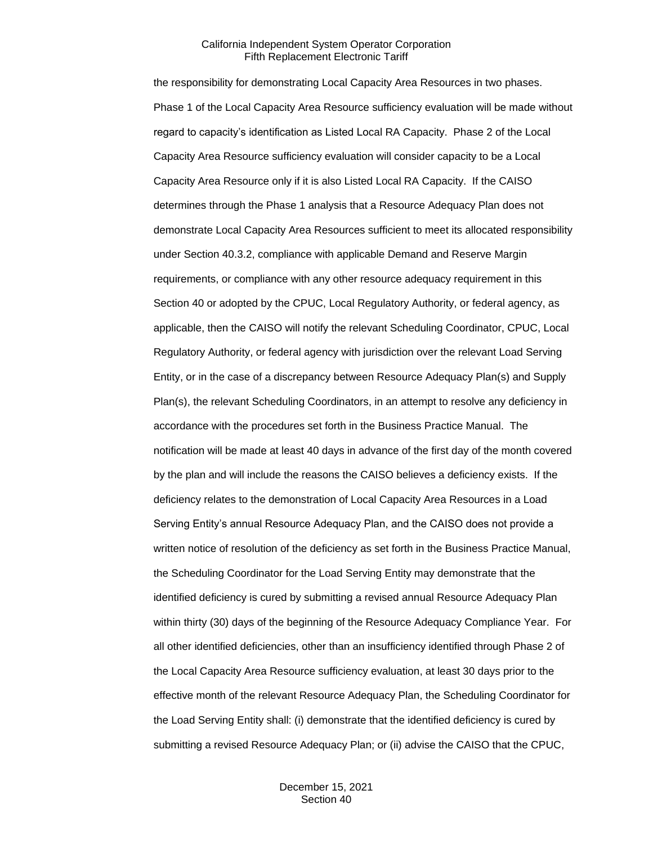the responsibility for demonstrating Local Capacity Area Resources in two phases. Phase 1 of the Local Capacity Area Resource sufficiency evaluation will be made without regard to capacity's identification as Listed Local RA Capacity. Phase 2 of the Local Capacity Area Resource sufficiency evaluation will consider capacity to be a Local Capacity Area Resource only if it is also Listed Local RA Capacity. If the CAISO determines through the Phase 1 analysis that a Resource Adequacy Plan does not demonstrate Local Capacity Area Resources sufficient to meet its allocated responsibility under Section 40.3.2, compliance with applicable Demand and Reserve Margin requirements, or compliance with any other resource adequacy requirement in this Section 40 or adopted by the CPUC, Local Regulatory Authority, or federal agency, as applicable, then the CAISO will notify the relevant Scheduling Coordinator, CPUC, Local Regulatory Authority, or federal agency with jurisdiction over the relevant Load Serving Entity, or in the case of a discrepancy between Resource Adequacy Plan(s) and Supply Plan(s), the relevant Scheduling Coordinators, in an attempt to resolve any deficiency in accordance with the procedures set forth in the Business Practice Manual. The notification will be made at least 40 days in advance of the first day of the month covered by the plan and will include the reasons the CAISO believes a deficiency exists. If the deficiency relates to the demonstration of Local Capacity Area Resources in a Load Serving Entity's annual Resource Adequacy Plan, and the CAISO does not provide a written notice of resolution of the deficiency as set forth in the Business Practice Manual, the Scheduling Coordinator for the Load Serving Entity may demonstrate that the identified deficiency is cured by submitting a revised annual Resource Adequacy Plan within thirty (30) days of the beginning of the Resource Adequacy Compliance Year. For all other identified deficiencies, other than an insufficiency identified through Phase 2 of the Local Capacity Area Resource sufficiency evaluation, at least 30 days prior to the effective month of the relevant Resource Adequacy Plan, the Scheduling Coordinator for the Load Serving Entity shall: (i) demonstrate that the identified deficiency is cured by submitting a revised Resource Adequacy Plan; or (ii) advise the CAISO that the CPUC,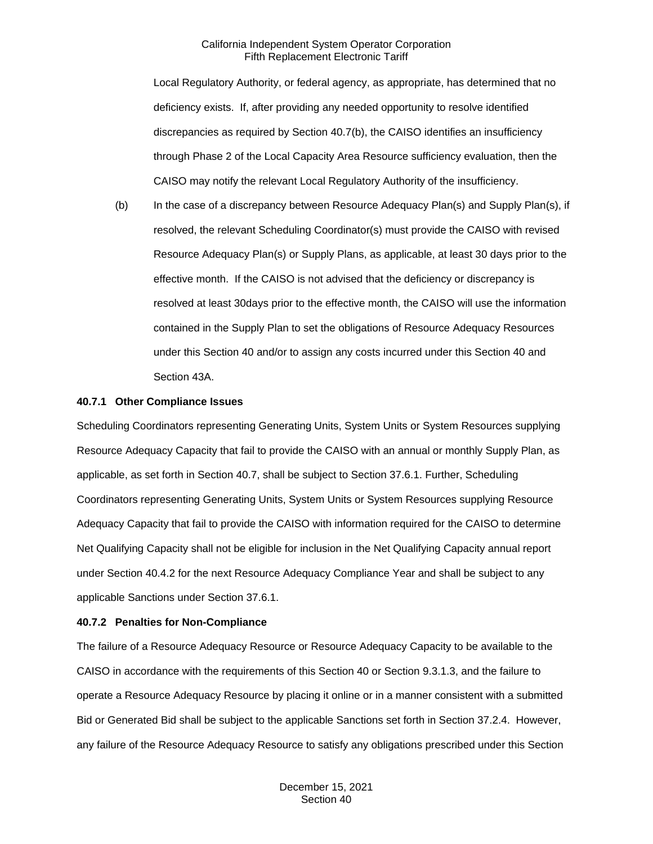Local Regulatory Authority, or federal agency, as appropriate, has determined that no deficiency exists. If, after providing any needed opportunity to resolve identified discrepancies as required by Section 40.7(b), the CAISO identifies an insufficiency through Phase 2 of the Local Capacity Area Resource sufficiency evaluation, then the CAISO may notify the relevant Local Regulatory Authority of the insufficiency.

(b) In the case of a discrepancy between Resource Adequacy Plan(s) and Supply Plan(s), if resolved, the relevant Scheduling Coordinator(s) must provide the CAISO with revised Resource Adequacy Plan(s) or Supply Plans, as applicable, at least 30 days prior to the effective month. If the CAISO is not advised that the deficiency or discrepancy is resolved at least 30days prior to the effective month, the CAISO will use the information contained in the Supply Plan to set the obligations of Resource Adequacy Resources under this Section 40 and/or to assign any costs incurred under this Section 40 and Section 43A.

## **40.7.1 Other Compliance Issues**

Scheduling Coordinators representing Generating Units, System Units or System Resources supplying Resource Adequacy Capacity that fail to provide the CAISO with an annual or monthly Supply Plan, as applicable, as set forth in Section 40.7, shall be subject to Section 37.6.1. Further, Scheduling Coordinators representing Generating Units, System Units or System Resources supplying Resource Adequacy Capacity that fail to provide the CAISO with information required for the CAISO to determine Net Qualifying Capacity shall not be eligible for inclusion in the Net Qualifying Capacity annual report under Section 40.4.2 for the next Resource Adequacy Compliance Year and shall be subject to any applicable Sanctions under Section 37.6.1.

# **40.7.2 Penalties for Non-Compliance**

The failure of a Resource Adequacy Resource or Resource Adequacy Capacity to be available to the CAISO in accordance with the requirements of this Section 40 or Section 9.3.1.3, and the failure to operate a Resource Adequacy Resource by placing it online or in a manner consistent with a submitted Bid or Generated Bid shall be subject to the applicable Sanctions set forth in Section 37.2.4. However, any failure of the Resource Adequacy Resource to satisfy any obligations prescribed under this Section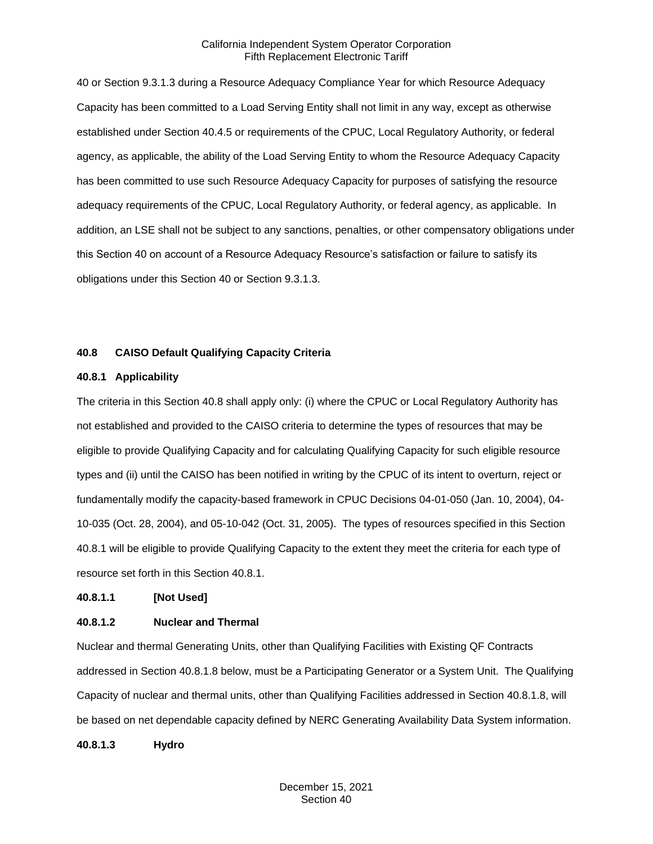40 or Section 9.3.1.3 during a Resource Adequacy Compliance Year for which Resource Adequacy Capacity has been committed to a Load Serving Entity shall not limit in any way, except as otherwise established under Section 40.4.5 or requirements of the CPUC, Local Regulatory Authority, or federal agency, as applicable, the ability of the Load Serving Entity to whom the Resource Adequacy Capacity has been committed to use such Resource Adequacy Capacity for purposes of satisfying the resource adequacy requirements of the CPUC, Local Regulatory Authority, or federal agency, as applicable. In addition, an LSE shall not be subject to any sanctions, penalties, or other compensatory obligations under this Section 40 on account of a Resource Adequacy Resource's satisfaction or failure to satisfy its obligations under this Section 40 or Section 9.3.1.3.

# **40.8 CAISO Default Qualifying Capacity Criteria**

#### **40.8.1 Applicability**

The criteria in this Section 40.8 shall apply only: (i) where the CPUC or Local Regulatory Authority has not established and provided to the CAISO criteria to determine the types of resources that may be eligible to provide Qualifying Capacity and for calculating Qualifying Capacity for such eligible resource types and (ii) until the CAISO has been notified in writing by the CPUC of its intent to overturn, reject or fundamentally modify the capacity-based framework in CPUC Decisions 04-01-050 (Jan. 10, 2004), 04- 10-035 (Oct. 28, 2004), and 05-10-042 (Oct. 31, 2005). The types of resources specified in this Section 40.8.1 will be eligible to provide Qualifying Capacity to the extent they meet the criteria for each type of resource set forth in this Section 40.8.1.

**40.8.1.1 [Not Used]**

#### **40.8.1.2 Nuclear and Thermal**

Nuclear and thermal Generating Units, other than Qualifying Facilities with Existing QF Contracts addressed in Section 40.8.1.8 below, must be a Participating Generator or a System Unit. The Qualifying Capacity of nuclear and thermal units, other than Qualifying Facilities addressed in Section 40.8.1.8, will be based on net dependable capacity defined by NERC Generating Availability Data System information.

**40.8.1.3 Hydro**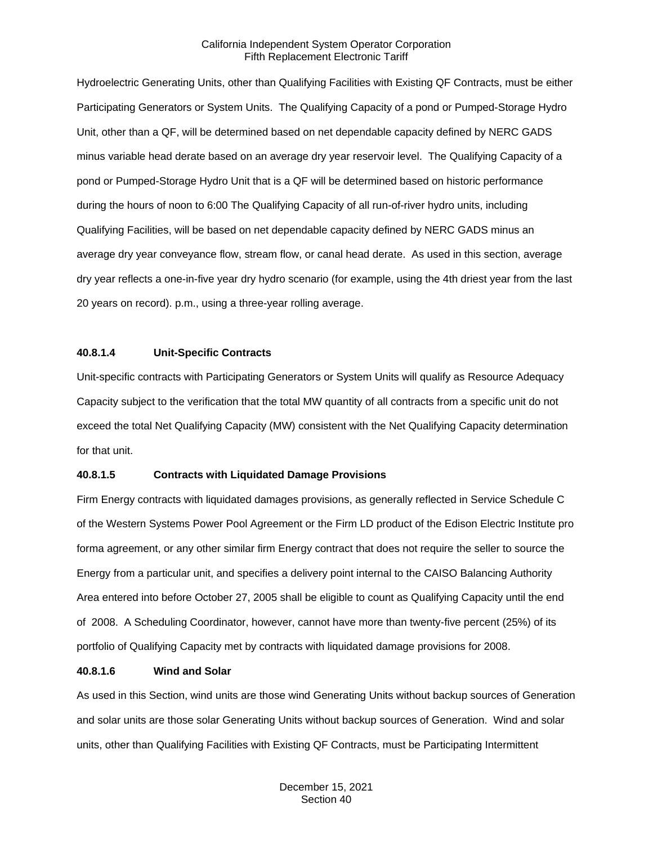Hydroelectric Generating Units, other than Qualifying Facilities with Existing QF Contracts, must be either Participating Generators or System Units. The Qualifying Capacity of a pond or Pumped-Storage Hydro Unit, other than a QF, will be determined based on net dependable capacity defined by NERC GADS minus variable head derate based on an average dry year reservoir level. The Qualifying Capacity of a pond or Pumped-Storage Hydro Unit that is a QF will be determined based on historic performance during the hours of noon to 6:00 The Qualifying Capacity of all run-of-river hydro units, including Qualifying Facilities, will be based on net dependable capacity defined by NERC GADS minus an average dry year conveyance flow, stream flow, or canal head derate. As used in this section, average dry year reflects a one-in-five year dry hydro scenario (for example, using the 4th driest year from the last 20 years on record). p.m., using a three-year rolling average.

# **40.8.1.4 Unit-Specific Contracts**

Unit-specific contracts with Participating Generators or System Units will qualify as Resource Adequacy Capacity subject to the verification that the total MW quantity of all contracts from a specific unit do not exceed the total Net Qualifying Capacity (MW) consistent with the Net Qualifying Capacity determination for that unit.

#### **40.8.1.5 Contracts with Liquidated Damage Provisions**

Firm Energy contracts with liquidated damages provisions, as generally reflected in Service Schedule C of the Western Systems Power Pool Agreement or the Firm LD product of the Edison Electric Institute pro forma agreement, or any other similar firm Energy contract that does not require the seller to source the Energy from a particular unit, and specifies a delivery point internal to the CAISO Balancing Authority Area entered into before October 27, 2005 shall be eligible to count as Qualifying Capacity until the end of 2008. A Scheduling Coordinator, however, cannot have more than twenty-five percent (25%) of its portfolio of Qualifying Capacity met by contracts with liquidated damage provisions for 2008.

#### **40.8.1.6 Wind and Solar**

As used in this Section, wind units are those wind Generating Units without backup sources of Generation and solar units are those solar Generating Units without backup sources of Generation. Wind and solar units, other than Qualifying Facilities with Existing QF Contracts, must be Participating Intermittent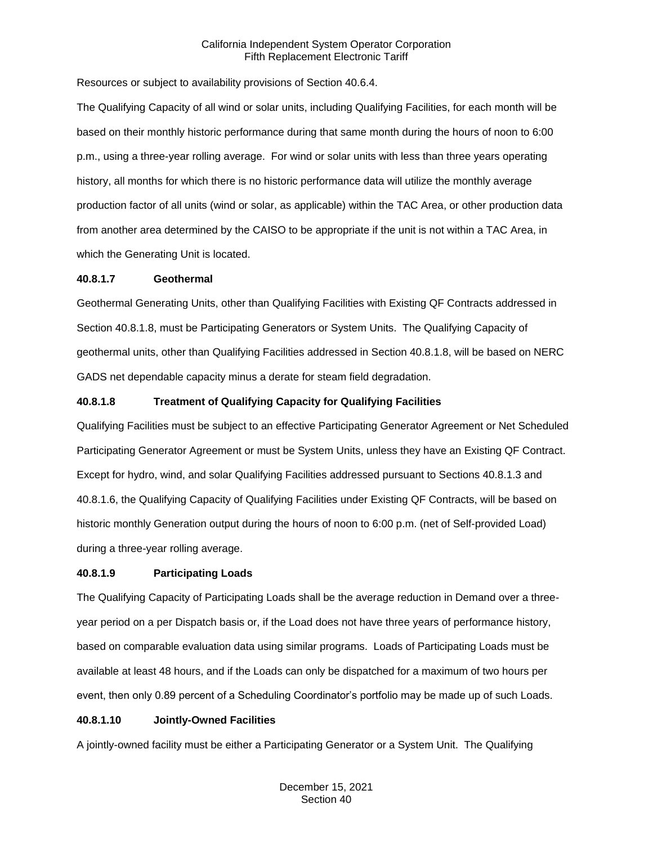Resources or subject to availability provisions of Section 40.6.4.

The Qualifying Capacity of all wind or solar units, including Qualifying Facilities, for each month will be based on their monthly historic performance during that same month during the hours of noon to 6:00 p.m., using a three-year rolling average. For wind or solar units with less than three years operating history, all months for which there is no historic performance data will utilize the monthly average production factor of all units (wind or solar, as applicable) within the TAC Area, or other production data from another area determined by the CAISO to be appropriate if the unit is not within a TAC Area, in which the Generating Unit is located.

## **40.8.1.7 Geothermal**

Geothermal Generating Units, other than Qualifying Facilities with Existing QF Contracts addressed in Section 40.8.1.8, must be Participating Generators or System Units. The Qualifying Capacity of geothermal units, other than Qualifying Facilities addressed in Section 40.8.1.8, will be based on NERC GADS net dependable capacity minus a derate for steam field degradation.

# **40.8.1.8 Treatment of Qualifying Capacity for Qualifying Facilities**

Qualifying Facilities must be subject to an effective Participating Generator Agreement or Net Scheduled Participating Generator Agreement or must be System Units, unless they have an Existing QF Contract. Except for hydro, wind, and solar Qualifying Facilities addressed pursuant to Sections 40.8.1.3 and 40.8.1.6, the Qualifying Capacity of Qualifying Facilities under Existing QF Contracts, will be based on historic monthly Generation output during the hours of noon to 6:00 p.m. (net of Self-provided Load) during a three-year rolling average.

# **40.8.1.9 Participating Loads**

The Qualifying Capacity of Participating Loads shall be the average reduction in Demand over a threeyear period on a per Dispatch basis or, if the Load does not have three years of performance history, based on comparable evaluation data using similar programs. Loads of Participating Loads must be available at least 48 hours, and if the Loads can only be dispatched for a maximum of two hours per event, then only 0.89 percent of a Scheduling Coordinator's portfolio may be made up of such Loads.

# **40.8.1.10 Jointly-Owned Facilities**

A jointly-owned facility must be either a Participating Generator or a System Unit. The Qualifying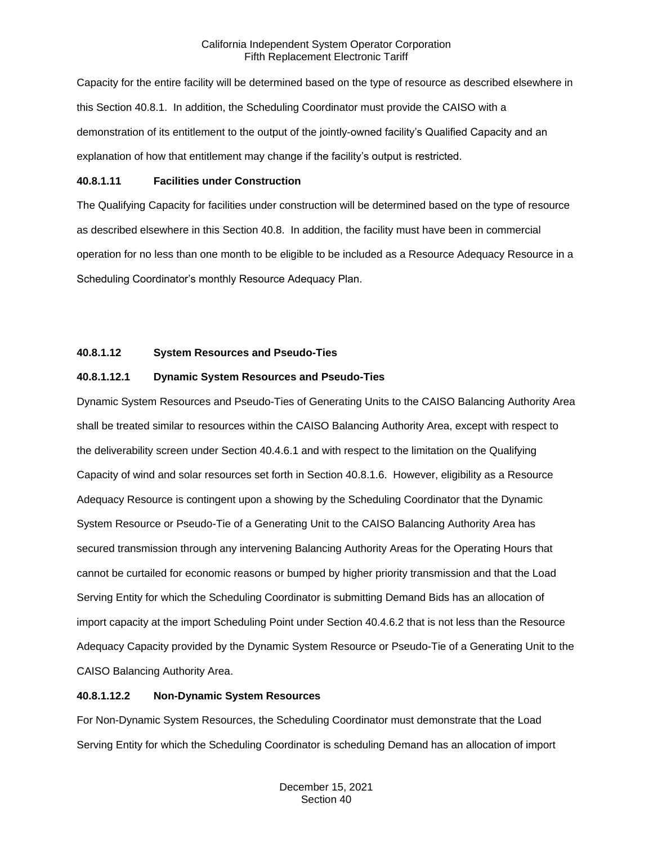Capacity for the entire facility will be determined based on the type of resource as described elsewhere in this Section 40.8.1. In addition, the Scheduling Coordinator must provide the CAISO with a demonstration of its entitlement to the output of the jointly-owned facility's Qualified Capacity and an explanation of how that entitlement may change if the facility's output is restricted.

## **40.8.1.11 Facilities under Construction**

The Qualifying Capacity for facilities under construction will be determined based on the type of resource as described elsewhere in this Section 40.8. In addition, the facility must have been in commercial operation for no less than one month to be eligible to be included as a Resource Adequacy Resource in a Scheduling Coordinator's monthly Resource Adequacy Plan.

# **40.8.1.12 System Resources and Pseudo-Ties**

# **40.8.1.12.1 Dynamic System Resources and Pseudo-Ties**

Dynamic System Resources and Pseudo-Ties of Generating Units to the CAISO Balancing Authority Area shall be treated similar to resources within the CAISO Balancing Authority Area, except with respect to the deliverability screen under Section 40.4.6.1 and with respect to the limitation on the Qualifying Capacity of wind and solar resources set forth in Section 40.8.1.6. However, eligibility as a Resource Adequacy Resource is contingent upon a showing by the Scheduling Coordinator that the Dynamic System Resource or Pseudo-Tie of a Generating Unit to the CAISO Balancing Authority Area has secured transmission through any intervening Balancing Authority Areas for the Operating Hours that cannot be curtailed for economic reasons or bumped by higher priority transmission and that the Load Serving Entity for which the Scheduling Coordinator is submitting Demand Bids has an allocation of import capacity at the import Scheduling Point under Section 40.4.6.2 that is not less than the Resource Adequacy Capacity provided by the Dynamic System Resource or Pseudo-Tie of a Generating Unit to the CAISO Balancing Authority Area.

# **40.8.1.12.2 Non-Dynamic System Resources**

For Non-Dynamic System Resources, the Scheduling Coordinator must demonstrate that the Load Serving Entity for which the Scheduling Coordinator is scheduling Demand has an allocation of import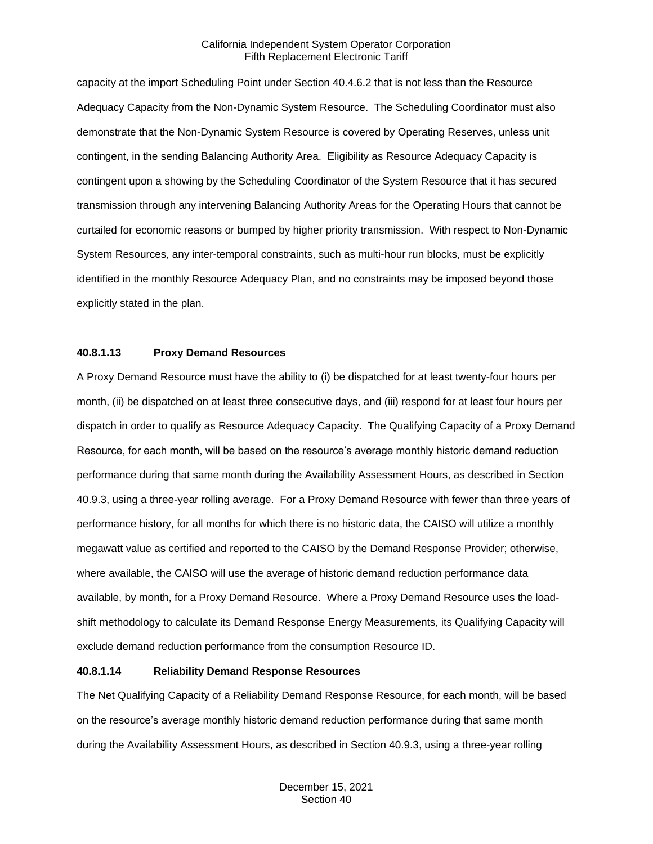capacity at the import Scheduling Point under Section 40.4.6.2 that is not less than the Resource Adequacy Capacity from the Non-Dynamic System Resource. The Scheduling Coordinator must also demonstrate that the Non-Dynamic System Resource is covered by Operating Reserves, unless unit contingent, in the sending Balancing Authority Area. Eligibility as Resource Adequacy Capacity is contingent upon a showing by the Scheduling Coordinator of the System Resource that it has secured transmission through any intervening Balancing Authority Areas for the Operating Hours that cannot be curtailed for economic reasons or bumped by higher priority transmission. With respect to Non-Dynamic System Resources, any inter-temporal constraints, such as multi-hour run blocks, must be explicitly identified in the monthly Resource Adequacy Plan, and no constraints may be imposed beyond those explicitly stated in the plan.

# **40.8.1.13 Proxy Demand Resources**

A Proxy Demand Resource must have the ability to (i) be dispatched for at least twenty-four hours per month, (ii) be dispatched on at least three consecutive days, and (iii) respond for at least four hours per dispatch in order to qualify as Resource Adequacy Capacity. The Qualifying Capacity of a Proxy Demand Resource, for each month, will be based on the resource's average monthly historic demand reduction performance during that same month during the Availability Assessment Hours, as described in Section 40.9.3, using a three-year rolling average. For a Proxy Demand Resource with fewer than three years of performance history, for all months for which there is no historic data, the CAISO will utilize a monthly megawatt value as certified and reported to the CAISO by the Demand Response Provider; otherwise, where available, the CAISO will use the average of historic demand reduction performance data available, by month, for a Proxy Demand Resource. Where a Proxy Demand Resource uses the loadshift methodology to calculate its Demand Response Energy Measurements, its Qualifying Capacity will exclude demand reduction performance from the consumption Resource ID.

## **40.8.1.14 Reliability Demand Response Resources**

The Net Qualifying Capacity of a Reliability Demand Response Resource, for each month, will be based on the resource's average monthly historic demand reduction performance during that same month during the Availability Assessment Hours, as described in Section 40.9.3, using a three-year rolling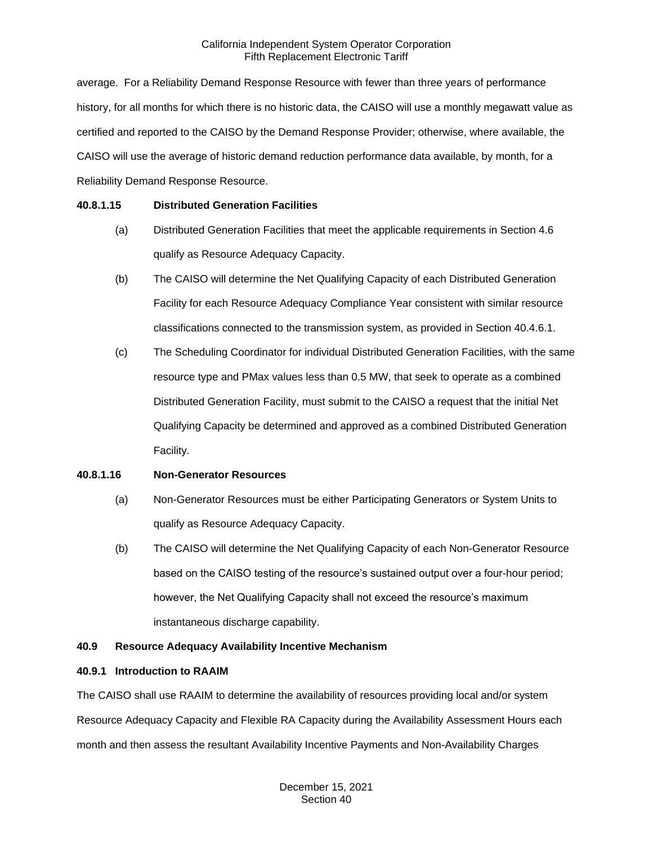average. For a Reliability Demand Response Resource with fewer than three years of performance history, for all months for which there is no historic data, the CAISO will use a monthly megawatt value as certified and reported to the CAISO by the Demand Response Provider; otherwise, where available, the CAISO will use the average of historic demand reduction performance data available, by month, for a Reliability Demand Response Resource.

# **40.8.1.15 Distributed Generation Facilities**

- (a) Distributed Generation Facilities that meet the applicable requirements in Section 4.6 qualify as Resource Adequacy Capacity.
- (b) The CAISO will determine the Net Qualifying Capacity of each Distributed Generation Facility for each Resource Adequacy Compliance Year consistent with similar resource classifications connected to the transmission system, as provided in Section 40.4.6.1.
- (c) The Scheduling Coordinator for individual Distributed Generation Facilities, with the same resource type and PMax values less than 0.5 MW, that seek to operate as a combined Distributed Generation Facility, must submit to the CAISO a request that the initial Net Qualifying Capacity be determined and approved as a combined Distributed Generation Facility.

# **40.8.1.16 Non-Generator Resources**

- (a) Non-Generator Resources must be either Participating Generators or System Units to qualify as Resource Adequacy Capacity.
- (b) The CAISO will determine the Net Qualifying Capacity of each Non-Generator Resource based on the CAISO testing of the resource's sustained output over a four-hour period; however, the Net Qualifying Capacity shall not exceed the resource's maximum instantaneous discharge capability.

# **40.9 Resource Adequacy Availability Incentive Mechanism**

#### **40.9.1 Introduction to RAAIM**

The CAISO shall use RAAIM to determine the availability of resources providing local and/or system Resource Adequacy Capacity and Flexible RA Capacity during the Availability Assessment Hours each month and then assess the resultant Availability Incentive Payments and Non-Availability Charges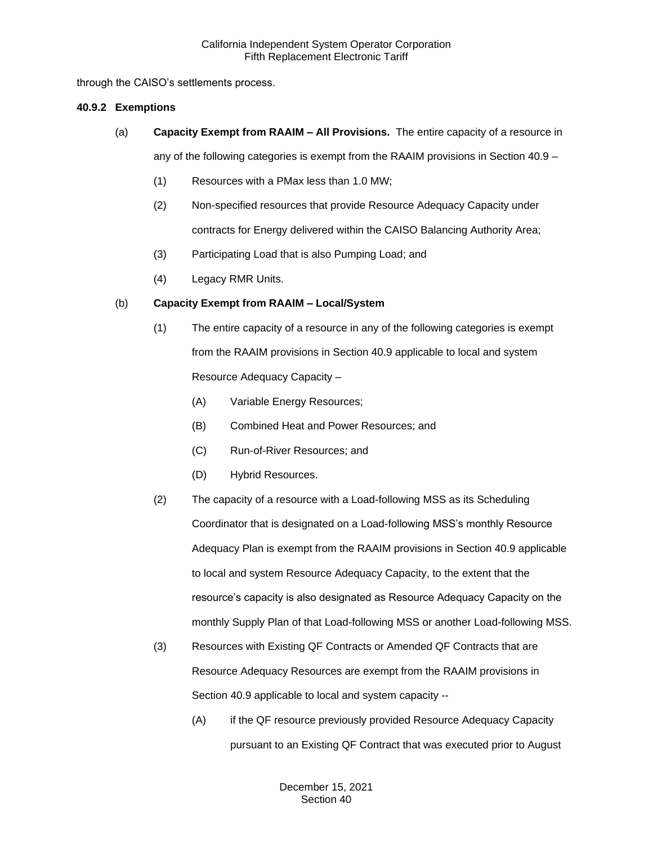through the CAISO's settlements process.

## **40.9.2 Exemptions**

(a) **Capacity Exempt from RAAIM – All Provisions.** The entire capacity of a resource in

any of the following categories is exempt from the RAAIM provisions in Section 40.9 –

- (1) Resources with a PMax less than 1.0 MW;
- (2) Non-specified resources that provide Resource Adequacy Capacity under contracts for Energy delivered within the CAISO Balancing Authority Area;
- (3) Participating Load that is also Pumping Load; and
- (4) Legacy RMR Units.

# (b) **Capacity Exempt from RAAIM – Local/System**

- (1) The entire capacity of a resource in any of the following categories is exempt from the RAAIM provisions in Section 40.9 applicable to local and system Resource Adequacy Capacity –
	- (A) Variable Energy Resources;
	- (B) Combined Heat and Power Resources; and
	- (C) Run-of-River Resources; and
	- (D) Hybrid Resources.
- (2) The capacity of a resource with a Load-following MSS as its Scheduling Coordinator that is designated on a Load-following MSS's monthly Resource Adequacy Plan is exempt from the RAAIM provisions in Section 40.9 applicable to local and system Resource Adequacy Capacity, to the extent that the resource's capacity is also designated as Resource Adequacy Capacity on the monthly Supply Plan of that Load-following MSS or another Load-following MSS.
- (3) Resources with Existing QF Contracts or Amended QF Contracts that are Resource Adequacy Resources are exempt from the RAAIM provisions in Section 40.9 applicable to local and system capacity --
	- (A) if the QF resource previously provided Resource Adequacy Capacity pursuant to an Existing QF Contract that was executed prior to August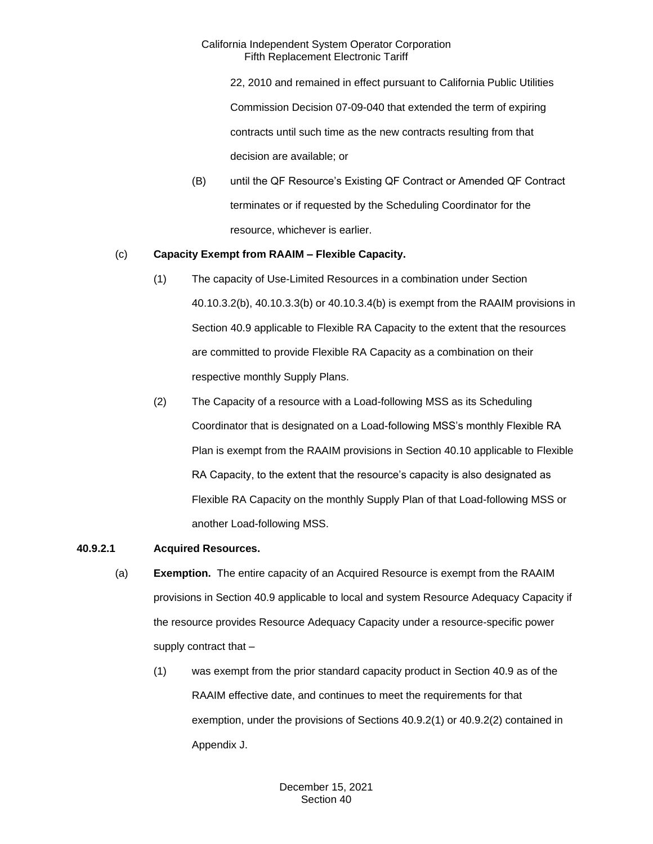22, 2010 and remained in effect pursuant to California Public Utilities Commission Decision 07-09-040 that extended the term of expiring contracts until such time as the new contracts resulting from that decision are available; or

(B) until the QF Resource's Existing QF Contract or Amended QF Contract terminates or if requested by the Scheduling Coordinator for the resource, whichever is earlier.

# (c) **Capacity Exempt from RAAIM – Flexible Capacity.**

- (1) The capacity of Use-Limited Resources in a combination under Section 40.10.3.2(b), 40.10.3.3(b) or 40.10.3.4(b) is exempt from the RAAIM provisions in Section 40.9 applicable to Flexible RA Capacity to the extent that the resources are committed to provide Flexible RA Capacity as a combination on their respective monthly Supply Plans.
- (2) The Capacity of a resource with a Load-following MSS as its Scheduling Coordinator that is designated on a Load-following MSS's monthly Flexible RA Plan is exempt from the RAAIM provisions in Section 40.10 applicable to Flexible RA Capacity, to the extent that the resource's capacity is also designated as Flexible RA Capacity on the monthly Supply Plan of that Load-following MSS or another Load-following MSS.

# **40.9.2.1 Acquired Resources.**

- (a) **Exemption.** The entire capacity of an Acquired Resource is exempt from the RAAIM provisions in Section 40.9 applicable to local and system Resource Adequacy Capacity if the resource provides Resource Adequacy Capacity under a resource-specific power supply contract that –
	- (1) was exempt from the prior standard capacity product in Section 40.9 as of the RAAIM effective date, and continues to meet the requirements for that exemption, under the provisions of Sections 40.9.2(1) or 40.9.2(2) contained in Appendix J.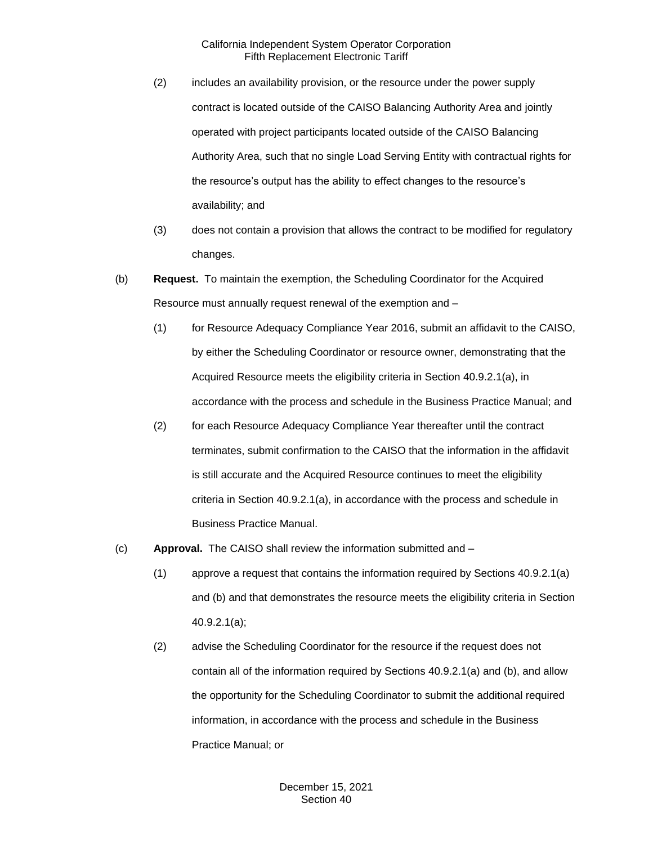- (2) includes an availability provision, or the resource under the power supply contract is located outside of the CAISO Balancing Authority Area and jointly operated with project participants located outside of the CAISO Balancing Authority Area, such that no single Load Serving Entity with contractual rights for the resource's output has the ability to effect changes to the resource's availability; and
- (3) does not contain a provision that allows the contract to be modified for regulatory changes.
- (b) **Request.** To maintain the exemption, the Scheduling Coordinator for the Acquired Resource must annually request renewal of the exemption and –
	- (1) for Resource Adequacy Compliance Year 2016, submit an affidavit to the CAISO, by either the Scheduling Coordinator or resource owner, demonstrating that the Acquired Resource meets the eligibility criteria in Section 40.9.2.1(a), in accordance with the process and schedule in the Business Practice Manual; and
	- (2) for each Resource Adequacy Compliance Year thereafter until the contract terminates, submit confirmation to the CAISO that the information in the affidavit is still accurate and the Acquired Resource continues to meet the eligibility criteria in Section 40.9.2.1(a), in accordance with the process and schedule in Business Practice Manual.
- (c) **Approval.** The CAISO shall review the information submitted and
	- (1) approve a request that contains the information required by Sections 40.9.2.1(a) and (b) and that demonstrates the resource meets the eligibility criteria in Section 40.9.2.1(a);
	- (2) advise the Scheduling Coordinator for the resource if the request does not contain all of the information required by Sections 40.9.2.1(a) and (b), and allow the opportunity for the Scheduling Coordinator to submit the additional required information, in accordance with the process and schedule in the Business Practice Manual; or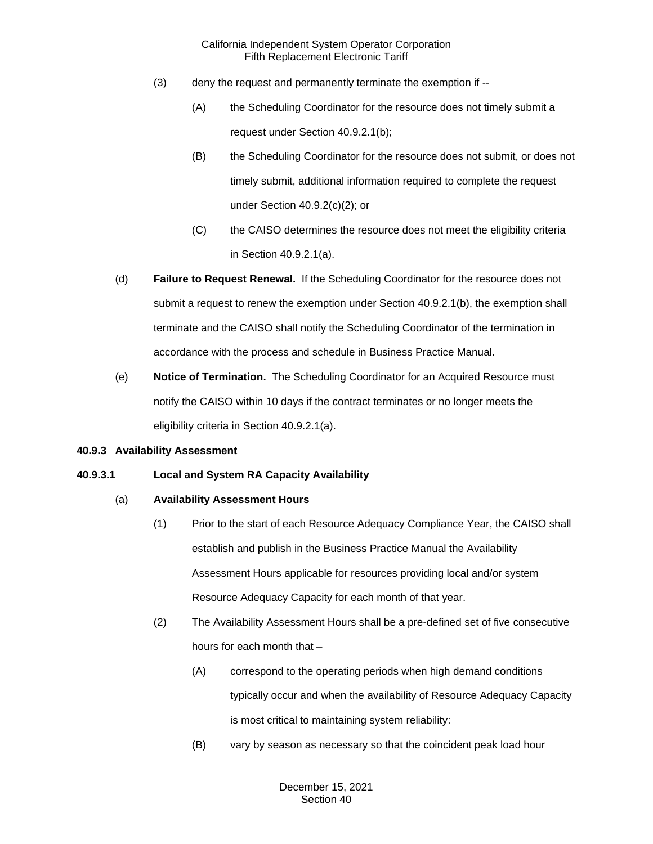- (3) deny the request and permanently terminate the exemption if --
	- (A) the Scheduling Coordinator for the resource does not timely submit a request under Section 40.9.2.1(b);
	- (B) the Scheduling Coordinator for the resource does not submit, or does not timely submit, additional information required to complete the request under Section 40.9.2(c)(2); or
	- (C) the CAISO determines the resource does not meet the eligibility criteria in Section 40.9.2.1(a).
- (d) **Failure to Request Renewal.** If the Scheduling Coordinator for the resource does not submit a request to renew the exemption under Section 40.9.2.1(b), the exemption shall terminate and the CAISO shall notify the Scheduling Coordinator of the termination in accordance with the process and schedule in Business Practice Manual.
- (e) **Notice of Termination.** The Scheduling Coordinator for an Acquired Resource must notify the CAISO within 10 days if the contract terminates or no longer meets the eligibility criteria in Section 40.9.2.1(a).

#### **40.9.3 Availability Assessment**

# **40.9.3.1 Local and System RA Capacity Availability**

# (a) **Availability Assessment Hours**

- (1) Prior to the start of each Resource Adequacy Compliance Year, the CAISO shall establish and publish in the Business Practice Manual the Availability Assessment Hours applicable for resources providing local and/or system Resource Adequacy Capacity for each month of that year.
- (2) The Availability Assessment Hours shall be a pre-defined set of five consecutive hours for each month that –
	- (A) correspond to the operating periods when high demand conditions typically occur and when the availability of Resource Adequacy Capacity is most critical to maintaining system reliability:
	- (B) vary by season as necessary so that the coincident peak load hour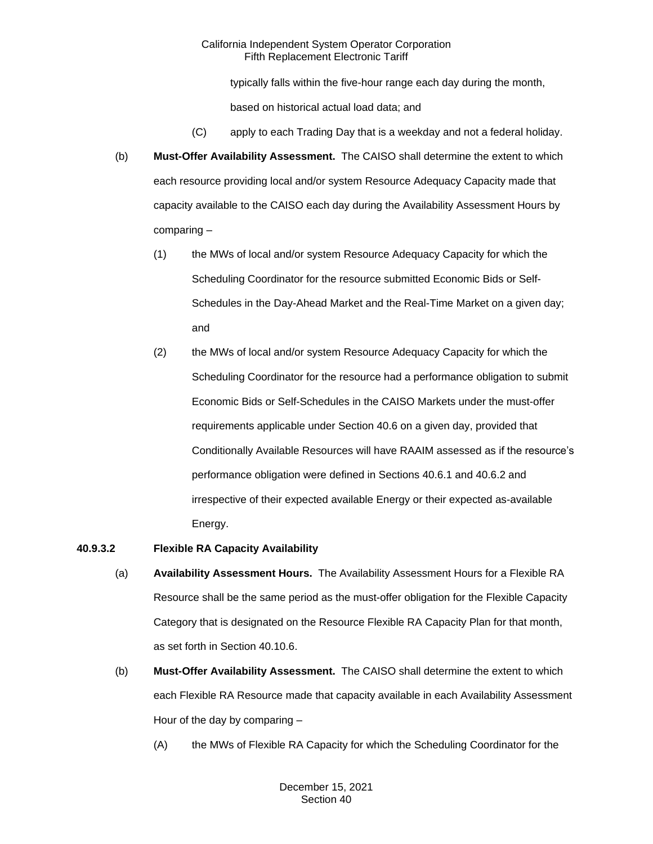typically falls within the five-hour range each day during the month,

based on historical actual load data; and

- (C) apply to each Trading Day that is a weekday and not a federal holiday.
- (b) **Must-Offer Availability Assessment.** The CAISO shall determine the extent to which each resource providing local and/or system Resource Adequacy Capacity made that capacity available to the CAISO each day during the Availability Assessment Hours by comparing –
	- (1) the MWs of local and/or system Resource Adequacy Capacity for which the Scheduling Coordinator for the resource submitted Economic Bids or Self-Schedules in the Day-Ahead Market and the Real-Time Market on a given day; and
	- (2) the MWs of local and/or system Resource Adequacy Capacity for which the Scheduling Coordinator for the resource had a performance obligation to submit Economic Bids or Self-Schedules in the CAISO Markets under the must-offer requirements applicable under Section 40.6 on a given day, provided that Conditionally Available Resources will have RAAIM assessed as if the resource's performance obligation were defined in Sections 40.6.1 and 40.6.2 and irrespective of their expected available Energy or their expected as-available Energy.

# **40.9.3.2 Flexible RA Capacity Availability**

- (a) **Availability Assessment Hours.** The Availability Assessment Hours for a Flexible RA Resource shall be the same period as the must-offer obligation for the Flexible Capacity Category that is designated on the Resource Flexible RA Capacity Plan for that month, as set forth in Section 40.10.6.
- (b) **Must-Offer Availability Assessment.** The CAISO shall determine the extent to which each Flexible RA Resource made that capacity available in each Availability Assessment Hour of the day by comparing –
	- (A) the MWs of Flexible RA Capacity for which the Scheduling Coordinator for the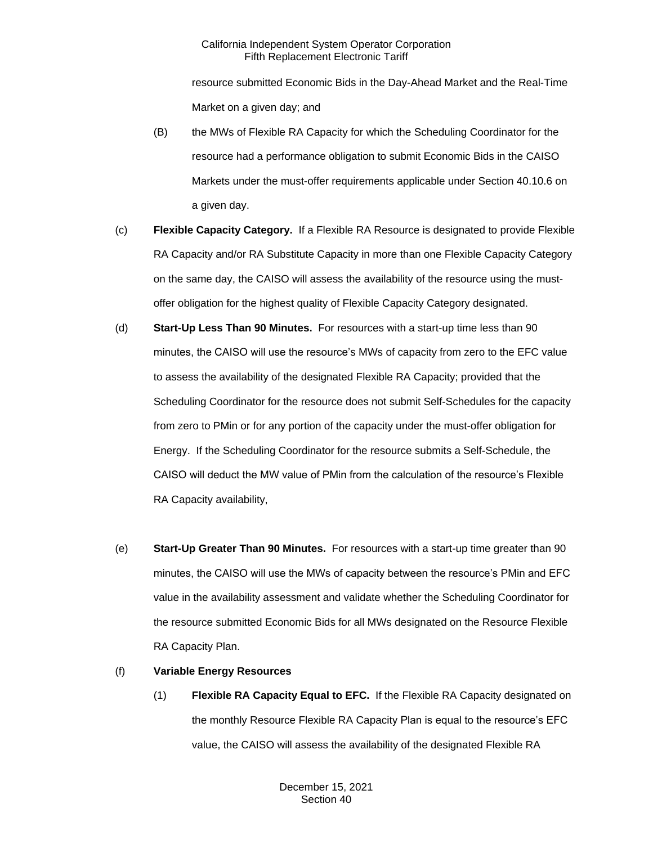resource submitted Economic Bids in the Day-Ahead Market and the Real-Time Market on a given day; and

- (B) the MWs of Flexible RA Capacity for which the Scheduling Coordinator for the resource had a performance obligation to submit Economic Bids in the CAISO Markets under the must-offer requirements applicable under Section 40.10.6 on a given day.
- (c) **Flexible Capacity Category.** If a Flexible RA Resource is designated to provide Flexible RA Capacity and/or RA Substitute Capacity in more than one Flexible Capacity Category on the same day, the CAISO will assess the availability of the resource using the mustoffer obligation for the highest quality of Flexible Capacity Category designated.
- (d) **Start-Up Less Than 90 Minutes.** For resources with a start-up time less than 90 minutes, the CAISO will use the resource's MWs of capacity from zero to the EFC value to assess the availability of the designated Flexible RA Capacity; provided that the Scheduling Coordinator for the resource does not submit Self-Schedules for the capacity from zero to PMin or for any portion of the capacity under the must-offer obligation for Energy. If the Scheduling Coordinator for the resource submits a Self-Schedule, the CAISO will deduct the MW value of PMin from the calculation of the resource's Flexible RA Capacity availability,
- (e) **Start-Up Greater Than 90 Minutes.** For resources with a start-up time greater than 90 minutes, the CAISO will use the MWs of capacity between the resource's PMin and EFC value in the availability assessment and validate whether the Scheduling Coordinator for the resource submitted Economic Bids for all MWs designated on the Resource Flexible RA Capacity Plan.

# (f) **Variable Energy Resources**

(1) **Flexible RA Capacity Equal to EFC.** If the Flexible RA Capacity designated on the monthly Resource Flexible RA Capacity Plan is equal to the resource's EFC value, the CAISO will assess the availability of the designated Flexible RA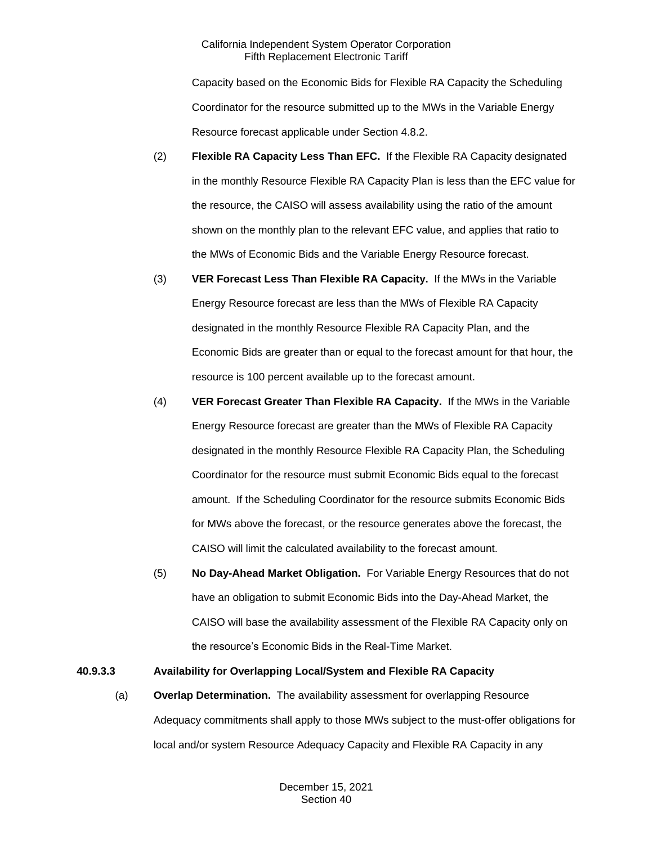Capacity based on the Economic Bids for Flexible RA Capacity the Scheduling Coordinator for the resource submitted up to the MWs in the Variable Energy Resource forecast applicable under Section 4.8.2.

- (2) **Flexible RA Capacity Less Than EFC.** If the Flexible RA Capacity designated in the monthly Resource Flexible RA Capacity Plan is less than the EFC value for the resource, the CAISO will assess availability using the ratio of the amount shown on the monthly plan to the relevant EFC value, and applies that ratio to the MWs of Economic Bids and the Variable Energy Resource forecast.
- (3) **VER Forecast Less Than Flexible RA Capacity.** If the MWs in the Variable Energy Resource forecast are less than the MWs of Flexible RA Capacity designated in the monthly Resource Flexible RA Capacity Plan, and the Economic Bids are greater than or equal to the forecast amount for that hour, the resource is 100 percent available up to the forecast amount.
- (4) **VER Forecast Greater Than Flexible RA Capacity.** If the MWs in the Variable Energy Resource forecast are greater than the MWs of Flexible RA Capacity designated in the monthly Resource Flexible RA Capacity Plan, the Scheduling Coordinator for the resource must submit Economic Bids equal to the forecast amount. If the Scheduling Coordinator for the resource submits Economic Bids for MWs above the forecast, or the resource generates above the forecast, the CAISO will limit the calculated availability to the forecast amount.
- (5) **No Day-Ahead Market Obligation.** For Variable Energy Resources that do not have an obligation to submit Economic Bids into the Day-Ahead Market, the CAISO will base the availability assessment of the Flexible RA Capacity only on the resource's Economic Bids in the Real-Time Market.

# **40.9.3.3 Availability for Overlapping Local/System and Flexible RA Capacity**

(a) **Overlap Determination.** The availability assessment for overlapping Resource Adequacy commitments shall apply to those MWs subject to the must-offer obligations for local and/or system Resource Adequacy Capacity and Flexible RA Capacity in any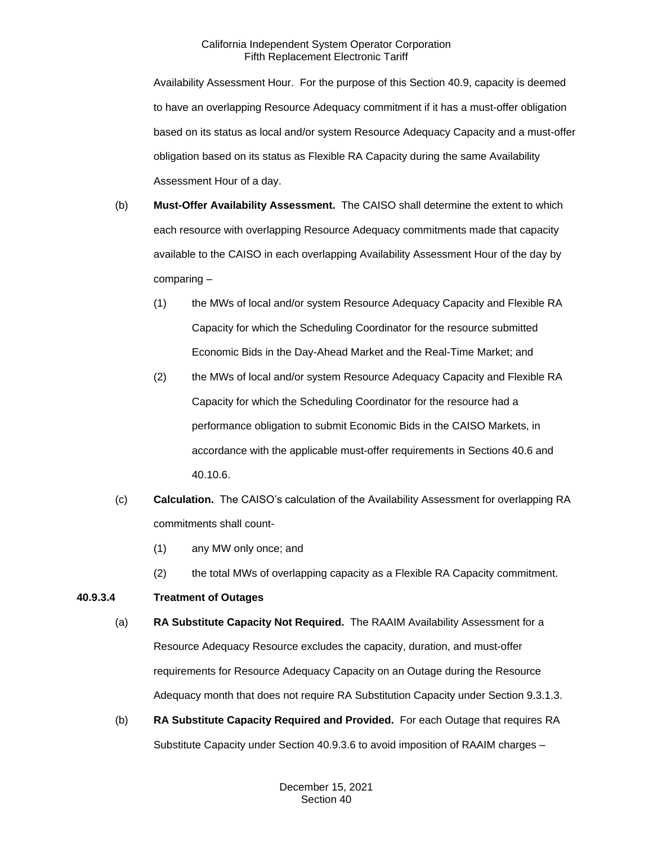Availability Assessment Hour. For the purpose of this Section 40.9, capacity is deemed to have an overlapping Resource Adequacy commitment if it has a must-offer obligation based on its status as local and/or system Resource Adequacy Capacity and a must-offer obligation based on its status as Flexible RA Capacity during the same Availability Assessment Hour of a day.

- (b) **Must-Offer Availability Assessment.** The CAISO shall determine the extent to which each resource with overlapping Resource Adequacy commitments made that capacity available to the CAISO in each overlapping Availability Assessment Hour of the day by comparing –
	- (1) the MWs of local and/or system Resource Adequacy Capacity and Flexible RA Capacity for which the Scheduling Coordinator for the resource submitted Economic Bids in the Day-Ahead Market and the Real-Time Market; and
	- (2) the MWs of local and/or system Resource Adequacy Capacity and Flexible RA Capacity for which the Scheduling Coordinator for the resource had a performance obligation to submit Economic Bids in the CAISO Markets, in accordance with the applicable must-offer requirements in Sections 40.6 and 40.10.6.
- (c) **Calculation.** The CAISO's calculation of the Availability Assessment for overlapping RA commitments shall count-
	- (1) any MW only once; and
	- (2) the total MWs of overlapping capacity as a Flexible RA Capacity commitment.

# **40.9.3.4 Treatment of Outages**

- (a) **RA Substitute Capacity Not Required.** The RAAIM Availability Assessment for a Resource Adequacy Resource excludes the capacity, duration, and must-offer requirements for Resource Adequacy Capacity on an Outage during the Resource Adequacy month that does not require RA Substitution Capacity under Section 9.3.1.3.
- (b) **RA Substitute Capacity Required and Provided.** For each Outage that requires RA Substitute Capacity under Section 40.9.3.6 to avoid imposition of RAAIM charges –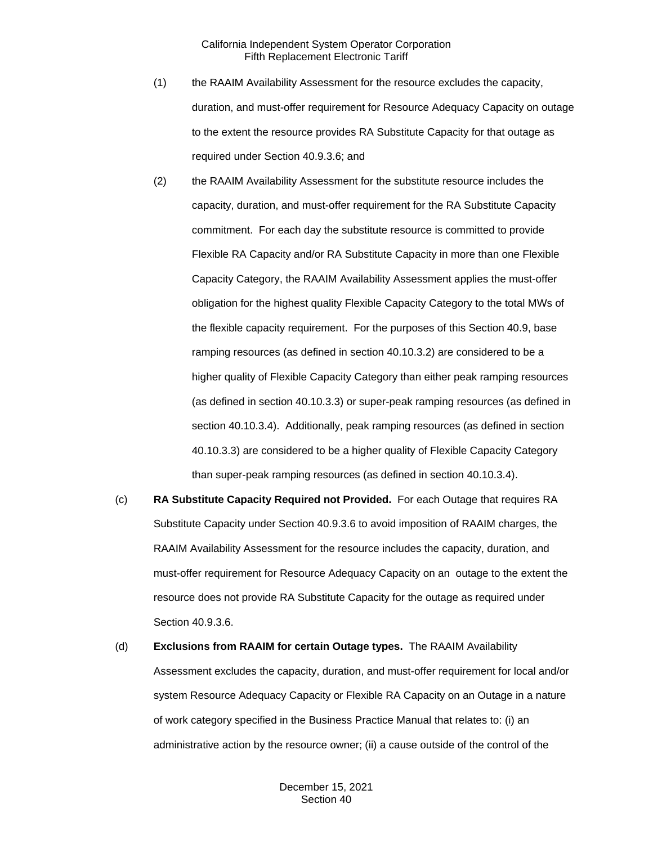- (1) the RAAIM Availability Assessment for the resource excludes the capacity, duration, and must-offer requirement for Resource Adequacy Capacity on outage to the extent the resource provides RA Substitute Capacity for that outage as required under Section 40.9.3.6; and
- (2) the RAAIM Availability Assessment for the substitute resource includes the capacity, duration, and must-offer requirement for the RA Substitute Capacity commitment. For each day the substitute resource is committed to provide Flexible RA Capacity and/or RA Substitute Capacity in more than one Flexible Capacity Category, the RAAIM Availability Assessment applies the must-offer obligation for the highest quality Flexible Capacity Category to the total MWs of the flexible capacity requirement. For the purposes of this Section 40.9, base ramping resources (as defined in section 40.10.3.2) are considered to be a higher quality of Flexible Capacity Category than either peak ramping resources (as defined in section 40.10.3.3) or super-peak ramping resources (as defined in section 40.10.3.4). Additionally, peak ramping resources (as defined in section 40.10.3.3) are considered to be a higher quality of Flexible Capacity Category than super-peak ramping resources (as defined in section 40.10.3.4).
- (c) **RA Substitute Capacity Required not Provided.** For each Outage that requires RA Substitute Capacity under Section 40.9.3.6 to avoid imposition of RAAIM charges, the RAAIM Availability Assessment for the resource includes the capacity, duration, and must-offer requirement for Resource Adequacy Capacity on an outage to the extent the resource does not provide RA Substitute Capacity for the outage as required under Section 40.9.3.6.
- (d) **Exclusions from RAAIM for certain Outage types.** The RAAIM Availability Assessment excludes the capacity, duration, and must-offer requirement for local and/or system Resource Adequacy Capacity or Flexible RA Capacity on an Outage in a nature of work category specified in the Business Practice Manual that relates to: (i) an administrative action by the resource owner; (ii) a cause outside of the control of the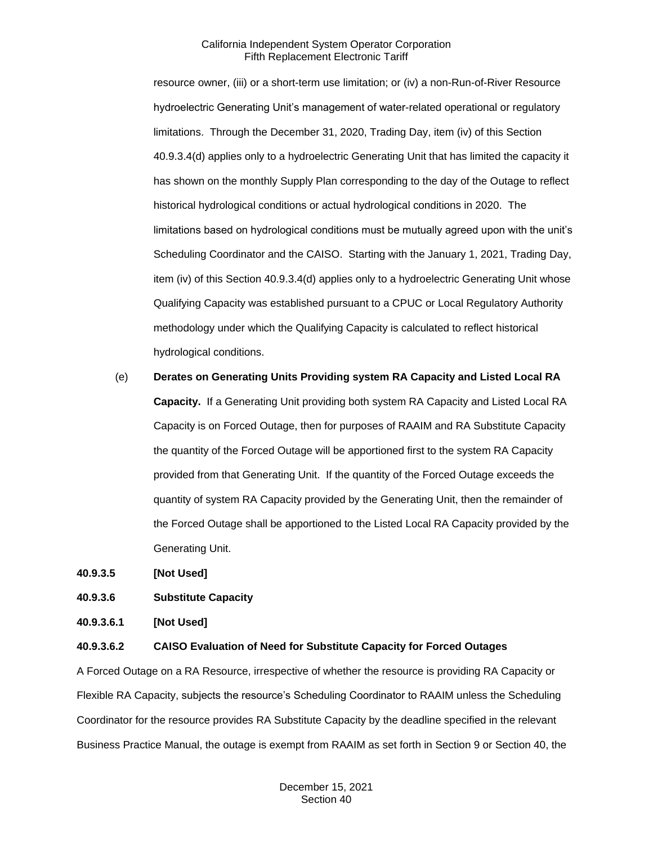resource owner, (iii) or a short-term use limitation; or (iv) a non-Run-of-River Resource hydroelectric Generating Unit's management of water-related operational or regulatory limitations. Through the December 31, 2020, Trading Day, item (iv) of this Section 40.9.3.4(d) applies only to a hydroelectric Generating Unit that has limited the capacity it has shown on the monthly Supply Plan corresponding to the day of the Outage to reflect historical hydrological conditions or actual hydrological conditions in 2020. The limitations based on hydrological conditions must be mutually agreed upon with the unit's Scheduling Coordinator and the CAISO. Starting with the January 1, 2021, Trading Day, item (iv) of this Section 40.9.3.4(d) applies only to a hydroelectric Generating Unit whose Qualifying Capacity was established pursuant to a CPUC or Local Regulatory Authority methodology under which the Qualifying Capacity is calculated to reflect historical hydrological conditions.

(e) **Derates on Generating Units Providing system RA Capacity and Listed Local RA Capacity.** If a Generating Unit providing both system RA Capacity and Listed Local RA Capacity is on Forced Outage, then for purposes of RAAIM and RA Substitute Capacity the quantity of the Forced Outage will be apportioned first to the system RA Capacity provided from that Generating Unit. If the quantity of the Forced Outage exceeds the quantity of system RA Capacity provided by the Generating Unit, then the remainder of the Forced Outage shall be apportioned to the Listed Local RA Capacity provided by the Generating Unit.

**40.9.3.5 [Not Used]** 

**40.9.3.6 Substitute Capacity**

**40.9.3.6.1 [Not Used]**

#### **40.9.3.6.2 CAISO Evaluation of Need for Substitute Capacity for Forced Outages**

A Forced Outage on a RA Resource, irrespective of whether the resource is providing RA Capacity or Flexible RA Capacity, subjects the resource's Scheduling Coordinator to RAAIM unless the Scheduling Coordinator for the resource provides RA Substitute Capacity by the deadline specified in the relevant Business Practice Manual, the outage is exempt from RAAIM as set forth in Section 9 or Section 40, the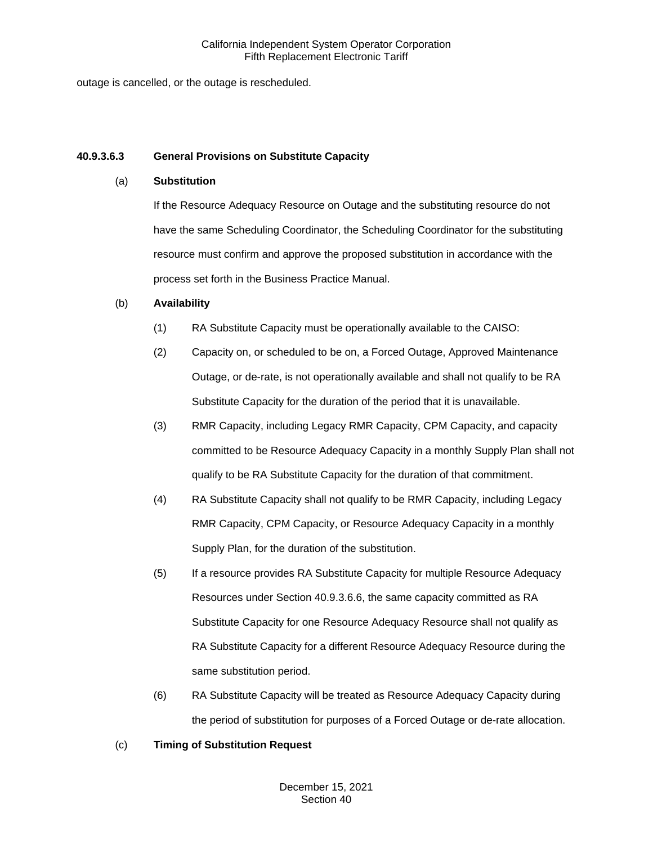outage is cancelled, or the outage is rescheduled.

# **40.9.3.6.3 General Provisions on Substitute Capacity**

# (a) **Substitution**

If the Resource Adequacy Resource on Outage and the substituting resource do not have the same Scheduling Coordinator, the Scheduling Coordinator for the substituting resource must confirm and approve the proposed substitution in accordance with the process set forth in the Business Practice Manual.

# (b) **Availability**

- (1) RA Substitute Capacity must be operationally available to the CAISO:
- (2) Capacity on, or scheduled to be on, a Forced Outage, Approved Maintenance Outage, or de-rate, is not operationally available and shall not qualify to be RA Substitute Capacity for the duration of the period that it is unavailable.
- (3) RMR Capacity, including Legacy RMR Capacity, CPM Capacity, and capacity committed to be Resource Adequacy Capacity in a monthly Supply Plan shall not qualify to be RA Substitute Capacity for the duration of that commitment.
- (4) RA Substitute Capacity shall not qualify to be RMR Capacity, including Legacy RMR Capacity, CPM Capacity, or Resource Adequacy Capacity in a monthly Supply Plan, for the duration of the substitution.
- (5) If a resource provides RA Substitute Capacity for multiple Resource Adequacy Resources under Section 40.9.3.6.6, the same capacity committed as RA Substitute Capacity for one Resource Adequacy Resource shall not qualify as RA Substitute Capacity for a different Resource Adequacy Resource during the same substitution period.
- (6) RA Substitute Capacity will be treated as Resource Adequacy Capacity during the period of substitution for purposes of a Forced Outage or de-rate allocation.

# (c) **Timing of Substitution Request**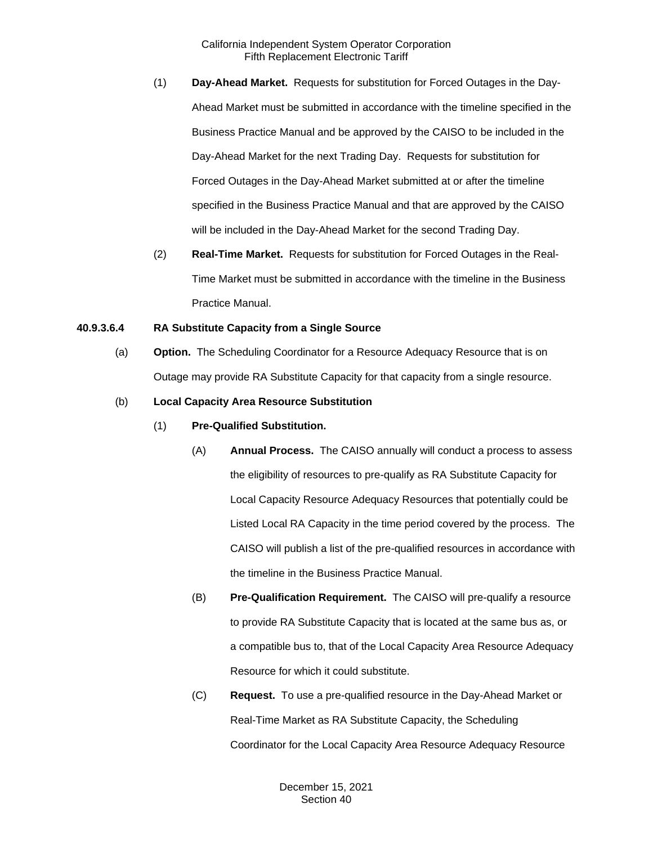- (1) **Day-Ahead Market.** Requests for substitution for Forced Outages in the Day-Ahead Market must be submitted in accordance with the timeline specified in the Business Practice Manual and be approved by the CAISO to be included in the Day-Ahead Market for the next Trading Day. Requests for substitution for Forced Outages in the Day-Ahead Market submitted at or after the timeline specified in the Business Practice Manual and that are approved by the CAISO will be included in the Day-Ahead Market for the second Trading Day.
- (2) **Real-Time Market.** Requests for substitution for Forced Outages in the Real-Time Market must be submitted in accordance with the timeline in the Business Practice Manual.

## **40.9.3.6.4 RA Substitute Capacity from a Single Source**

- (a) **Option.** The Scheduling Coordinator for a Resource Adequacy Resource that is on Outage may provide RA Substitute Capacity for that capacity from a single resource.
- (b) **Local Capacity Area Resource Substitution**
	- (1) **Pre-Qualified Substitution.**
		- (A) **Annual Process.** The CAISO annually will conduct a process to assess the eligibility of resources to pre-qualify as RA Substitute Capacity for Local Capacity Resource Adequacy Resources that potentially could be Listed Local RA Capacity in the time period covered by the process. The CAISO will publish a list of the pre-qualified resources in accordance with the timeline in the Business Practice Manual.
		- (B) **Pre-Qualification Requirement.** The CAISO will pre-qualify a resource to provide RA Substitute Capacity that is located at the same bus as, or a compatible bus to, that of the Local Capacity Area Resource Adequacy Resource for which it could substitute.
		- (C) **Request.** To use a pre-qualified resource in the Day-Ahead Market or Real-Time Market as RA Substitute Capacity, the Scheduling Coordinator for the Local Capacity Area Resource Adequacy Resource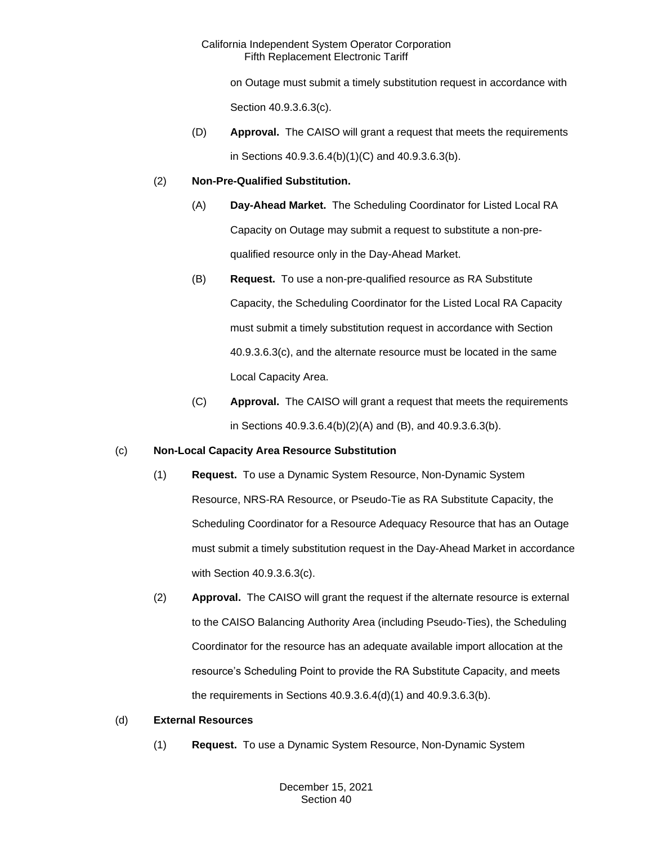on Outage must submit a timely substitution request in accordance with

Section 40.9.3.6.3(c).

(D) **Approval.** The CAISO will grant a request that meets the requirements in Sections 40.9.3.6.4(b)(1)(C) and 40.9.3.6.3(b).

# (2) **Non-Pre-Qualified Substitution.**

- (A) **Day-Ahead Market.** The Scheduling Coordinator for Listed Local RA Capacity on Outage may submit a request to substitute a non-prequalified resource only in the Day-Ahead Market.
- (B) **Request.** To use a non-pre-qualified resource as RA Substitute Capacity, the Scheduling Coordinator for the Listed Local RA Capacity must submit a timely substitution request in accordance with Section 40.9.3.6.3(c), and the alternate resource must be located in the same Local Capacity Area.
- (C) **Approval.** The CAISO will grant a request that meets the requirements in Sections 40.9.3.6.4(b)(2)(A) and (B), and 40.9.3.6.3(b).

# (c) **Non-Local Capacity Area Resource Substitution**

- (1) **Request.** To use a Dynamic System Resource, Non-Dynamic System Resource, NRS-RA Resource, or Pseudo-Tie as RA Substitute Capacity, the Scheduling Coordinator for a Resource Adequacy Resource that has an Outage must submit a timely substitution request in the Day-Ahead Market in accordance with Section 40.9.3.6.3(c).
- (2) **Approval.** The CAISO will grant the request if the alternate resource is external to the CAISO Balancing Authority Area (including Pseudo-Ties), the Scheduling Coordinator for the resource has an adequate available import allocation at the resource's Scheduling Point to provide the RA Substitute Capacity, and meets the requirements in Sections 40.9.3.6.4(d)(1) and 40.9.3.6.3(b).

# (d) **External Resources**

(1) **Request.** To use a Dynamic System Resource, Non-Dynamic System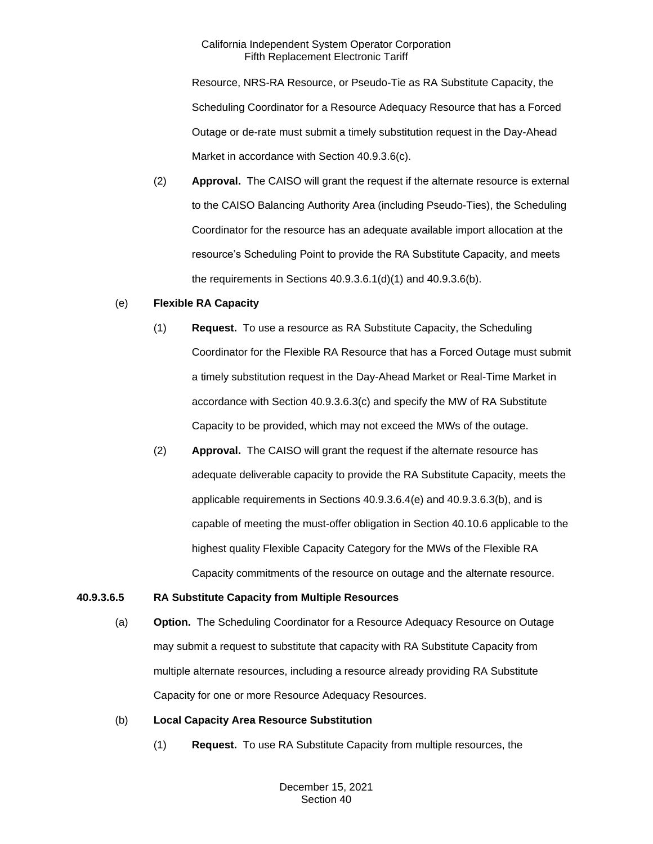Resource, NRS-RA Resource, or Pseudo-Tie as RA Substitute Capacity, the Scheduling Coordinator for a Resource Adequacy Resource that has a Forced Outage or de-rate must submit a timely substitution request in the Day-Ahead Market in accordance with Section 40.9.3.6(c).

(2) **Approval.** The CAISO will grant the request if the alternate resource is external to the CAISO Balancing Authority Area (including Pseudo-Ties), the Scheduling Coordinator for the resource has an adequate available import allocation at the resource's Scheduling Point to provide the RA Substitute Capacity, and meets the requirements in Sections 40.9.3.6.1(d)(1) and 40.9.3.6(b).

#### (e) **Flexible RA Capacity**

- (1) **Request.** To use a resource as RA Substitute Capacity, the Scheduling Coordinator for the Flexible RA Resource that has a Forced Outage must submit a timely substitution request in the Day-Ahead Market or Real-Time Market in accordance with Section 40.9.3.6.3(c) and specify the MW of RA Substitute Capacity to be provided, which may not exceed the MWs of the outage.
- (2) **Approval.** The CAISO will grant the request if the alternate resource has adequate deliverable capacity to provide the RA Substitute Capacity, meets the applicable requirements in Sections 40.9.3.6.4(e) and 40.9.3.6.3(b), and is capable of meeting the must-offer obligation in Section 40.10.6 applicable to the highest quality Flexible Capacity Category for the MWs of the Flexible RA Capacity commitments of the resource on outage and the alternate resource.

## **40.9.3.6.5 RA Substitute Capacity from Multiple Resources**

(a) **Option.** The Scheduling Coordinator for a Resource Adequacy Resource on Outage may submit a request to substitute that capacity with RA Substitute Capacity from multiple alternate resources, including a resource already providing RA Substitute Capacity for one or more Resource Adequacy Resources.

## (b) **Local Capacity Area Resource Substitution**

(1) **Request.** To use RA Substitute Capacity from multiple resources, the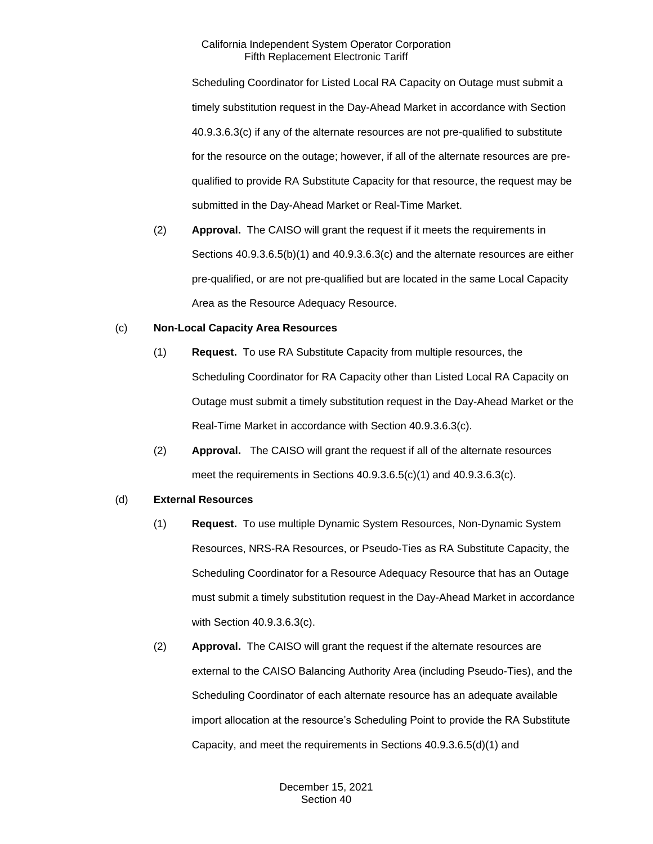Scheduling Coordinator for Listed Local RA Capacity on Outage must submit a timely substitution request in the Day-Ahead Market in accordance with Section 40.9.3.6.3(c) if any of the alternate resources are not pre-qualified to substitute for the resource on the outage; however, if all of the alternate resources are prequalified to provide RA Substitute Capacity for that resource, the request may be submitted in the Day-Ahead Market or Real-Time Market.

(2) **Approval.** The CAISO will grant the request if it meets the requirements in Sections 40.9.3.6.5(b)(1) and 40.9.3.6.3(c) and the alternate resources are either pre-qualified, or are not pre-qualified but are located in the same Local Capacity Area as the Resource Adequacy Resource.

## (c) **Non-Local Capacity Area Resources**

- (1) **Request.** To use RA Substitute Capacity from multiple resources, the Scheduling Coordinator for RA Capacity other than Listed Local RA Capacity on Outage must submit a timely substitution request in the Day-Ahead Market or the Real-Time Market in accordance with Section 40.9.3.6.3(c).
- (2) **Approval.** The CAISO will grant the request if all of the alternate resources meet the requirements in Sections 40.9.3.6.5(c)(1) and 40.9.3.6.3(c).

## (d) **External Resources**

- (1) **Request.** To use multiple Dynamic System Resources, Non-Dynamic System Resources, NRS-RA Resources, or Pseudo-Ties as RA Substitute Capacity, the Scheduling Coordinator for a Resource Adequacy Resource that has an Outage must submit a timely substitution request in the Day-Ahead Market in accordance with Section 40.9.3.6.3(c).
- (2) **Approval.** The CAISO will grant the request if the alternate resources are external to the CAISO Balancing Authority Area (including Pseudo-Ties), and the Scheduling Coordinator of each alternate resource has an adequate available import allocation at the resource's Scheduling Point to provide the RA Substitute Capacity, and meet the requirements in Sections 40.9.3.6.5(d)(1) and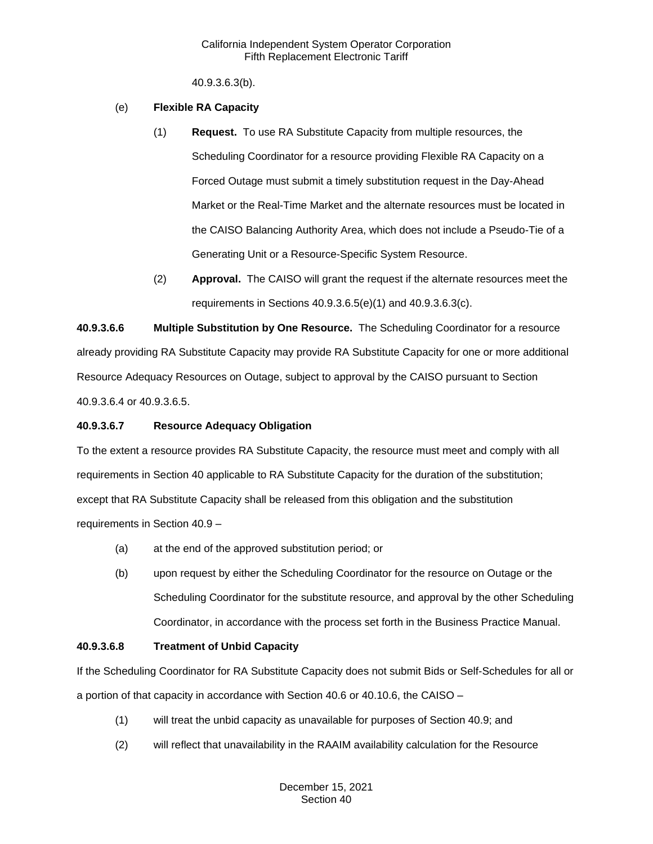40.9.3.6.3(b).

## (e) **Flexible RA Capacity**

- (1) **Request.** To use RA Substitute Capacity from multiple resources, the Scheduling Coordinator for a resource providing Flexible RA Capacity on a Forced Outage must submit a timely substitution request in the Day-Ahead Market or the Real-Time Market and the alternate resources must be located in the CAISO Balancing Authority Area, which does not include a Pseudo-Tie of a Generating Unit or a Resource-Specific System Resource.
- (2) **Approval.** The CAISO will grant the request if the alternate resources meet the requirements in Sections 40.9.3.6.5(e)(1) and 40.9.3.6.3(c).

**40.9.3.6.6 Multiple Substitution by One Resource.** The Scheduling Coordinator for a resource already providing RA Substitute Capacity may provide RA Substitute Capacity for one or more additional Resource Adequacy Resources on Outage, subject to approval by the CAISO pursuant to Section 40.9.3.6.4 or 40.9.3.6.5.

## **40.9.3.6.7 Resource Adequacy Obligation**

To the extent a resource provides RA Substitute Capacity, the resource must meet and comply with all requirements in Section 40 applicable to RA Substitute Capacity for the duration of the substitution; except that RA Substitute Capacity shall be released from this obligation and the substitution requirements in Section 40.9 –

- (a) at the end of the approved substitution period; or
- (b) upon request by either the Scheduling Coordinator for the resource on Outage or the Scheduling Coordinator for the substitute resource, and approval by the other Scheduling Coordinator, in accordance with the process set forth in the Business Practice Manual.

## **40.9.3.6.8 Treatment of Unbid Capacity**

If the Scheduling Coordinator for RA Substitute Capacity does not submit Bids or Self-Schedules for all or a portion of that capacity in accordance with Section 40.6 or 40.10.6, the CAISO –

- (1) will treat the unbid capacity as unavailable for purposes of Section 40.9; and
- (2) will reflect that unavailability in the RAAIM availability calculation for the Resource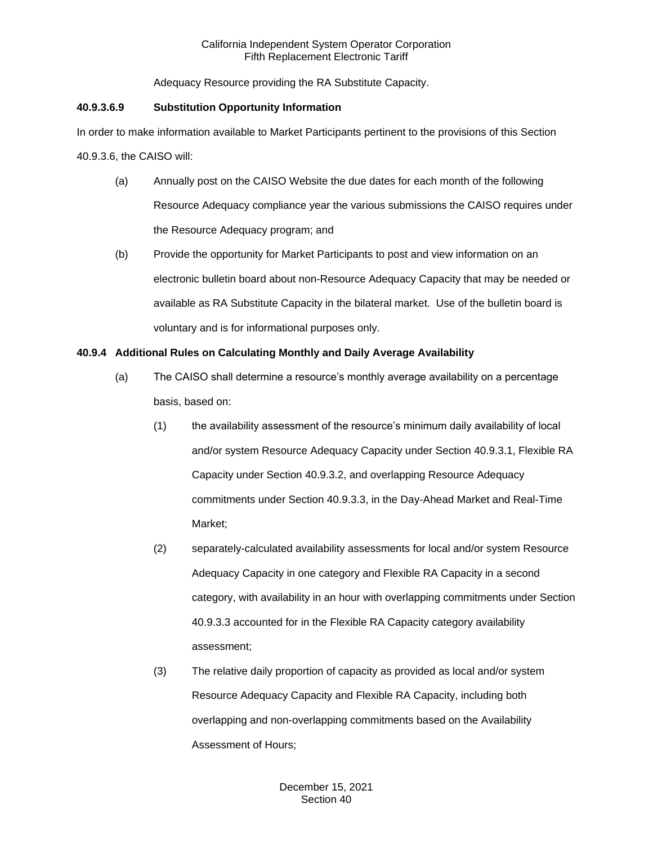Adequacy Resource providing the RA Substitute Capacity.

## **40.9.3.6.9 Substitution Opportunity Information**

In order to make information available to Market Participants pertinent to the provisions of this Section 40.9.3.6, the CAISO will:

- (a) Annually post on the CAISO Website the due dates for each month of the following Resource Adequacy compliance year the various submissions the CAISO requires under the Resource Adequacy program; and
- (b) Provide the opportunity for Market Participants to post and view information on an electronic bulletin board about non-Resource Adequacy Capacity that may be needed or available as RA Substitute Capacity in the bilateral market. Use of the bulletin board is voluntary and is for informational purposes only.

## **40.9.4 Additional Rules on Calculating Monthly and Daily Average Availability**

- (a) The CAISO shall determine a resource's monthly average availability on a percentage basis, based on:
	- (1) the availability assessment of the resource's minimum daily availability of local and/or system Resource Adequacy Capacity under Section 40.9.3.1, Flexible RA Capacity under Section 40.9.3.2, and overlapping Resource Adequacy commitments under Section 40.9.3.3, in the Day-Ahead Market and Real-Time Market;
	- (2) separately-calculated availability assessments for local and/or system Resource Adequacy Capacity in one category and Flexible RA Capacity in a second category, with availability in an hour with overlapping commitments under Section 40.9.3.3 accounted for in the Flexible RA Capacity category availability assessment;
	- (3) The relative daily proportion of capacity as provided as local and/or system Resource Adequacy Capacity and Flexible RA Capacity, including both overlapping and non-overlapping commitments based on the Availability Assessment of Hours;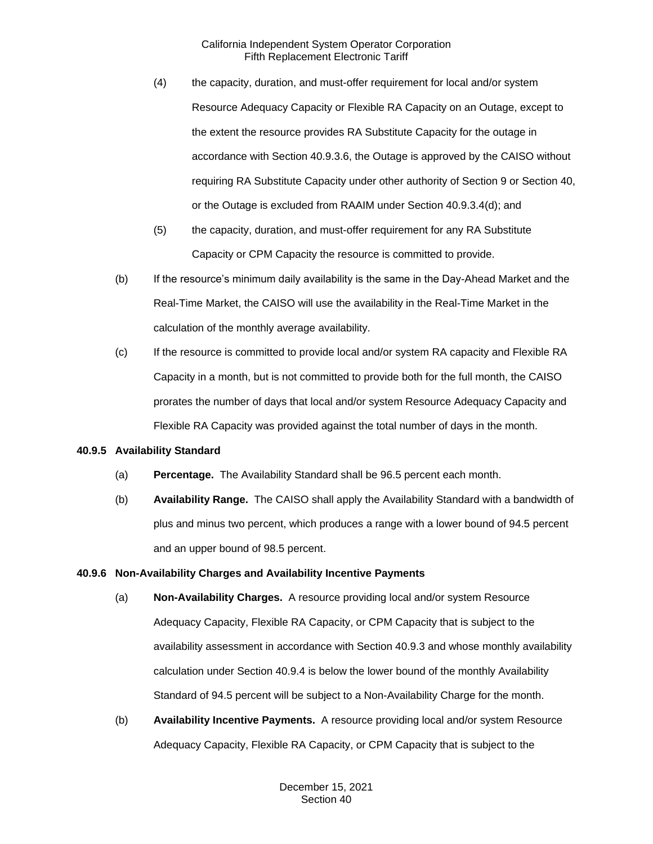- (4) the capacity, duration, and must-offer requirement for local and/or system Resource Adequacy Capacity or Flexible RA Capacity on an Outage, except to the extent the resource provides RA Substitute Capacity for the outage in accordance with Section 40.9.3.6, the Outage is approved by the CAISO without requiring RA Substitute Capacity under other authority of Section 9 or Section 40, or the Outage is excluded from RAAIM under Section 40.9.3.4(d); and
- (5) the capacity, duration, and must-offer requirement for any RA Substitute Capacity or CPM Capacity the resource is committed to provide.
- (b) If the resource's minimum daily availability is the same in the Day-Ahead Market and the Real-Time Market, the CAISO will use the availability in the Real-Time Market in the calculation of the monthly average availability.
- (c) If the resource is committed to provide local and/or system RA capacity and Flexible RA Capacity in a month, but is not committed to provide both for the full month, the CAISO prorates the number of days that local and/or system Resource Adequacy Capacity and Flexible RA Capacity was provided against the total number of days in the month.

## **40.9.5 Availability Standard**

- (a) **Percentage.** The Availability Standard shall be 96.5 percent each month.
- (b) **Availability Range.** The CAISO shall apply the Availability Standard with a bandwidth of plus and minus two percent, which produces a range with a lower bound of 94.5 percent and an upper bound of 98.5 percent.

#### **40.9.6 Non-Availability Charges and Availability Incentive Payments**

- (a) **Non-Availability Charges.** A resource providing local and/or system Resource Adequacy Capacity, Flexible RA Capacity, or CPM Capacity that is subject to the availability assessment in accordance with Section 40.9.3 and whose monthly availability calculation under Section 40.9.4 is below the lower bound of the monthly Availability Standard of 94.5 percent will be subject to a Non-Availability Charge for the month.
- (b) **Availability Incentive Payments.** A resource providing local and/or system Resource Adequacy Capacity, Flexible RA Capacity, or CPM Capacity that is subject to the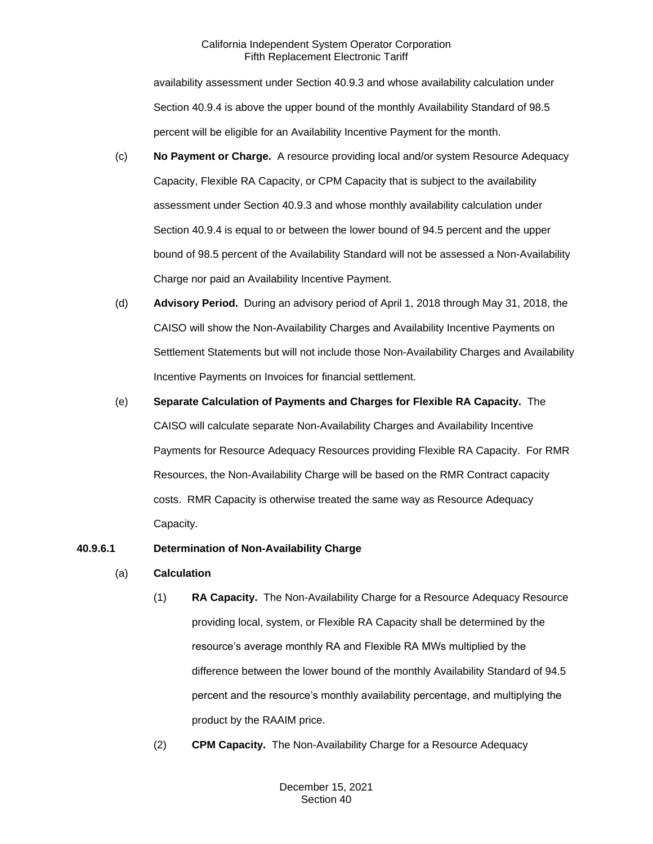availability assessment under Section 40.9.3 and whose availability calculation under Section 40.9.4 is above the upper bound of the monthly Availability Standard of 98.5 percent will be eligible for an Availability Incentive Payment for the month.

- (c) **No Payment or Charge.** A resource providing local and/or system Resource Adequacy Capacity, Flexible RA Capacity, or CPM Capacity that is subject to the availability assessment under Section 40.9.3 and whose monthly availability calculation under Section 40.9.4 is equal to or between the lower bound of 94.5 percent and the upper bound of 98.5 percent of the Availability Standard will not be assessed a Non-Availability Charge nor paid an Availability Incentive Payment.
- (d) **Advisory Period.** During an advisory period of April 1, 2018 through May 31, 2018, the CAISO will show the Non-Availability Charges and Availability Incentive Payments on Settlement Statements but will not include those Non-Availability Charges and Availability Incentive Payments on Invoices for financial settlement.
- (e) **Separate Calculation of Payments and Charges for Flexible RA Capacity.** The CAISO will calculate separate Non-Availability Charges and Availability Incentive Payments for Resource Adequacy Resources providing Flexible RA Capacity. For RMR Resources, the Non-Availability Charge will be based on the RMR Contract capacity costs. RMR Capacity is otherwise treated the same way as Resource Adequacy Capacity.

## **40.9.6.1 Determination of Non-Availability Charge**

## (a) **Calculation**

- (1) **RA Capacity.** The Non-Availability Charge for a Resource Adequacy Resource providing local, system, or Flexible RA Capacity shall be determined by the resource's average monthly RA and Flexible RA MWs multiplied by the difference between the lower bound of the monthly Availability Standard of 94.5 percent and the resource's monthly availability percentage, and multiplying the product by the RAAIM price.
- (2) **CPM Capacity.** The Non-Availability Charge for a Resource Adequacy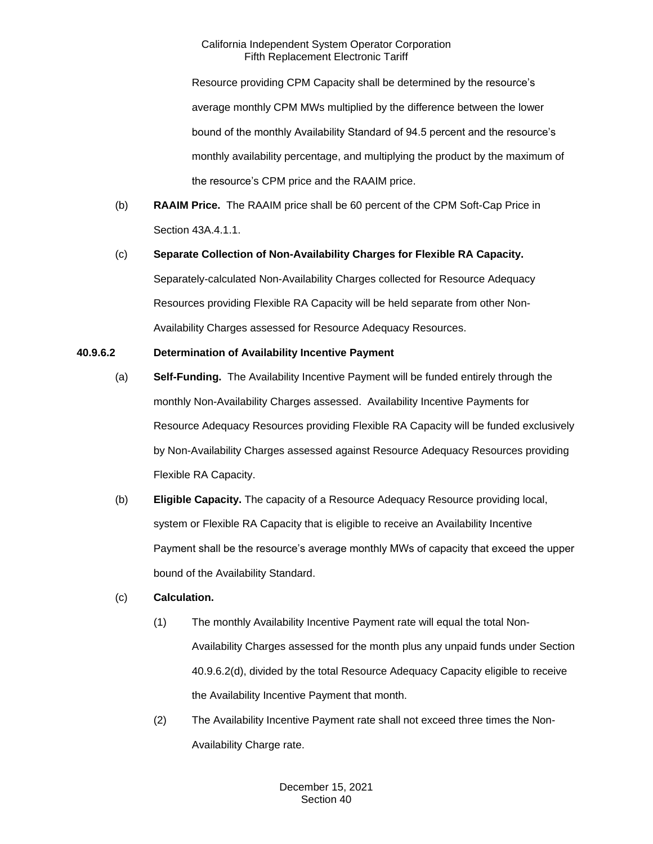Resource providing CPM Capacity shall be determined by the resource's average monthly CPM MWs multiplied by the difference between the lower bound of the monthly Availability Standard of 94.5 percent and the resource's monthly availability percentage, and multiplying the product by the maximum of the resource's CPM price and the RAAIM price.

(b) **RAAIM Price.** The RAAIM price shall be 60 percent of the CPM Soft-Cap Price in Section 43A.4.1.1.

# (c) **Separate Collection of Non-Availability Charges for Flexible RA Capacity.**  Separately-calculated Non-Availability Charges collected for Resource Adequacy Resources providing Flexible RA Capacity will be held separate from other Non-Availability Charges assessed for Resource Adequacy Resources.

# **40.9.6.2 Determination of Availability Incentive Payment**

- (a) **Self-Funding.** The Availability Incentive Payment will be funded entirely through the monthly Non-Availability Charges assessed. Availability Incentive Payments for Resource Adequacy Resources providing Flexible RA Capacity will be funded exclusively by Non-Availability Charges assessed against Resource Adequacy Resources providing Flexible RA Capacity.
- (b) **Eligible Capacity.** The capacity of a Resource Adequacy Resource providing local, system or Flexible RA Capacity that is eligible to receive an Availability Incentive Payment shall be the resource's average monthly MWs of capacity that exceed the upper bound of the Availability Standard.

## (c) **Calculation.**

- (1) The monthly Availability Incentive Payment rate will equal the total Non-Availability Charges assessed for the month plus any unpaid funds under Section 40.9.6.2(d), divided by the total Resource Adequacy Capacity eligible to receive the Availability Incentive Payment that month.
- (2) The Availability Incentive Payment rate shall not exceed three times the Non-Availability Charge rate.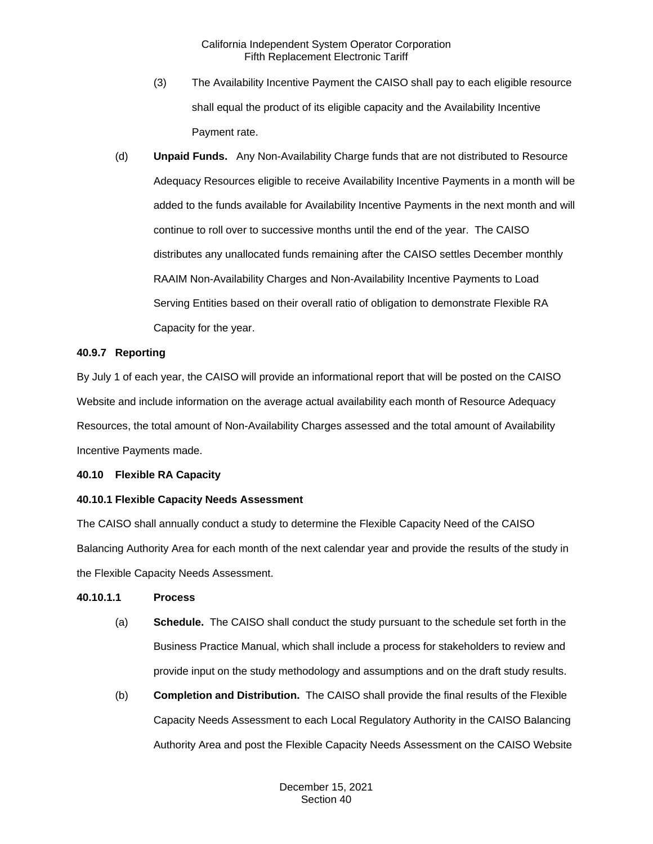- (3) The Availability Incentive Payment the CAISO shall pay to each eligible resource shall equal the product of its eligible capacity and the Availability Incentive Payment rate.
- (d) **Unpaid Funds.** Any Non-Availability Charge funds that are not distributed to Resource Adequacy Resources eligible to receive Availability Incentive Payments in a month will be added to the funds available for Availability Incentive Payments in the next month and will continue to roll over to successive months until the end of the year. The CAISO distributes any unallocated funds remaining after the CAISO settles December monthly RAAIM Non-Availability Charges and Non-Availability Incentive Payments to Load Serving Entities based on their overall ratio of obligation to demonstrate Flexible RA Capacity for the year.

#### **40.9.7 Reporting**

By July 1 of each year, the CAISO will provide an informational report that will be posted on the CAISO Website and include information on the average actual availability each month of Resource Adequacy Resources, the total amount of Non-Availability Charges assessed and the total amount of Availability Incentive Payments made.

#### **40.10 Flexible RA Capacity**

## **40.10.1 Flexible Capacity Needs Assessment**

The CAISO shall annually conduct a study to determine the Flexible Capacity Need of the CAISO Balancing Authority Area for each month of the next calendar year and provide the results of the study in the Flexible Capacity Needs Assessment.

#### **40.10.1.1 Process**

- (a) **Schedule.** The CAISO shall conduct the study pursuant to the schedule set forth in the Business Practice Manual, which shall include a process for stakeholders to review and provide input on the study methodology and assumptions and on the draft study results.
- (b) **Completion and Distribution.** The CAISO shall provide the final results of the Flexible Capacity Needs Assessment to each Local Regulatory Authority in the CAISO Balancing Authority Area and post the Flexible Capacity Needs Assessment on the CAISO Website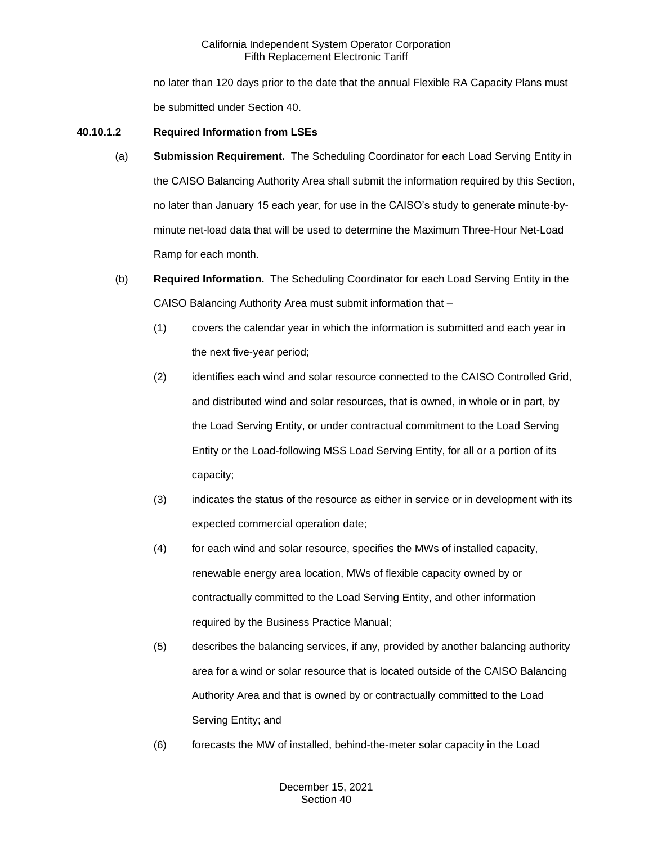no later than 120 days prior to the date that the annual Flexible RA Capacity Plans must be submitted under Section 40.

## **40.10.1.2 Required Information from LSEs**

- (a) **Submission Requirement.** The Scheduling Coordinator for each Load Serving Entity in the CAISO Balancing Authority Area shall submit the information required by this Section, no later than January 15 each year, for use in the CAISO's study to generate minute-byminute net-load data that will be used to determine the Maximum Three-Hour Net-Load Ramp for each month.
- (b) **Required Information.** The Scheduling Coordinator for each Load Serving Entity in the CAISO Balancing Authority Area must submit information that –
	- (1) covers the calendar year in which the information is submitted and each year in the next five-year period;
	- (2) identifies each wind and solar resource connected to the CAISO Controlled Grid, and distributed wind and solar resources, that is owned, in whole or in part, by the Load Serving Entity, or under contractual commitment to the Load Serving Entity or the Load-following MSS Load Serving Entity, for all or a portion of its capacity;
	- (3) indicates the status of the resource as either in service or in development with its expected commercial operation date;
	- (4) for each wind and solar resource, specifies the MWs of installed capacity, renewable energy area location, MWs of flexible capacity owned by or contractually committed to the Load Serving Entity, and other information required by the Business Practice Manual;
	- (5) describes the balancing services, if any, provided by another balancing authority area for a wind or solar resource that is located outside of the CAISO Balancing Authority Area and that is owned by or contractually committed to the Load Serving Entity; and
	- (6) forecasts the MW of installed, behind-the-meter solar capacity in the Load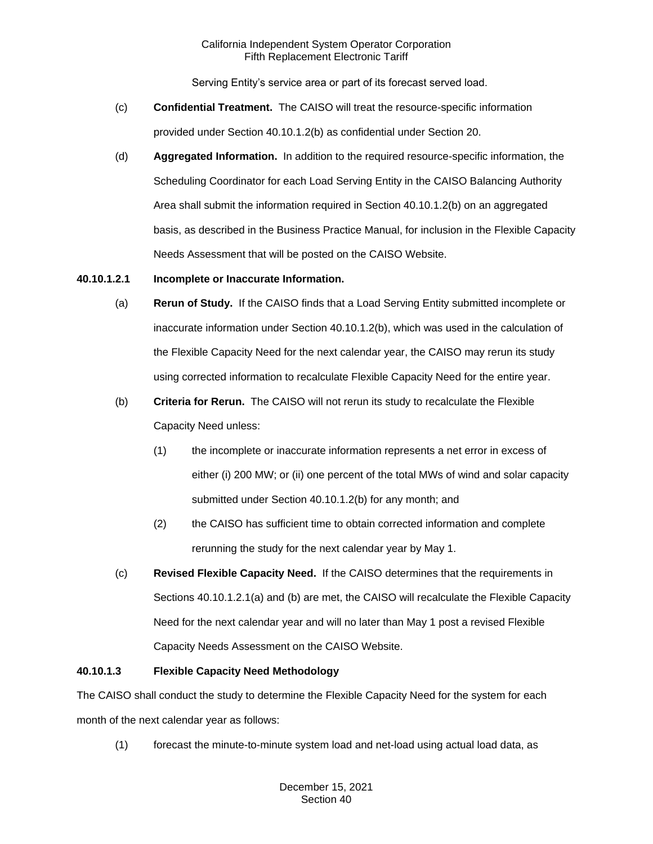Serving Entity's service area or part of its forecast served load.

- (c) **Confidential Treatment.** The CAISO will treat the resource-specific information provided under Section 40.10.1.2(b) as confidential under Section 20.
- (d) **Aggregated Information.** In addition to the required resource-specific information, the Scheduling Coordinator for each Load Serving Entity in the CAISO Balancing Authority Area shall submit the information required in Section 40.10.1.2(b) on an aggregated basis, as described in the Business Practice Manual, for inclusion in the Flexible Capacity Needs Assessment that will be posted on the CAISO Website.

## **40.10.1.2.1 Incomplete or Inaccurate Information.**

- (a) **Rerun of Study.** If the CAISO finds that a Load Serving Entity submitted incomplete or inaccurate information under Section 40.10.1.2(b), which was used in the calculation of the Flexible Capacity Need for the next calendar year, the CAISO may rerun its study using corrected information to recalculate Flexible Capacity Need for the entire year.
- (b) **Criteria for Rerun.** The CAISO will not rerun its study to recalculate the Flexible Capacity Need unless:
	- (1) the incomplete or inaccurate information represents a net error in excess of either (i) 200 MW; or (ii) one percent of the total MWs of wind and solar capacity submitted under Section 40.10.1.2(b) for any month; and
	- (2) the CAISO has sufficient time to obtain corrected information and complete rerunning the study for the next calendar year by May 1.
- (c) **Revised Flexible Capacity Need.** If the CAISO determines that the requirements in Sections 40.10.1.2.1(a) and (b) are met, the CAISO will recalculate the Flexible Capacity Need for the next calendar year and will no later than May 1 post a revised Flexible Capacity Needs Assessment on the CAISO Website.

## **40.10.1.3 Flexible Capacity Need Methodology**

The CAISO shall conduct the study to determine the Flexible Capacity Need for the system for each month of the next calendar year as follows:

(1) forecast the minute-to-minute system load and net-load using actual load data, as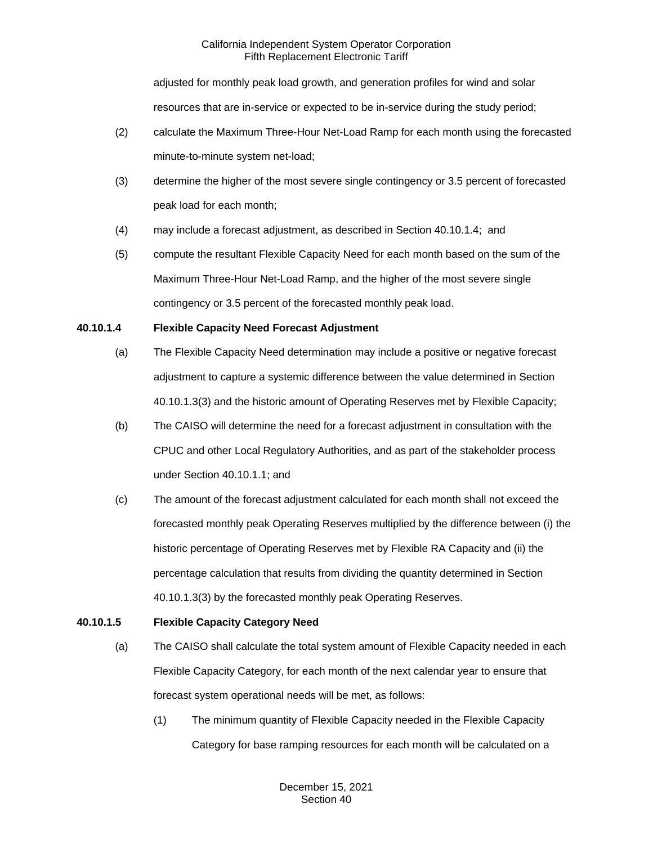adjusted for monthly peak load growth, and generation profiles for wind and solar resources that are in-service or expected to be in-service during the study period;

- (2) calculate the Maximum Three-Hour Net-Load Ramp for each month using the forecasted minute-to-minute system net-load;
- (3) determine the higher of the most severe single contingency or 3.5 percent of forecasted peak load for each month;
- (4) may include a forecast adjustment, as described in Section 40.10.1.4; and
- (5) compute the resultant Flexible Capacity Need for each month based on the sum of the Maximum Three-Hour Net-Load Ramp, and the higher of the most severe single contingency or 3.5 percent of the forecasted monthly peak load.

# **40.10.1.4 Flexible Capacity Need Forecast Adjustment**

- (a) The Flexible Capacity Need determination may include a positive or negative forecast adjustment to capture a systemic difference between the value determined in Section 40.10.1.3(3) and the historic amount of Operating Reserves met by Flexible Capacity;
- (b) The CAISO will determine the need for a forecast adjustment in consultation with the CPUC and other Local Regulatory Authorities, and as part of the stakeholder process under Section 40.10.1.1; and
- (c) The amount of the forecast adjustment calculated for each month shall not exceed the forecasted monthly peak Operating Reserves multiplied by the difference between (i) the historic percentage of Operating Reserves met by Flexible RA Capacity and (ii) the percentage calculation that results from dividing the quantity determined in Section 40.10.1.3(3) by the forecasted monthly peak Operating Reserves.

# **40.10.1.5 Flexible Capacity Category Need**

- (a) The CAISO shall calculate the total system amount of Flexible Capacity needed in each Flexible Capacity Category, for each month of the next calendar year to ensure that forecast system operational needs will be met, as follows:
	- (1) The minimum quantity of Flexible Capacity needed in the Flexible Capacity Category for base ramping resources for each month will be calculated on a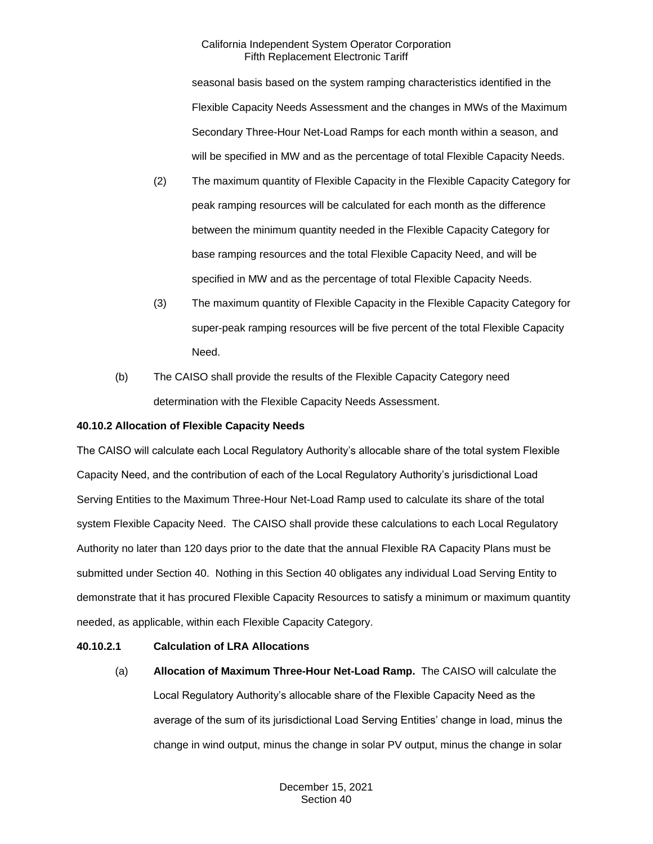seasonal basis based on the system ramping characteristics identified in the Flexible Capacity Needs Assessment and the changes in MWs of the Maximum Secondary Three-Hour Net-Load Ramps for each month within a season, and will be specified in MW and as the percentage of total Flexible Capacity Needs.

- (2) The maximum quantity of Flexible Capacity in the Flexible Capacity Category for peak ramping resources will be calculated for each month as the difference between the minimum quantity needed in the Flexible Capacity Category for base ramping resources and the total Flexible Capacity Need, and will be specified in MW and as the percentage of total Flexible Capacity Needs.
- (3) The maximum quantity of Flexible Capacity in the Flexible Capacity Category for super-peak ramping resources will be five percent of the total Flexible Capacity Need.
- (b) The CAISO shall provide the results of the Flexible Capacity Category need determination with the Flexible Capacity Needs Assessment.

## **40.10.2 Allocation of Flexible Capacity Needs**

The CAISO will calculate each Local Regulatory Authority's allocable share of the total system Flexible Capacity Need, and the contribution of each of the Local Regulatory Authority's jurisdictional Load Serving Entities to the Maximum Three-Hour Net-Load Ramp used to calculate its share of the total system Flexible Capacity Need. The CAISO shall provide these calculations to each Local Regulatory Authority no later than 120 days prior to the date that the annual Flexible RA Capacity Plans must be submitted under Section 40. Nothing in this Section 40 obligates any individual Load Serving Entity to demonstrate that it has procured Flexible Capacity Resources to satisfy a minimum or maximum quantity needed, as applicable, within each Flexible Capacity Category.

## **40.10.2.1 Calculation of LRA Allocations**

(a) **Allocation of Maximum Three-Hour Net-Load Ramp.** The CAISO will calculate the Local Regulatory Authority's allocable share of the Flexible Capacity Need as the average of the sum of its jurisdictional Load Serving Entities' change in load, minus the change in wind output, minus the change in solar PV output, minus the change in solar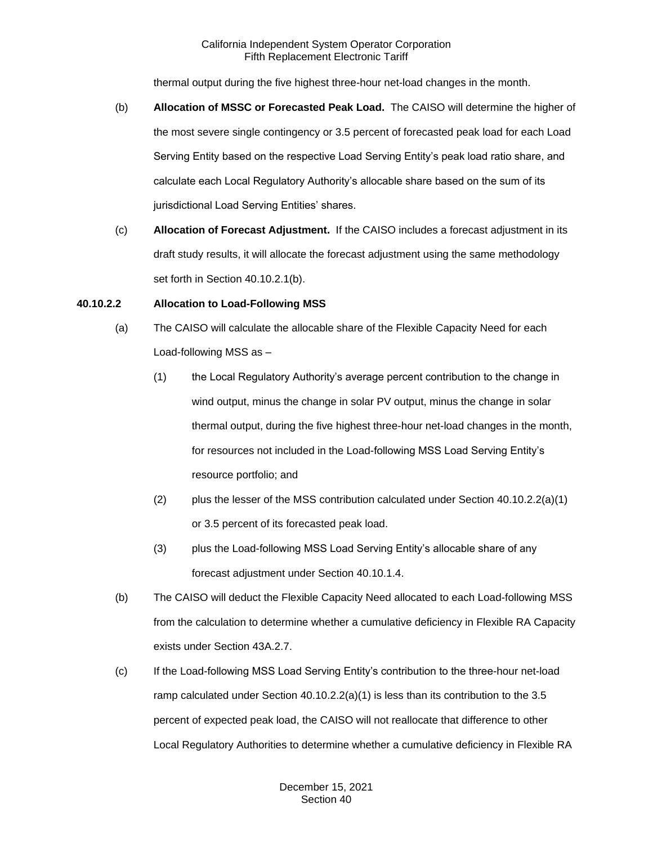thermal output during the five highest three-hour net-load changes in the month.

- (b) **Allocation of MSSC or Forecasted Peak Load.** The CAISO will determine the higher of the most severe single contingency or 3.5 percent of forecasted peak load for each Load Serving Entity based on the respective Load Serving Entity's peak load ratio share, and calculate each Local Regulatory Authority's allocable share based on the sum of its jurisdictional Load Serving Entities' shares.
- (c) **Allocation of Forecast Adjustment.** If the CAISO includes a forecast adjustment in its draft study results, it will allocate the forecast adjustment using the same methodology set forth in Section 40.10.2.1(b).

## **40.10.2.2 Allocation to Load-Following MSS**

- (a) The CAISO will calculate the allocable share of the Flexible Capacity Need for each Load-following MSS as –
	- (1) the Local Regulatory Authority's average percent contribution to the change in wind output, minus the change in solar PV output, minus the change in solar thermal output, during the five highest three-hour net-load changes in the month, for resources not included in the Load-following MSS Load Serving Entity's resource portfolio; and
	- (2) plus the lesser of the MSS contribution calculated under Section  $40.10.2.2(a)(1)$ or 3.5 percent of its forecasted peak load.
	- (3) plus the Load-following MSS Load Serving Entity's allocable share of any forecast adjustment under Section 40.10.1.4.
- (b) The CAISO will deduct the Flexible Capacity Need allocated to each Load-following MSS from the calculation to determine whether a cumulative deficiency in Flexible RA Capacity exists under Section 43A.2.7.
- (c) If the Load-following MSS Load Serving Entity's contribution to the three-hour net-load ramp calculated under Section 40.10.2.2(a)(1) is less than its contribution to the 3.5 percent of expected peak load, the CAISO will not reallocate that difference to other Local Regulatory Authorities to determine whether a cumulative deficiency in Flexible RA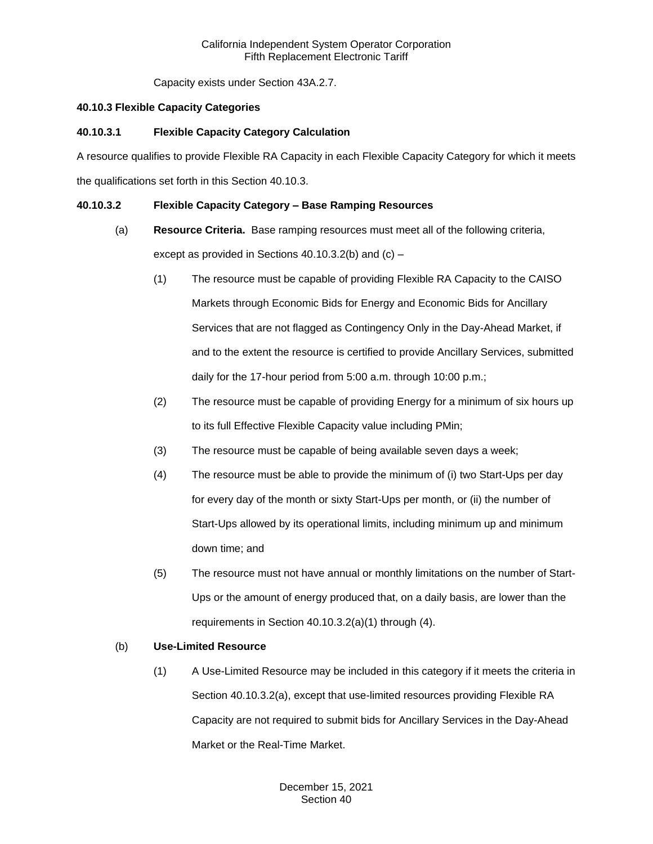Capacity exists under Section 43A.2.7.

## **40.10.3 Flexible Capacity Categories**

# **40.10.3.1 Flexible Capacity Category Calculation**

A resource qualifies to provide Flexible RA Capacity in each Flexible Capacity Category for which it meets the qualifications set forth in this Section 40.10.3.

# **40.10.3.2 Flexible Capacity Category – Base Ramping Resources**

- (a) **Resource Criteria.** Base ramping resources must meet all of the following criteria, except as provided in Sections 40.10.3.2(b) and (c) –
	- (1) The resource must be capable of providing Flexible RA Capacity to the CAISO Markets through Economic Bids for Energy and Economic Bids for Ancillary Services that are not flagged as Contingency Only in the Day-Ahead Market, if and to the extent the resource is certified to provide Ancillary Services, submitted daily for the 17-hour period from 5:00 a.m. through 10:00 p.m.;
	- (2) The resource must be capable of providing Energy for a minimum of six hours up to its full Effective Flexible Capacity value including PMin;
	- (3) The resource must be capable of being available seven days a week;
	- (4) The resource must be able to provide the minimum of (i) two Start-Ups per day for every day of the month or sixty Start-Ups per month, or (ii) the number of Start-Ups allowed by its operational limits, including minimum up and minimum down time; and
	- (5) The resource must not have annual or monthly limitations on the number of Start-Ups or the amount of energy produced that, on a daily basis, are lower than the requirements in Section 40.10.3.2(a)(1) through (4).

## (b) **Use-Limited Resource**

(1) A Use-Limited Resource may be included in this category if it meets the criteria in Section 40.10.3.2(a), except that use-limited resources providing Flexible RA Capacity are not required to submit bids for Ancillary Services in the Day-Ahead Market or the Real-Time Market.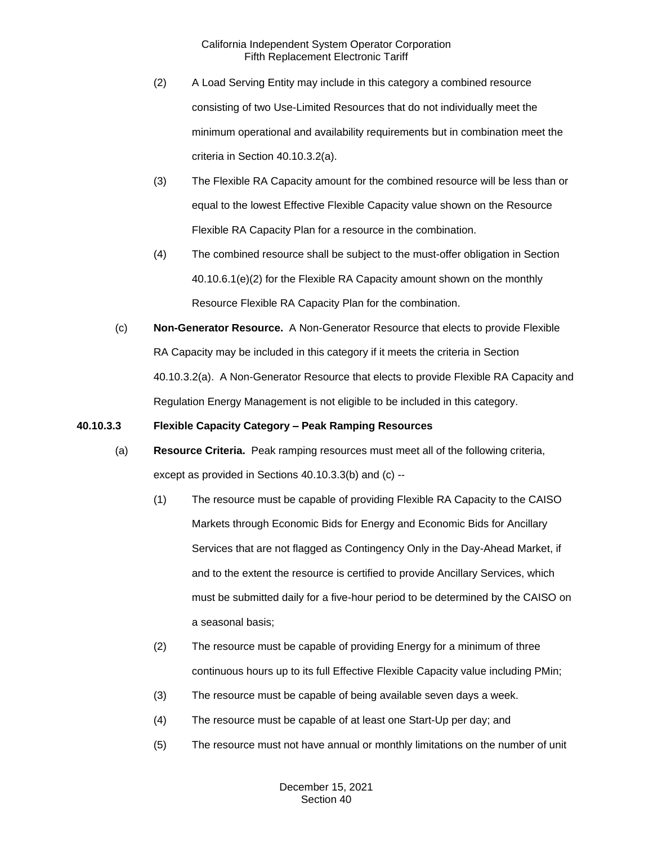- (2) A Load Serving Entity may include in this category a combined resource consisting of two Use-Limited Resources that do not individually meet the minimum operational and availability requirements but in combination meet the criteria in Section 40.10.3.2(a).
- (3) The Flexible RA Capacity amount for the combined resource will be less than or equal to the lowest Effective Flexible Capacity value shown on the Resource Flexible RA Capacity Plan for a resource in the combination.
- (4) The combined resource shall be subject to the must-offer obligation in Section 40.10.6.1(e)(2) for the Flexible RA Capacity amount shown on the monthly Resource Flexible RA Capacity Plan for the combination.
- (c) **Non-Generator Resource.** A Non-Generator Resource that elects to provide Flexible RA Capacity may be included in this category if it meets the criteria in Section 40.10.3.2(a). A Non-Generator Resource that elects to provide Flexible RA Capacity and Regulation Energy Management is not eligible to be included in this category.

## **40.10.3.3 Flexible Capacity Category – Peak Ramping Resources**

- (a) **Resource Criteria.** Peak ramping resources must meet all of the following criteria, except as provided in Sections 40.10.3.3(b) and (c) --
	- (1) The resource must be capable of providing Flexible RA Capacity to the CAISO Markets through Economic Bids for Energy and Economic Bids for Ancillary Services that are not flagged as Contingency Only in the Day-Ahead Market, if and to the extent the resource is certified to provide Ancillary Services, which must be submitted daily for a five-hour period to be determined by the CAISO on a seasonal basis;
	- (2) The resource must be capable of providing Energy for a minimum of three continuous hours up to its full Effective Flexible Capacity value including PMin;
	- (3) The resource must be capable of being available seven days a week.
	- (4) The resource must be capable of at least one Start-Up per day; and
	- (5) The resource must not have annual or monthly limitations on the number of unit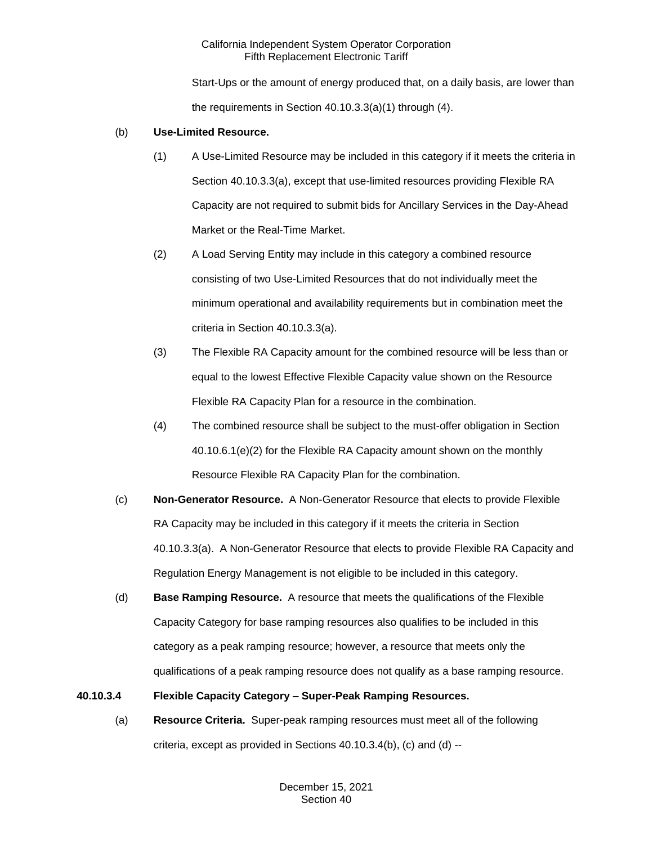Start-Ups or the amount of energy produced that, on a daily basis, are lower than the requirements in Section 40.10.3.3(a)(1) through (4).

## (b) **Use-Limited Resource.**

- (1) A Use-Limited Resource may be included in this category if it meets the criteria in Section 40.10.3.3(a), except that use-limited resources providing Flexible RA Capacity are not required to submit bids for Ancillary Services in the Day-Ahead Market or the Real-Time Market.
- (2) A Load Serving Entity may include in this category a combined resource consisting of two Use-Limited Resources that do not individually meet the minimum operational and availability requirements but in combination meet the criteria in Section 40.10.3.3(a).
- (3) The Flexible RA Capacity amount for the combined resource will be less than or equal to the lowest Effective Flexible Capacity value shown on the Resource Flexible RA Capacity Plan for a resource in the combination.
- (4) The combined resource shall be subject to the must-offer obligation in Section 40.10.6.1(e)(2) for the Flexible RA Capacity amount shown on the monthly Resource Flexible RA Capacity Plan for the combination.
- (c) **Non-Generator Resource.** A Non-Generator Resource that elects to provide Flexible RA Capacity may be included in this category if it meets the criteria in Section 40.10.3.3(a). A Non-Generator Resource that elects to provide Flexible RA Capacity and Regulation Energy Management is not eligible to be included in this category.
- (d) **Base Ramping Resource.** A resource that meets the qualifications of the Flexible Capacity Category for base ramping resources also qualifies to be included in this category as a peak ramping resource; however, a resource that meets only the qualifications of a peak ramping resource does not qualify as a base ramping resource.

# **40.10.3.4 Flexible Capacity Category – Super-Peak Ramping Resources.**

(a) **Resource Criteria.** Super-peak ramping resources must meet all of the following criteria, except as provided in Sections 40.10.3.4(b), (c) and (d) --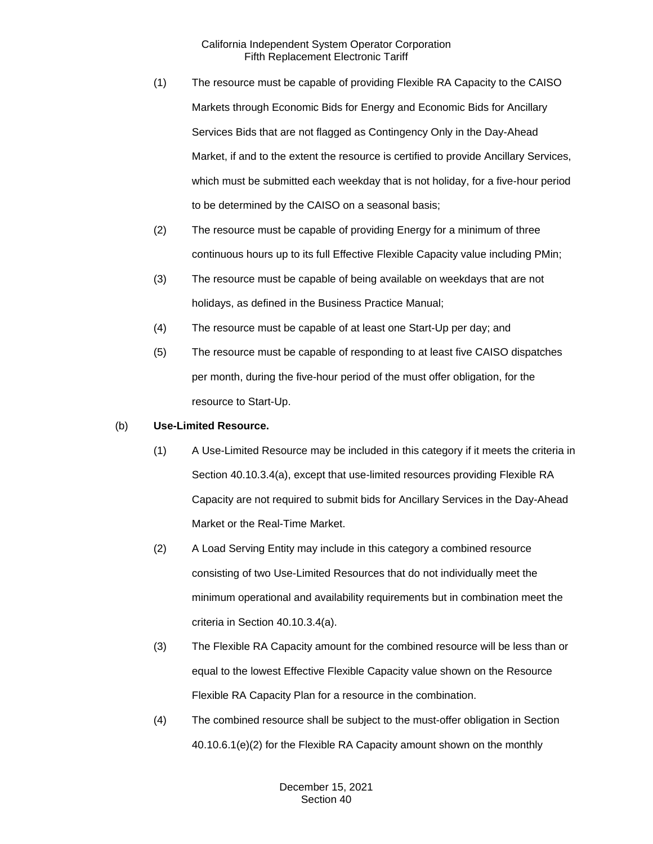- (1) The resource must be capable of providing Flexible RA Capacity to the CAISO Markets through Economic Bids for Energy and Economic Bids for Ancillary Services Bids that are not flagged as Contingency Only in the Day-Ahead Market, if and to the extent the resource is certified to provide Ancillary Services, which must be submitted each weekday that is not holiday, for a five-hour period to be determined by the CAISO on a seasonal basis;
- (2) The resource must be capable of providing Energy for a minimum of three continuous hours up to its full Effective Flexible Capacity value including PMin;
- (3) The resource must be capable of being available on weekdays that are not holidays, as defined in the Business Practice Manual;
- (4) The resource must be capable of at least one Start-Up per day; and
- (5) The resource must be capable of responding to at least five CAISO dispatches per month, during the five-hour period of the must offer obligation, for the resource to Start-Up.

## (b) **Use-Limited Resource.**

- (1) A Use-Limited Resource may be included in this category if it meets the criteria in Section 40.10.3.4(a), except that use-limited resources providing Flexible RA Capacity are not required to submit bids for Ancillary Services in the Day-Ahead Market or the Real-Time Market.
- (2) A Load Serving Entity may include in this category a combined resource consisting of two Use-Limited Resources that do not individually meet the minimum operational and availability requirements but in combination meet the criteria in Section 40.10.3.4(a).
- (3) The Flexible RA Capacity amount for the combined resource will be less than or equal to the lowest Effective Flexible Capacity value shown on the Resource Flexible RA Capacity Plan for a resource in the combination.
- (4) The combined resource shall be subject to the must-offer obligation in Section 40.10.6.1(e)(2) for the Flexible RA Capacity amount shown on the monthly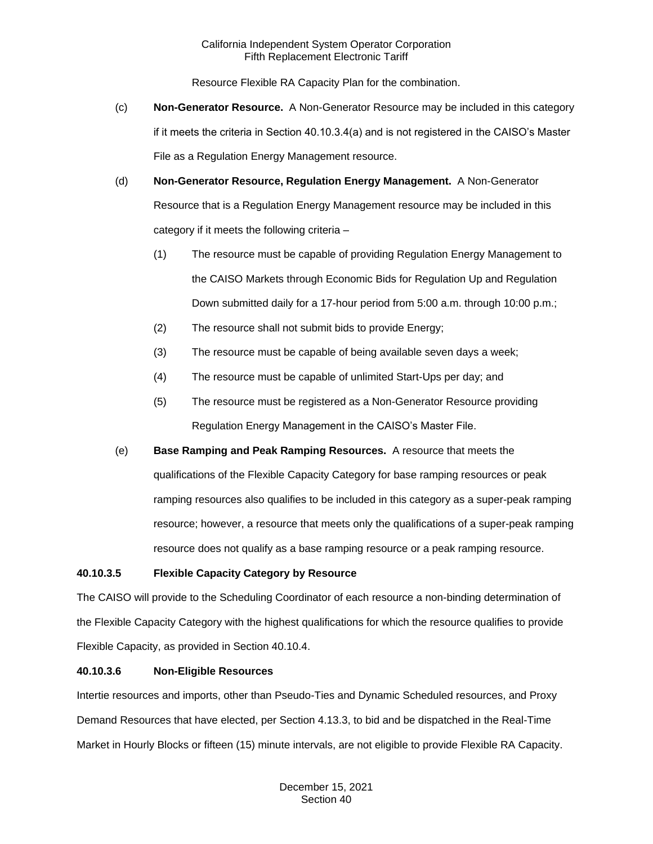Resource Flexible RA Capacity Plan for the combination.

- (c) **Non-Generator Resource.** A Non-Generator Resource may be included in this category if it meets the criteria in Section 40.10.3.4(a) and is not registered in the CAISO's Master File as a Regulation Energy Management resource.
- (d) **Non-Generator Resource, Regulation Energy Management.** A Non-Generator Resource that is a Regulation Energy Management resource may be included in this category if it meets the following criteria –
	- (1) The resource must be capable of providing Regulation Energy Management to the CAISO Markets through Economic Bids for Regulation Up and Regulation Down submitted daily for a 17-hour period from 5:00 a.m. through 10:00 p.m.;
	- (2) The resource shall not submit bids to provide Energy;
	- (3) The resource must be capable of being available seven days a week;
	- (4) The resource must be capable of unlimited Start-Ups per day; and
	- (5) The resource must be registered as a Non-Generator Resource providing Regulation Energy Management in the CAISO's Master File.
- (e) **Base Ramping and Peak Ramping Resources.** A resource that meets the qualifications of the Flexible Capacity Category for base ramping resources or peak ramping resources also qualifies to be included in this category as a super-peak ramping resource; however, a resource that meets only the qualifications of a super-peak ramping resource does not qualify as a base ramping resource or a peak ramping resource.

## **40.10.3.5 Flexible Capacity Category by Resource**

The CAISO will provide to the Scheduling Coordinator of each resource a non-binding determination of the Flexible Capacity Category with the highest qualifications for which the resource qualifies to provide Flexible Capacity, as provided in Section 40.10.4.

## **40.10.3.6 Non-Eligible Resources**

Intertie resources and imports, other than Pseudo-Ties and Dynamic Scheduled resources, and Proxy Demand Resources that have elected, per Section 4.13.3, to bid and be dispatched in the Real-Time Market in Hourly Blocks or fifteen (15) minute intervals, are not eligible to provide Flexible RA Capacity.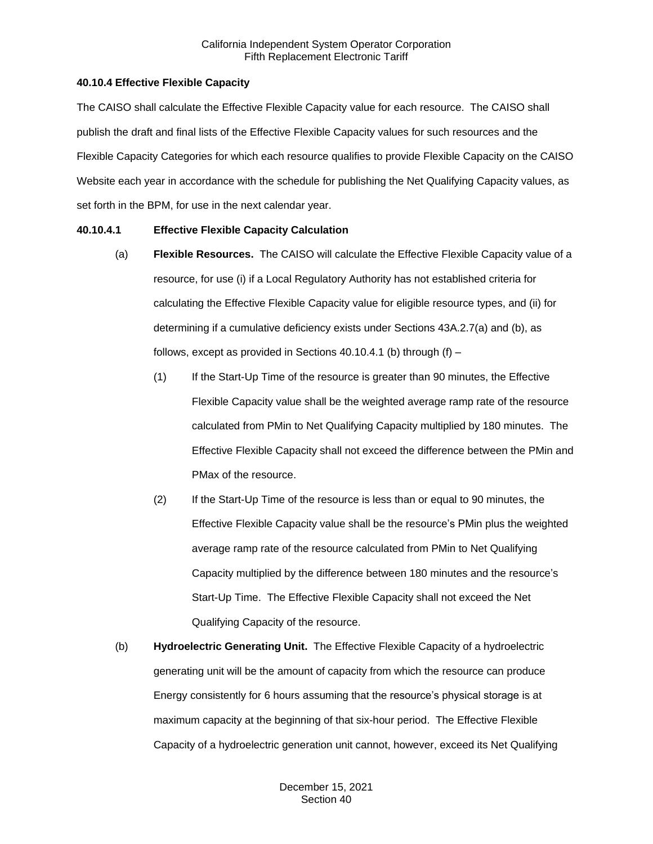## **40.10.4 Effective Flexible Capacity**

The CAISO shall calculate the Effective Flexible Capacity value for each resource. The CAISO shall publish the draft and final lists of the Effective Flexible Capacity values for such resources and the Flexible Capacity Categories for which each resource qualifies to provide Flexible Capacity on the CAISO Website each year in accordance with the schedule for publishing the Net Qualifying Capacity values, as set forth in the BPM, for use in the next calendar year.

## **40.10.4.1 Effective Flexible Capacity Calculation**

- (a) **Flexible Resources.** The CAISO will calculate the Effective Flexible Capacity value of a resource, for use (i) if a Local Regulatory Authority has not established criteria for calculating the Effective Flexible Capacity value for eligible resource types, and (ii) for determining if a cumulative deficiency exists under Sections 43A.2.7(a) and (b), as follows, except as provided in Sections 40.10.4.1 (b) through  $(f)$  –
	- (1) If the Start-Up Time of the resource is greater than 90 minutes, the Effective Flexible Capacity value shall be the weighted average ramp rate of the resource calculated from PMin to Net Qualifying Capacity multiplied by 180 minutes. The Effective Flexible Capacity shall not exceed the difference between the PMin and PMax of the resource.
	- (2) If the Start-Up Time of the resource is less than or equal to 90 minutes, the Effective Flexible Capacity value shall be the resource's PMin plus the weighted average ramp rate of the resource calculated from PMin to Net Qualifying Capacity multiplied by the difference between 180 minutes and the resource's Start-Up Time. The Effective Flexible Capacity shall not exceed the Net Qualifying Capacity of the resource.
- (b) **Hydroelectric Generating Unit.** The Effective Flexible Capacity of a hydroelectric generating unit will be the amount of capacity from which the resource can produce Energy consistently for 6 hours assuming that the resource's physical storage is at maximum capacity at the beginning of that six-hour period. The Effective Flexible Capacity of a hydroelectric generation unit cannot, however, exceed its Net Qualifying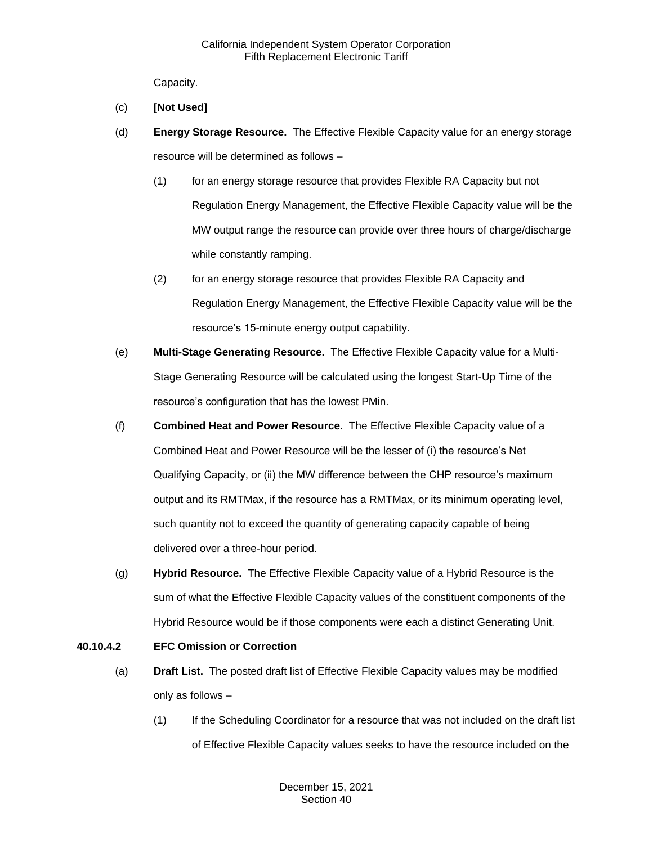Capacity.

- (c) **[Not Used]**
- (d) **Energy Storage Resource.** The Effective Flexible Capacity value for an energy storage resource will be determined as follows –
	- (1) for an energy storage resource that provides Flexible RA Capacity but not Regulation Energy Management, the Effective Flexible Capacity value will be the MW output range the resource can provide over three hours of charge/discharge while constantly ramping.
	- (2) for an energy storage resource that provides Flexible RA Capacity and Regulation Energy Management, the Effective Flexible Capacity value will be the resource's 15-minute energy output capability.
- (e) **Multi-Stage Generating Resource.** The Effective Flexible Capacity value for a Multi-Stage Generating Resource will be calculated using the longest Start-Up Time of the resource's configuration that has the lowest PMin.
- (f) **Combined Heat and Power Resource.** The Effective Flexible Capacity value of a Combined Heat and Power Resource will be the lesser of (i) the resource's Net Qualifying Capacity, or (ii) the MW difference between the CHP resource's maximum output and its RMTMax, if the resource has a RMTMax, or its minimum operating level, such quantity not to exceed the quantity of generating capacity capable of being delivered over a three-hour period.
- (g) **Hybrid Resource.** The Effective Flexible Capacity value of a Hybrid Resource is the sum of what the Effective Flexible Capacity values of the constituent components of the Hybrid Resource would be if those components were each a distinct Generating Unit.

# **40.10.4.2 EFC Omission or Correction**

- (a) **Draft List.** The posted draft list of Effective Flexible Capacity values may be modified only as follows –
	- (1) If the Scheduling Coordinator for a resource that was not included on the draft list of Effective Flexible Capacity values seeks to have the resource included on the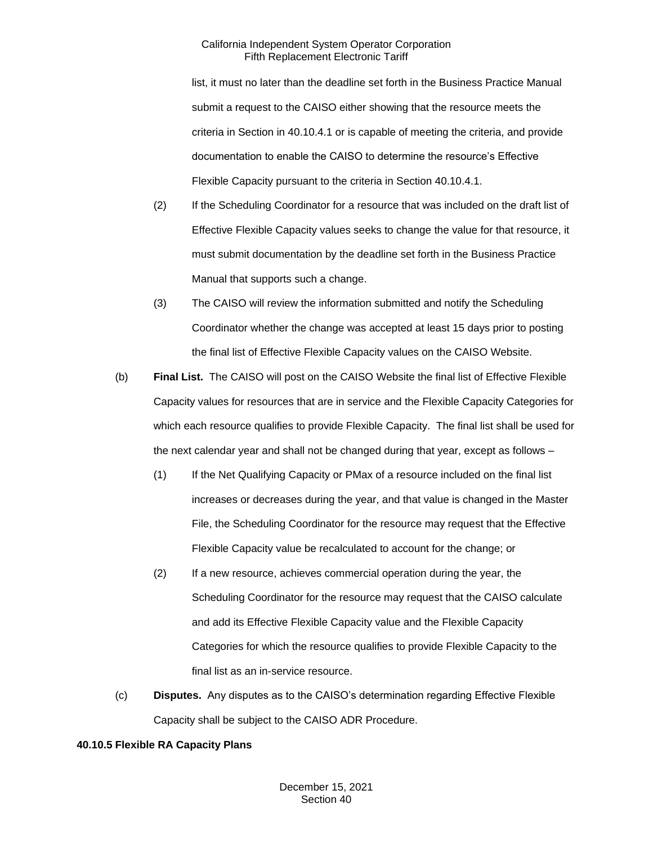list, it must no later than the deadline set forth in the Business Practice Manual submit a request to the CAISO either showing that the resource meets the criteria in Section in 40.10.4.1 or is capable of meeting the criteria, and provide documentation to enable the CAISO to determine the resource's Effective Flexible Capacity pursuant to the criteria in Section 40.10.4.1.

- (2) If the Scheduling Coordinator for a resource that was included on the draft list of Effective Flexible Capacity values seeks to change the value for that resource, it must submit documentation by the deadline set forth in the Business Practice Manual that supports such a change.
- (3) The CAISO will review the information submitted and notify the Scheduling Coordinator whether the change was accepted at least 15 days prior to posting the final list of Effective Flexible Capacity values on the CAISO Website.
- (b) **Final List.** The CAISO will post on the CAISO Website the final list of Effective Flexible Capacity values for resources that are in service and the Flexible Capacity Categories for which each resource qualifies to provide Flexible Capacity. The final list shall be used for the next calendar year and shall not be changed during that year, except as follows –
	- (1) If the Net Qualifying Capacity or PMax of a resource included on the final list increases or decreases during the year, and that value is changed in the Master File, the Scheduling Coordinator for the resource may request that the Effective Flexible Capacity value be recalculated to account for the change; or
	- (2) If a new resource, achieves commercial operation during the year, the Scheduling Coordinator for the resource may request that the CAISO calculate and add its Effective Flexible Capacity value and the Flexible Capacity Categories for which the resource qualifies to provide Flexible Capacity to the final list as an in-service resource.
- (c) **Disputes.** Any disputes as to the CAISO's determination regarding Effective Flexible Capacity shall be subject to the CAISO ADR Procedure.

#### **40.10.5 Flexible RA Capacity Plans**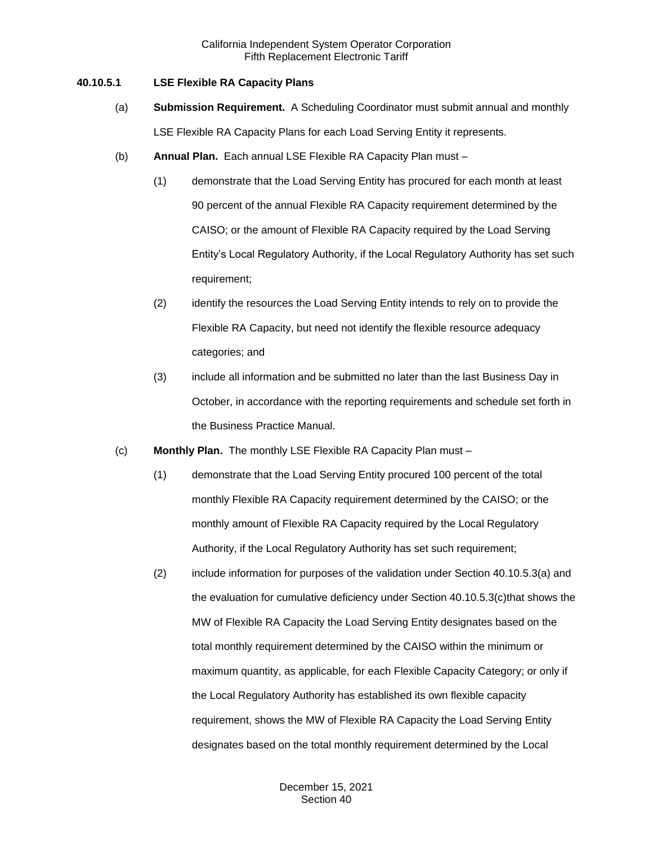#### **40.10.5.1 LSE Flexible RA Capacity Plans**

- (a) **Submission Requirement.** A Scheduling Coordinator must submit annual and monthly LSE Flexible RA Capacity Plans for each Load Serving Entity it represents.
- (b) **Annual Plan.** Each annual LSE Flexible RA Capacity Plan must
	- (1) demonstrate that the Load Serving Entity has procured for each month at least 90 percent of the annual Flexible RA Capacity requirement determined by the CAISO; or the amount of Flexible RA Capacity required by the Load Serving Entity's Local Regulatory Authority, if the Local Regulatory Authority has set such requirement;
	- (2) identify the resources the Load Serving Entity intends to rely on to provide the Flexible RA Capacity, but need not identify the flexible resource adequacy categories; and
	- (3) include all information and be submitted no later than the last Business Day in October, in accordance with the reporting requirements and schedule set forth in the Business Practice Manual.
- (c) **Monthly Plan.** The monthly LSE Flexible RA Capacity Plan must
	- (1) demonstrate that the Load Serving Entity procured 100 percent of the total monthly Flexible RA Capacity requirement determined by the CAISO; or the monthly amount of Flexible RA Capacity required by the Local Regulatory Authority, if the Local Regulatory Authority has set such requirement;
	- (2) include information for purposes of the validation under Section 40.10.5.3(a) and the evaluation for cumulative deficiency under Section 40.10.5.3(c)that shows the MW of Flexible RA Capacity the Load Serving Entity designates based on the total monthly requirement determined by the CAISO within the minimum or maximum quantity, as applicable, for each Flexible Capacity Category; or only if the Local Regulatory Authority has established its own flexible capacity requirement, shows the MW of Flexible RA Capacity the Load Serving Entity designates based on the total monthly requirement determined by the Local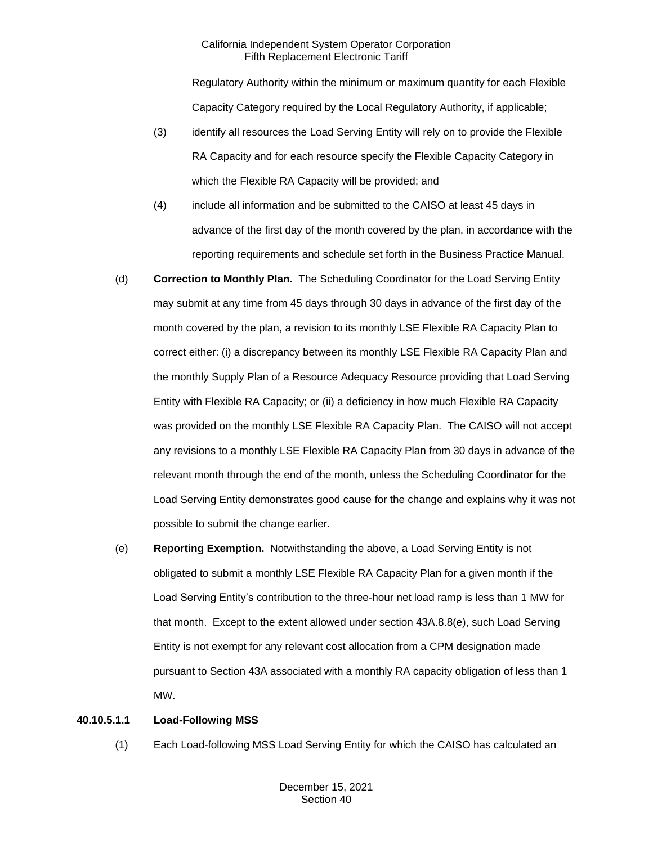Regulatory Authority within the minimum or maximum quantity for each Flexible Capacity Category required by the Local Regulatory Authority, if applicable;

- (3) identify all resources the Load Serving Entity will rely on to provide the Flexible RA Capacity and for each resource specify the Flexible Capacity Category in which the Flexible RA Capacity will be provided; and
- (4) include all information and be submitted to the CAISO at least 45 days in advance of the first day of the month covered by the plan, in accordance with the reporting requirements and schedule set forth in the Business Practice Manual.
- (d) **Correction to Monthly Plan.** The Scheduling Coordinator for the Load Serving Entity may submit at any time from 45 days through 30 days in advance of the first day of the month covered by the plan, a revision to its monthly LSE Flexible RA Capacity Plan to correct either: (i) a discrepancy between its monthly LSE Flexible RA Capacity Plan and the monthly Supply Plan of a Resource Adequacy Resource providing that Load Serving Entity with Flexible RA Capacity; or (ii) a deficiency in how much Flexible RA Capacity was provided on the monthly LSE Flexible RA Capacity Plan. The CAISO will not accept any revisions to a monthly LSE Flexible RA Capacity Plan from 30 days in advance of the relevant month through the end of the month, unless the Scheduling Coordinator for the Load Serving Entity demonstrates good cause for the change and explains why it was not possible to submit the change earlier.
- (e) **Reporting Exemption.** Notwithstanding the above, a Load Serving Entity is not obligated to submit a monthly LSE Flexible RA Capacity Plan for a given month if the Load Serving Entity's contribution to the three-hour net load ramp is less than 1 MW for that month. Except to the extent allowed under section 43A.8.8(e), such Load Serving Entity is not exempt for any relevant cost allocation from a CPM designation made pursuant to Section 43A associated with a monthly RA capacity obligation of less than 1 MW.

## **40.10.5.1.1 Load-Following MSS**

(1) Each Load-following MSS Load Serving Entity for which the CAISO has calculated an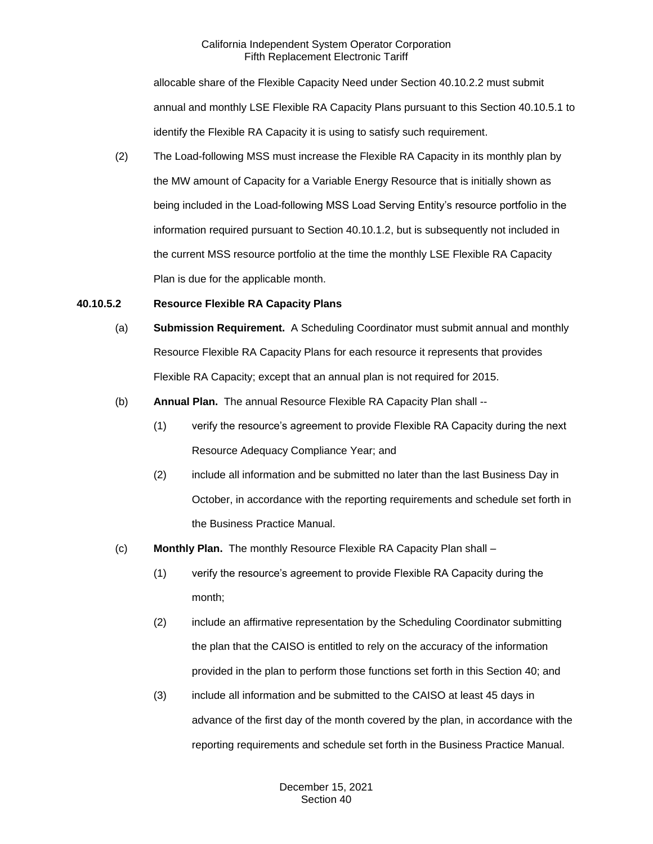allocable share of the Flexible Capacity Need under Section 40.10.2.2 must submit annual and monthly LSE Flexible RA Capacity Plans pursuant to this Section 40.10.5.1 to identify the Flexible RA Capacity it is using to satisfy such requirement.

(2) The Load-following MSS must increase the Flexible RA Capacity in its monthly plan by the MW amount of Capacity for a Variable Energy Resource that is initially shown as being included in the Load-following MSS Load Serving Entity's resource portfolio in the information required pursuant to Section 40.10.1.2, but is subsequently not included in the current MSS resource portfolio at the time the monthly LSE Flexible RA Capacity Plan is due for the applicable month.

#### **40.10.5.2 Resource Flexible RA Capacity Plans**

- (a) **Submission Requirement.** A Scheduling Coordinator must submit annual and monthly Resource Flexible RA Capacity Plans for each resource it represents that provides Flexible RA Capacity; except that an annual plan is not required for 2015.
- (b) **Annual Plan.** The annual Resource Flexible RA Capacity Plan shall --
	- (1) verify the resource's agreement to provide Flexible RA Capacity during the next Resource Adequacy Compliance Year; and
	- (2) include all information and be submitted no later than the last Business Day in October, in accordance with the reporting requirements and schedule set forth in the Business Practice Manual.
- (c) **Monthly Plan.** The monthly Resource Flexible RA Capacity Plan shall
	- (1) verify the resource's agreement to provide Flexible RA Capacity during the month;
	- (2) include an affirmative representation by the Scheduling Coordinator submitting the plan that the CAISO is entitled to rely on the accuracy of the information provided in the plan to perform those functions set forth in this Section 40; and
	- (3) include all information and be submitted to the CAISO at least 45 days in advance of the first day of the month covered by the plan, in accordance with the reporting requirements and schedule set forth in the Business Practice Manual.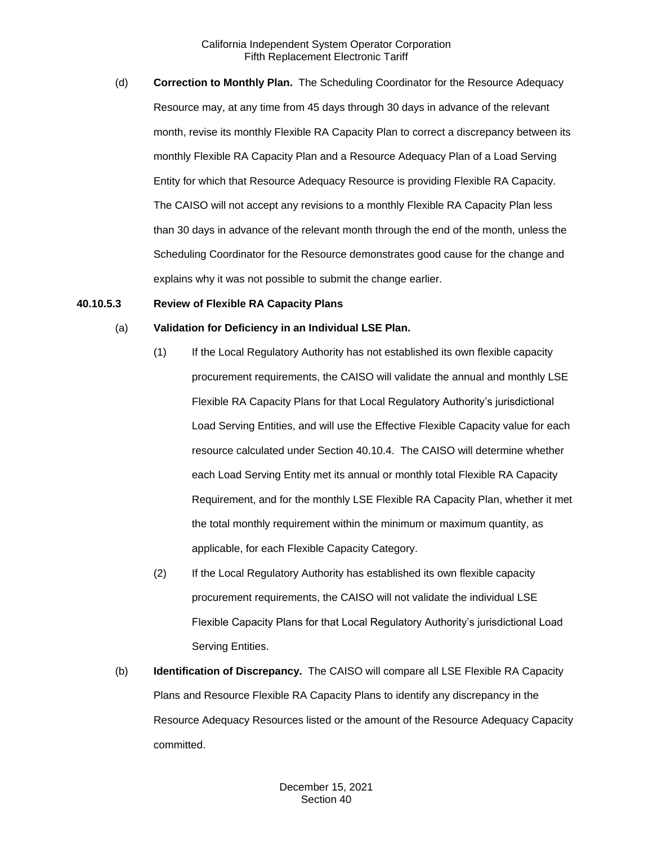(d) **Correction to Monthly Plan.** The Scheduling Coordinator for the Resource Adequacy Resource may, at any time from 45 days through 30 days in advance of the relevant month, revise its monthly Flexible RA Capacity Plan to correct a discrepancy between its monthly Flexible RA Capacity Plan and a Resource Adequacy Plan of a Load Serving Entity for which that Resource Adequacy Resource is providing Flexible RA Capacity. The CAISO will not accept any revisions to a monthly Flexible RA Capacity Plan less than 30 days in advance of the relevant month through the end of the month, unless the Scheduling Coordinator for the Resource demonstrates good cause for the change and explains why it was not possible to submit the change earlier.

#### **40.10.5.3 Review of Flexible RA Capacity Plans**

#### (a) **Validation for Deficiency in an Individual LSE Plan.**

- (1) If the Local Regulatory Authority has not established its own flexible capacity procurement requirements, the CAISO will validate the annual and monthly LSE Flexible RA Capacity Plans for that Local Regulatory Authority's jurisdictional Load Serving Entities, and will use the Effective Flexible Capacity value for each resource calculated under Section 40.10.4. The CAISO will determine whether each Load Serving Entity met its annual or monthly total Flexible RA Capacity Requirement, and for the monthly LSE Flexible RA Capacity Plan, whether it met the total monthly requirement within the minimum or maximum quantity, as applicable, for each Flexible Capacity Category.
- (2) If the Local Regulatory Authority has established its own flexible capacity procurement requirements, the CAISO will not validate the individual LSE Flexible Capacity Plans for that Local Regulatory Authority's jurisdictional Load Serving Entities.
- (b) **Identification of Discrepancy.** The CAISO will compare all LSE Flexible RA Capacity Plans and Resource Flexible RA Capacity Plans to identify any discrepancy in the Resource Adequacy Resources listed or the amount of the Resource Adequacy Capacity committed.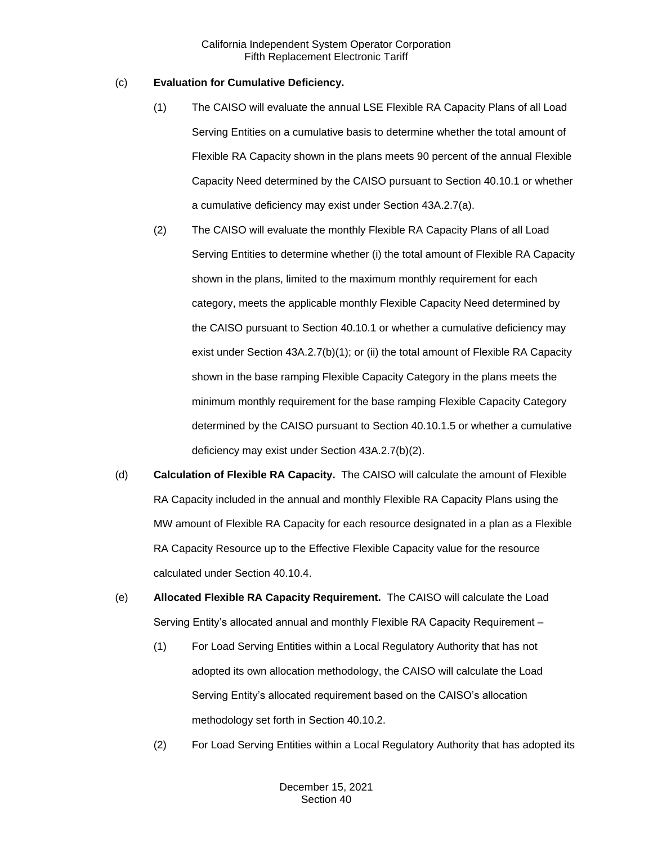## (c) **Evaluation for Cumulative Deficiency.**

- (1) The CAISO will evaluate the annual LSE Flexible RA Capacity Plans of all Load Serving Entities on a cumulative basis to determine whether the total amount of Flexible RA Capacity shown in the plans meets 90 percent of the annual Flexible Capacity Need determined by the CAISO pursuant to Section 40.10.1 or whether a cumulative deficiency may exist under Section 43A.2.7(a).
- (2) The CAISO will evaluate the monthly Flexible RA Capacity Plans of all Load Serving Entities to determine whether (i) the total amount of Flexible RA Capacity shown in the plans, limited to the maximum monthly requirement for each category, meets the applicable monthly Flexible Capacity Need determined by the CAISO pursuant to Section 40.10.1 or whether a cumulative deficiency may exist under Section 43A.2.7(b)(1); or (ii) the total amount of Flexible RA Capacity shown in the base ramping Flexible Capacity Category in the plans meets the minimum monthly requirement for the base ramping Flexible Capacity Category determined by the CAISO pursuant to Section 40.10.1.5 or whether a cumulative deficiency may exist under Section 43A.2.7(b)(2).
- (d) **Calculation of Flexible RA Capacity.** The CAISO will calculate the amount of Flexible RA Capacity included in the annual and monthly Flexible RA Capacity Plans using the MW amount of Flexible RA Capacity for each resource designated in a plan as a Flexible RA Capacity Resource up to the Effective Flexible Capacity value for the resource calculated under Section 40.10.4.
- (e) **Allocated Flexible RA Capacity Requirement.** The CAISO will calculate the Load Serving Entity's allocated annual and monthly Flexible RA Capacity Requirement –
	- (1) For Load Serving Entities within a Local Regulatory Authority that has not adopted its own allocation methodology, the CAISO will calculate the Load Serving Entity's allocated requirement based on the CAISO's allocation methodology set forth in Section 40.10.2.
	- (2) For Load Serving Entities within a Local Regulatory Authority that has adopted its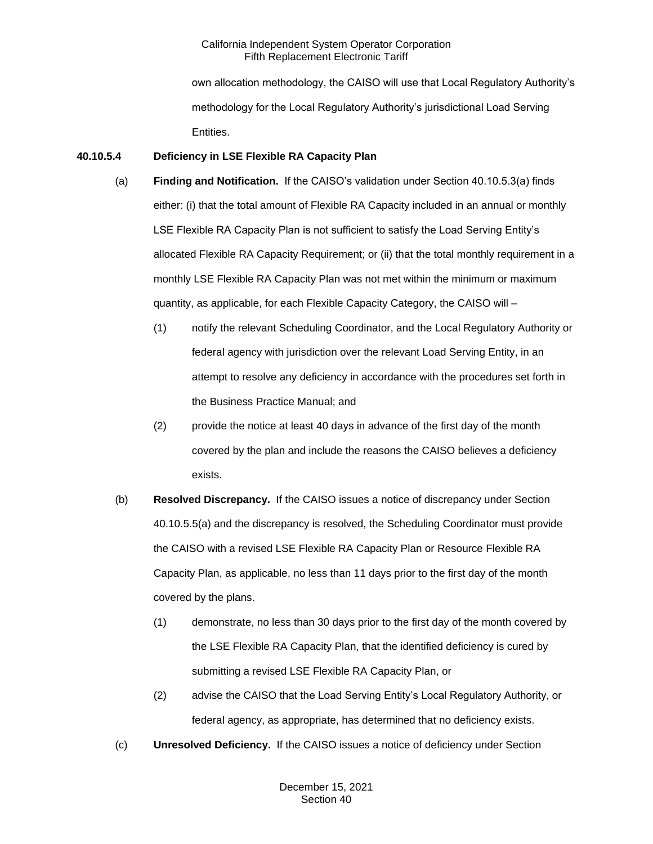own allocation methodology, the CAISO will use that Local Regulatory Authority's methodology for the Local Regulatory Authority's jurisdictional Load Serving Entities.

## **40.10.5.4 Deficiency in LSE Flexible RA Capacity Plan**

- (a) **Finding and Notification.** If the CAISO's validation under Section 40.10.5.3(a) finds either: (i) that the total amount of Flexible RA Capacity included in an annual or monthly LSE Flexible RA Capacity Plan is not sufficient to satisfy the Load Serving Entity's allocated Flexible RA Capacity Requirement; or (ii) that the total monthly requirement in a monthly LSE Flexible RA Capacity Plan was not met within the minimum or maximum quantity, as applicable, for each Flexible Capacity Category, the CAISO will –
	- (1) notify the relevant Scheduling Coordinator, and the Local Regulatory Authority or federal agency with jurisdiction over the relevant Load Serving Entity, in an attempt to resolve any deficiency in accordance with the procedures set forth in the Business Practice Manual; and
	- (2) provide the notice at least 40 days in advance of the first day of the month covered by the plan and include the reasons the CAISO believes a deficiency exists.
- (b) **Resolved Discrepancy.** If the CAISO issues a notice of discrepancy under Section 40.10.5.5(a) and the discrepancy is resolved, the Scheduling Coordinator must provide the CAISO with a revised LSE Flexible RA Capacity Plan or Resource Flexible RA Capacity Plan, as applicable, no less than 11 days prior to the first day of the month covered by the plans.
	- (1) demonstrate, no less than 30 days prior to the first day of the month covered by the LSE Flexible RA Capacity Plan, that the identified deficiency is cured by submitting a revised LSE Flexible RA Capacity Plan, or
	- (2) advise the CAISO that the Load Serving Entity's Local Regulatory Authority, or federal agency, as appropriate, has determined that no deficiency exists.
- (c) **Unresolved Deficiency.** If the CAISO issues a notice of deficiency under Section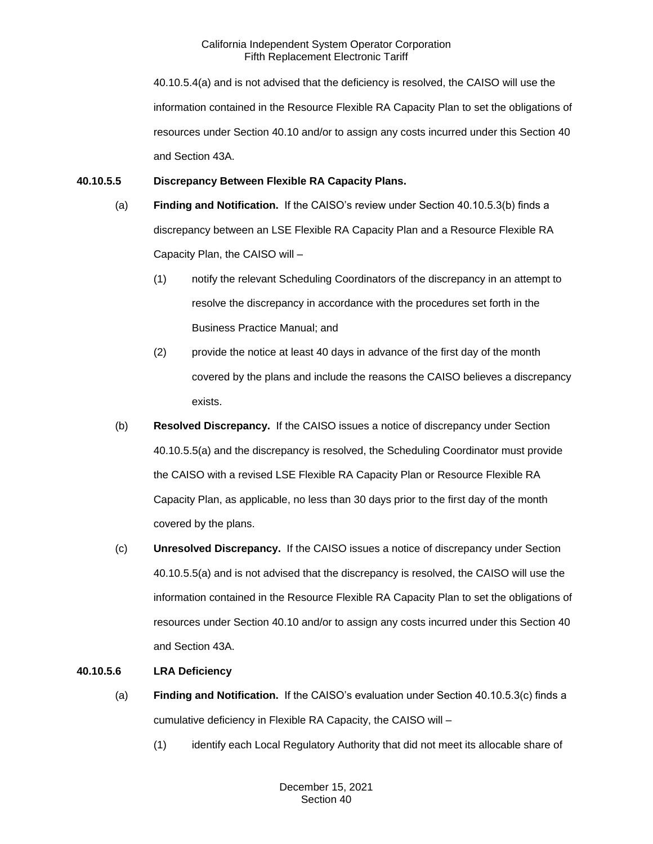40.10.5.4(a) and is not advised that the deficiency is resolved, the CAISO will use the information contained in the Resource Flexible RA Capacity Plan to set the obligations of resources under Section 40.10 and/or to assign any costs incurred under this Section 40 and Section 43A.

## **40.10.5.5 Discrepancy Between Flexible RA Capacity Plans.**

- (a) **Finding and Notification.** If the CAISO's review under Section 40.10.5.3(b) finds a discrepancy between an LSE Flexible RA Capacity Plan and a Resource Flexible RA Capacity Plan, the CAISO will –
	- (1) notify the relevant Scheduling Coordinators of the discrepancy in an attempt to resolve the discrepancy in accordance with the procedures set forth in the Business Practice Manual; and
	- (2) provide the notice at least 40 days in advance of the first day of the month covered by the plans and include the reasons the CAISO believes a discrepancy exists.
- (b) **Resolved Discrepancy.** If the CAISO issues a notice of discrepancy under Section 40.10.5.5(a) and the discrepancy is resolved, the Scheduling Coordinator must provide the CAISO with a revised LSE Flexible RA Capacity Plan or Resource Flexible RA Capacity Plan, as applicable, no less than 30 days prior to the first day of the month covered by the plans.
- (c) **Unresolved Discrepancy.** If the CAISO issues a notice of discrepancy under Section 40.10.5.5(a) and is not advised that the discrepancy is resolved, the CAISO will use the information contained in the Resource Flexible RA Capacity Plan to set the obligations of resources under Section 40.10 and/or to assign any costs incurred under this Section 40 and Section 43A.

## **40.10.5.6 LRA Deficiency**

- (a) **Finding and Notification.** If the CAISO's evaluation under Section 40.10.5.3(c) finds a cumulative deficiency in Flexible RA Capacity, the CAISO will –
	- (1) identify each Local Regulatory Authority that did not meet its allocable share of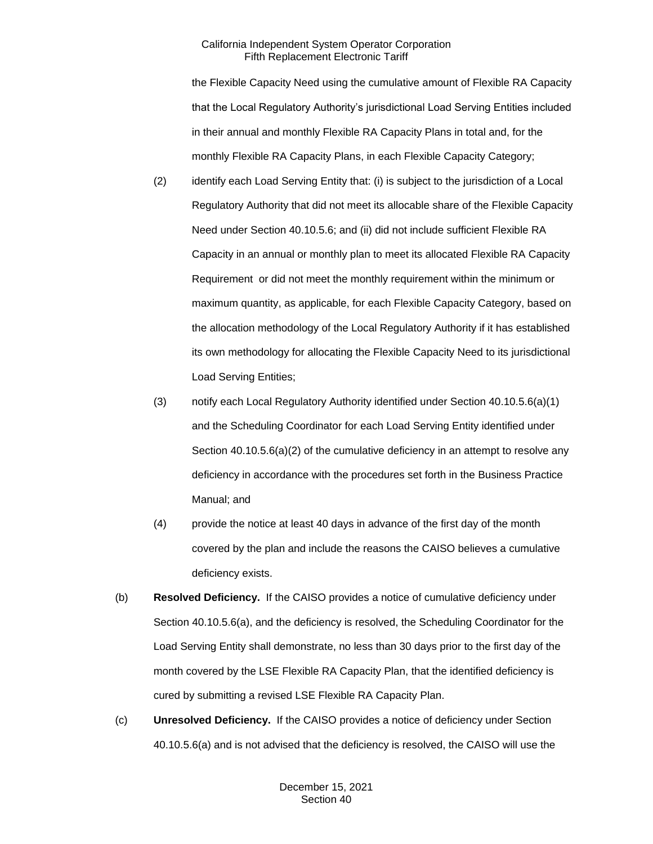the Flexible Capacity Need using the cumulative amount of Flexible RA Capacity that the Local Regulatory Authority's jurisdictional Load Serving Entities included in their annual and monthly Flexible RA Capacity Plans in total and, for the monthly Flexible RA Capacity Plans, in each Flexible Capacity Category;

- (2) identify each Load Serving Entity that: (i) is subject to the jurisdiction of a Local Regulatory Authority that did not meet its allocable share of the Flexible Capacity Need under Section 40.10.5.6; and (ii) did not include sufficient Flexible RA Capacity in an annual or monthly plan to meet its allocated Flexible RA Capacity Requirement or did not meet the monthly requirement within the minimum or maximum quantity, as applicable, for each Flexible Capacity Category, based on the allocation methodology of the Local Regulatory Authority if it has established its own methodology for allocating the Flexible Capacity Need to its jurisdictional Load Serving Entities;
- (3) notify each Local Regulatory Authority identified under Section 40.10.5.6(a)(1) and the Scheduling Coordinator for each Load Serving Entity identified under Section 40.10.5.6(a)(2) of the cumulative deficiency in an attempt to resolve any deficiency in accordance with the procedures set forth in the Business Practice Manual; and
- (4) provide the notice at least 40 days in advance of the first day of the month covered by the plan and include the reasons the CAISO believes a cumulative deficiency exists.
- (b) **Resolved Deficiency.** If the CAISO provides a notice of cumulative deficiency under Section 40.10.5.6(a), and the deficiency is resolved, the Scheduling Coordinator for the Load Serving Entity shall demonstrate, no less than 30 days prior to the first day of the month covered by the LSE Flexible RA Capacity Plan, that the identified deficiency is cured by submitting a revised LSE Flexible RA Capacity Plan.
- (c) **Unresolved Deficiency.** If the CAISO provides a notice of deficiency under Section 40.10.5.6(a) and is not advised that the deficiency is resolved, the CAISO will use the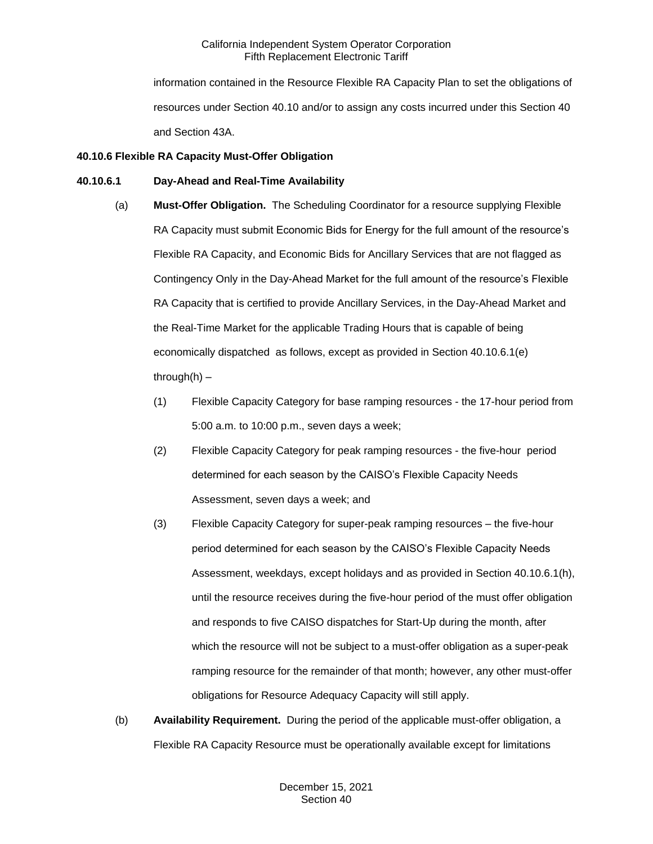information contained in the Resource Flexible RA Capacity Plan to set the obligations of resources under Section 40.10 and/or to assign any costs incurred under this Section 40 and Section 43A.

## **40.10.6 Flexible RA Capacity Must-Offer Obligation**

#### **40.10.6.1 Day-Ahead and Real-Time Availability**

- (a) **Must-Offer Obligation.** The Scheduling Coordinator for a resource supplying Flexible RA Capacity must submit Economic Bids for Energy for the full amount of the resource's Flexible RA Capacity, and Economic Bids for Ancillary Services that are not flagged as Contingency Only in the Day-Ahead Market for the full amount of the resource's Flexible RA Capacity that is certified to provide Ancillary Services, in the Day-Ahead Market and the Real-Time Market for the applicable Trading Hours that is capable of being economically dispatched as follows, except as provided in Section 40.10.6.1(e) through $(h)$  –
	- (1) Flexible Capacity Category for base ramping resources the 17-hour period from 5:00 a.m. to 10:00 p.m., seven days a week;
	- (2) Flexible Capacity Category for peak ramping resources the five-hour period determined for each season by the CAISO's Flexible Capacity Needs Assessment, seven days a week; and
	- (3) Flexible Capacity Category for super-peak ramping resources the five-hour period determined for each season by the CAISO's Flexible Capacity Needs Assessment, weekdays, except holidays and as provided in Section 40.10.6.1(h), until the resource receives during the five-hour period of the must offer obligation and responds to five CAISO dispatches for Start-Up during the month, after which the resource will not be subject to a must-offer obligation as a super-peak ramping resource for the remainder of that month; however, any other must-offer obligations for Resource Adequacy Capacity will still apply.
- (b) **Availability Requirement.** During the period of the applicable must-offer obligation, a Flexible RA Capacity Resource must be operationally available except for limitations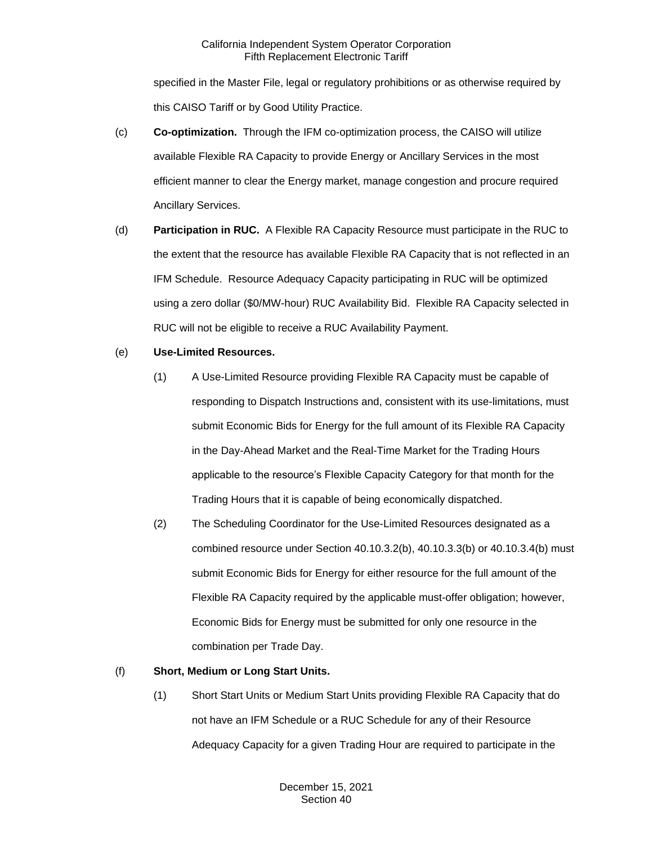specified in the Master File, legal or regulatory prohibitions or as otherwise required by this CAISO Tariff or by Good Utility Practice.

- (c) **Co-optimization.** Through the IFM co-optimization process, the CAISO will utilize available Flexible RA Capacity to provide Energy or Ancillary Services in the most efficient manner to clear the Energy market, manage congestion and procure required Ancillary Services.
- (d) **Participation in RUC.** A Flexible RA Capacity Resource must participate in the RUC to the extent that the resource has available Flexible RA Capacity that is not reflected in an IFM Schedule. Resource Adequacy Capacity participating in RUC will be optimized using a zero dollar (\$0/MW-hour) RUC Availability Bid. Flexible RA Capacity selected in RUC will not be eligible to receive a RUC Availability Payment.
- (e) **Use-Limited Resources.**
	- (1) A Use-Limited Resource providing Flexible RA Capacity must be capable of responding to Dispatch Instructions and, consistent with its use-limitations, must submit Economic Bids for Energy for the full amount of its Flexible RA Capacity in the Day-Ahead Market and the Real-Time Market for the Trading Hours applicable to the resource's Flexible Capacity Category for that month for the Trading Hours that it is capable of being economically dispatched.
	- (2) The Scheduling Coordinator for the Use-Limited Resources designated as a combined resource under Section 40.10.3.2(b), 40.10.3.3(b) or 40.10.3.4(b) must submit Economic Bids for Energy for either resource for the full amount of the Flexible RA Capacity required by the applicable must-offer obligation; however, Economic Bids for Energy must be submitted for only one resource in the combination per Trade Day.

## (f) **Short, Medium or Long Start Units.**

(1) Short Start Units or Medium Start Units providing Flexible RA Capacity that do not have an IFM Schedule or a RUC Schedule for any of their Resource Adequacy Capacity for a given Trading Hour are required to participate in the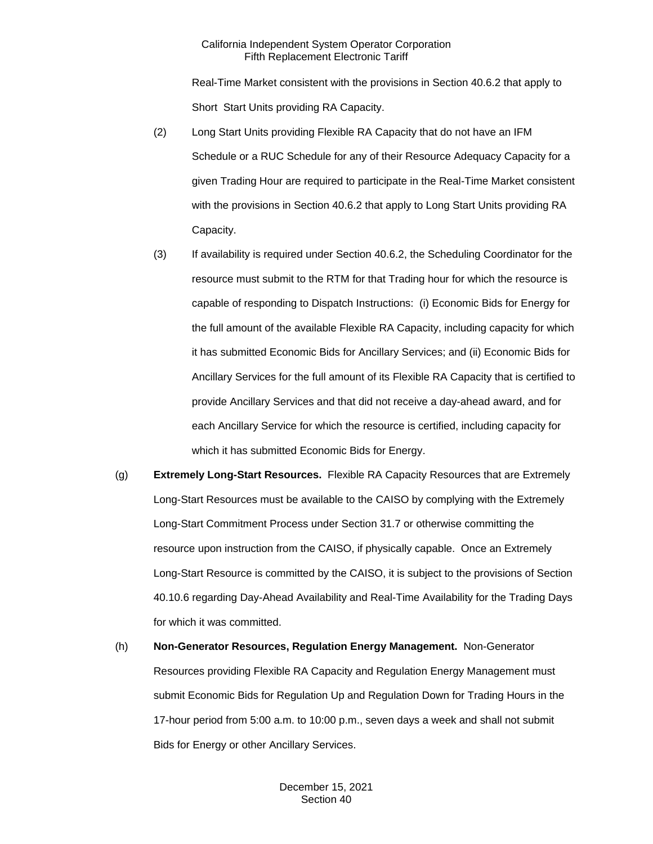Real-Time Market consistent with the provisions in Section 40.6.2 that apply to Short Start Units providing RA Capacity.

- (2) Long Start Units providing Flexible RA Capacity that do not have an IFM Schedule or a RUC Schedule for any of their Resource Adequacy Capacity for a given Trading Hour are required to participate in the Real-Time Market consistent with the provisions in Section 40.6.2 that apply to Long Start Units providing RA Capacity.
- (3) If availability is required under Section 40.6.2, the Scheduling Coordinator for the resource must submit to the RTM for that Trading hour for which the resource is capable of responding to Dispatch Instructions: (i) Economic Bids for Energy for the full amount of the available Flexible RA Capacity, including capacity for which it has submitted Economic Bids for Ancillary Services; and (ii) Economic Bids for Ancillary Services for the full amount of its Flexible RA Capacity that is certified to provide Ancillary Services and that did not receive a day-ahead award, and for each Ancillary Service for which the resource is certified, including capacity for which it has submitted Economic Bids for Energy.
- (g) **Extremely Long-Start Resources.** Flexible RA Capacity Resources that are Extremely Long-Start Resources must be available to the CAISO by complying with the Extremely Long-Start Commitment Process under Section 31.7 or otherwise committing the resource upon instruction from the CAISO, if physically capable. Once an Extremely Long-Start Resource is committed by the CAISO, it is subject to the provisions of Section 40.10.6 regarding Day-Ahead Availability and Real-Time Availability for the Trading Days for which it was committed.
- (h) **Non-Generator Resources, Regulation Energy Management.** Non-Generator Resources providing Flexible RA Capacity and Regulation Energy Management must submit Economic Bids for Regulation Up and Regulation Down for Trading Hours in the 17-hour period from 5:00 a.m. to 10:00 p.m., seven days a week and shall not submit Bids for Energy or other Ancillary Services.